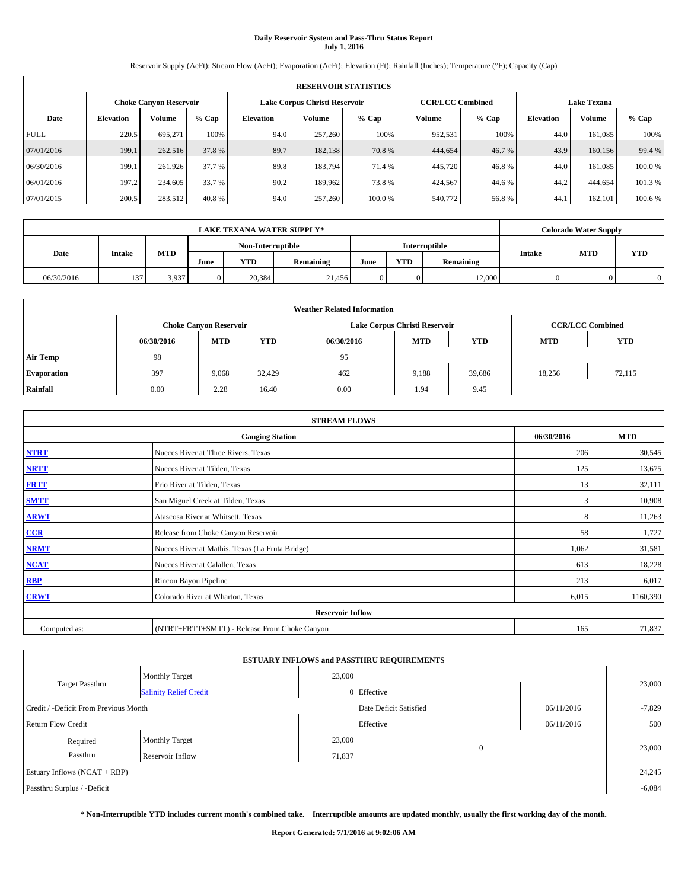# **Daily Reservoir System and Pass-Thru Status Report July 1, 2016**

Reservoir Supply (AcFt); Stream Flow (AcFt); Evaporation (AcFt); Elevation (Ft); Rainfall (Inches); Temperature (°F); Capacity (Cap)

|             | <b>RESERVOIR STATISTICS</b> |                               |         |           |                                                          |        |         |         |                  |                    |         |  |
|-------------|-----------------------------|-------------------------------|---------|-----------|----------------------------------------------------------|--------|---------|---------|------------------|--------------------|---------|--|
|             |                             | <b>Choke Canyon Reservoir</b> |         |           | <b>CCR/LCC Combined</b><br>Lake Corpus Christi Reservoir |        |         |         |                  | <b>Lake Texana</b> |         |  |
| Date        | <b>Elevation</b>            | Volume                        | $%$ Cap | Elevation | Volume                                                   | % Cap  | Volume  | $%$ Cap | <b>Elevation</b> | <b>Volume</b>      | % Cap   |  |
| <b>FULL</b> | 220.5                       | 695,271                       | 100%    | 94.0      | 257,260                                                  | 100%   | 952,531 | 100%    | 44.0             | 161.085            | 100%    |  |
| 07/01/2016  | 199.1                       | 262,516                       | 37.8 %  | 89.7      | 182,138                                                  | 70.8%  | 444,654 | 46.7 %  | 43.9             | 160,156            | 99.4 %  |  |
| 06/30/2016  | 199.1                       | 261,926                       | 37.7 %  | 89.8      | 183.794                                                  | 71.4 % | 445,720 | 46.8%   | 44.0             | 161.085            | 100.0%  |  |
| 06/01/2016  | 197.2                       | 234,605                       | 33.7 %  | 90.2      | 189.962                                                  | 73.8%  | 424,567 | 44.6 %  | 44.2             | 444,654            | 101.3 % |  |
| 07/01/2015  | 200.5                       | 283,512                       | 40.8%   | 94.0      | 257,260                                                  | 100.0% | 540,772 | 56.8%   | 44.              | 162,101            | 100.6 % |  |

|            | <b>LAKE TEXANA WATER SUPPLY*</b> |            |      |                   |                  |      |     |               |        | <b>Colorado Water Supply</b> |            |  |
|------------|----------------------------------|------------|------|-------------------|------------------|------|-----|---------------|--------|------------------------------|------------|--|
|            |                                  |            |      | Non-Interruptible |                  |      |     | Interruptible |        |                              |            |  |
| Date       | Intake                           | <b>MTD</b> | June | <b>YTD</b>        | <b>Remaining</b> | June | YTD | Remaining     | Intake | <b>MTD</b>                   | <b>YTD</b> |  |
| 06/30/2016 | 137                              | 3,937      |      | 20.384            | 21,456           |      |     | 12,000        |        |                              |            |  |

| <b>Weather Related Information</b> |                                                                                                |                               |        |      |                               |                         |        |            |  |  |  |
|------------------------------------|------------------------------------------------------------------------------------------------|-------------------------------|--------|------|-------------------------------|-------------------------|--------|------------|--|--|--|
|                                    |                                                                                                | <b>Choke Canyon Reservoir</b> |        |      | Lake Corpus Christi Reservoir | <b>CCR/LCC Combined</b> |        |            |  |  |  |
|                                    | <b>YTD</b><br><b>MTD</b><br><b>MTD</b><br><b>YTD</b><br><b>MTD</b><br>06/30/2016<br>06/30/2016 |                               |        |      |                               |                         |        | <b>YTD</b> |  |  |  |
| <b>Air Temp</b>                    | 98                                                                                             |                               |        | 95   |                               |                         |        |            |  |  |  |
| <b>Evaporation</b>                 | 397                                                                                            | 9,068                         | 32.429 | 462  | 9.188                         | 39.686                  | 18,256 | 72,115     |  |  |  |
| Rainfall                           | 0.00                                                                                           | 2.28                          | 16.40  | 0.00 | 1.94                          | 9.45                    |        |            |  |  |  |

| <b>STREAM FLOWS</b> |                                                 |            |            |  |  |  |  |  |  |  |
|---------------------|-------------------------------------------------|------------|------------|--|--|--|--|--|--|--|
|                     | <b>Gauging Station</b>                          | 06/30/2016 | <b>MTD</b> |  |  |  |  |  |  |  |
| <b>NTRT</b>         | Nueces River at Three Rivers, Texas             | 206        | 30,545     |  |  |  |  |  |  |  |
| <b>NRTT</b>         | 125                                             | 13,675     |            |  |  |  |  |  |  |  |
| <b>FRTT</b>         | Frio River at Tilden, Texas                     | 13         | 32,111     |  |  |  |  |  |  |  |
| <b>SMTT</b>         | San Miguel Creek at Tilden, Texas               | 3          | 10,908     |  |  |  |  |  |  |  |
| <b>ARWT</b>         | Atascosa River at Whitsett, Texas               | 8          | 11,263     |  |  |  |  |  |  |  |
| $CCR$               | Release from Choke Canyon Reservoir             | 58         | 1,727      |  |  |  |  |  |  |  |
| <b>NRMT</b>         | Nueces River at Mathis, Texas (La Fruta Bridge) | 1,062      | 31,581     |  |  |  |  |  |  |  |
| <b>NCAT</b>         | Nueces River at Calallen, Texas                 | 613        | 18,228     |  |  |  |  |  |  |  |
| RBP                 | Rincon Bayou Pipeline                           | 213        | 6,017      |  |  |  |  |  |  |  |
| <b>CRWT</b>         | Colorado River at Wharton, Texas                | 6,015      | 1160,390   |  |  |  |  |  |  |  |
|                     | <b>Reservoir Inflow</b>                         |            |            |  |  |  |  |  |  |  |
| Computed as:        | (NTRT+FRTT+SMTT) - Release From Choke Canyon    |            |            |  |  |  |  |  |  |  |

|                                       |                               |                        | <b>ESTUARY INFLOWS and PASSTHRU REQUIREMENTS</b> |          |          |
|---------------------------------------|-------------------------------|------------------------|--------------------------------------------------|----------|----------|
|                                       | <b>Monthly Target</b>         | 23,000                 |                                                  |          |          |
| Target Passthru                       | <b>Salinity Relief Credit</b> |                        | 0 Effective                                      |          | 23,000   |
| Credit / -Deficit From Previous Month |                               | Date Deficit Satisfied | 06/11/2016                                       | $-7,829$ |          |
| <b>Return Flow Credit</b>             |                               | Effective              | 06/11/2016                                       | 500      |          |
| Required                              | <b>Monthly Target</b>         | 23,000                 |                                                  |          |          |
| Passthru                              | <b>Reservoir Inflow</b>       | 71,837                 | $\Omega$                                         |          | 23,000   |
| Estuary Inflows $(NCAT + RBP)$        |                               |                        |                                                  |          | 24,245   |
| Passthru Surplus / -Deficit           |                               |                        |                                                  |          | $-6,084$ |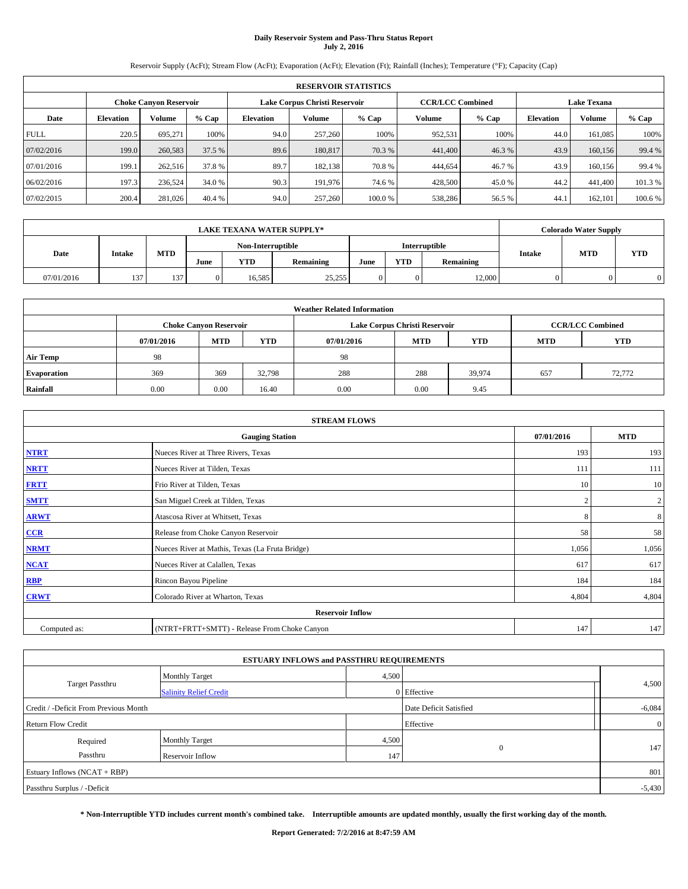# **Daily Reservoir System and Pass-Thru Status Report July 2, 2016**

Reservoir Supply (AcFt); Stream Flow (AcFt); Evaporation (AcFt); Elevation (Ft); Rainfall (Inches); Temperature (°F); Capacity (Cap)

|             | <b>RESERVOIR STATISTICS</b> |                               |         |                  |                               |         |                         |         |                  |                    |         |  |
|-------------|-----------------------------|-------------------------------|---------|------------------|-------------------------------|---------|-------------------------|---------|------------------|--------------------|---------|--|
|             |                             | <b>Choke Canyon Reservoir</b> |         |                  | Lake Corpus Christi Reservoir |         | <b>CCR/LCC Combined</b> |         |                  | <b>Lake Texana</b> |         |  |
| Date        | <b>Elevation</b>            | Volume                        | $%$ Cap | <b>Elevation</b> | Volume                        | $%$ Cap | Volume                  | $%$ Cap | <b>Elevation</b> | Volume             | % Cap   |  |
| <b>FULL</b> | 220.5                       | 695.271                       | 100%    | 94.0             | 257,260                       | 100%    | 952,531                 | 100%    | 44.0             | 161,085            | 100%    |  |
| 07/02/2016  | 199.0                       | 260,583                       | 37.5 %  | 89.6             | 180,817                       | 70.3 %  | 441,400                 | 46.3%   | 43.9             | 160,156            | 99.4 %  |  |
| 07/01/2016  | 199.1                       | 262,516                       | 37.8%   | 89.7             | 182,138                       | 70.8%   | 444,654                 | 46.7%   | 43.9             | 160,156            | 99.4 %  |  |
| 06/02/2016  | 197.3                       | 236,524                       | 34.0 %  | 90.3             | 191.976                       | 74.6 %  | 428,500                 | 45.0 %  | 44.2             | 441,400            | 101.3 % |  |
| 07/02/2015  | 200.4                       | 281,026                       | 40.4 %  | 94.0             | 257,260                       | 100.0%  | 538,286                 | 56.5 %  | 44.1             | 162.101            | 100.6 % |  |

|            | <b>LAKE TEXANA WATER SUPPLY*</b> |            |                   |        |                  |      |            |                      |        | <b>Colorado Water Supply</b> |            |
|------------|----------------------------------|------------|-------------------|--------|------------------|------|------------|----------------------|--------|------------------------------|------------|
|            |                                  |            | Non-Interruptible |        |                  |      |            | <b>Interruptible</b> |        |                              |            |
| Date       | Intake                           | <b>MTD</b> | June              | YTD    | <b>Remaining</b> | June | <b>YTD</b> | Remaining            | Intake | <b>MTD</b>                   | <b>YTD</b> |
| 07/01/2016 | 137                              | 137        | 0                 | 16.585 | 25,255           |      |            | 12,000               |        |                              |            |

| <b>Weather Related Information</b> |                                                                                                |                               |        |      |                               |                         |     |            |  |  |
|------------------------------------|------------------------------------------------------------------------------------------------|-------------------------------|--------|------|-------------------------------|-------------------------|-----|------------|--|--|
|                                    |                                                                                                | <b>Choke Canyon Reservoir</b> |        |      | Lake Corpus Christi Reservoir | <b>CCR/LCC Combined</b> |     |            |  |  |
|                                    | <b>YTD</b><br><b>MTD</b><br><b>MTD</b><br><b>YTD</b><br>07/01/2016<br><b>MTD</b><br>07/01/2016 |                               |        |      |                               |                         |     | <b>YTD</b> |  |  |
| <b>Air Temp</b>                    | 98                                                                                             |                               |        | -98  |                               |                         |     |            |  |  |
| <b>Evaporation</b>                 | 369                                                                                            | 369                           | 32,798 | 288  | 288                           | 39.974                  | 657 | 72,772     |  |  |
| Rainfall                           | 0.00                                                                                           | 0.00                          | 16.40  | 0.00 | 0.00                          | 9.45                    |     |            |  |  |

| <b>STREAM FLOWS</b> |                                                 |            |                |  |  |  |  |  |  |
|---------------------|-------------------------------------------------|------------|----------------|--|--|--|--|--|--|
|                     | <b>Gauging Station</b>                          | 07/01/2016 | <b>MTD</b>     |  |  |  |  |  |  |
| <b>NTRT</b>         | Nueces River at Three Rivers, Texas             | 193        | 193            |  |  |  |  |  |  |
| <b>NRTT</b>         | Nueces River at Tilden, Texas                   | 111        | 111            |  |  |  |  |  |  |
| <b>FRTT</b>         | Frio River at Tilden, Texas                     | 10         | 10             |  |  |  |  |  |  |
| <b>SMTT</b>         | San Miguel Creek at Tilden, Texas               |            | $\overline{2}$ |  |  |  |  |  |  |
| <b>ARWT</b>         | Atascosa River at Whitsett, Texas               | 8          | 8              |  |  |  |  |  |  |
| CCR                 | Release from Choke Canyon Reservoir             | 58         | 58             |  |  |  |  |  |  |
| <b>NRMT</b>         | Nueces River at Mathis, Texas (La Fruta Bridge) | 1,056      | 1,056          |  |  |  |  |  |  |
| <b>NCAT</b>         | Nueces River at Calallen, Texas                 | 617        | 617            |  |  |  |  |  |  |
| RBP                 | Rincon Bayou Pipeline                           | 184        | 184            |  |  |  |  |  |  |
| <b>CRWT</b>         | Colorado River at Wharton, Texas                | 4,804      | 4,804          |  |  |  |  |  |  |
|                     | <b>Reservoir Inflow</b>                         |            |                |  |  |  |  |  |  |
| Computed as:        | (NTRT+FRTT+SMTT) - Release From Choke Canyon    |            |                |  |  |  |  |  |  |

| <b>ESTUARY INFLOWS and PASSTHRU REQUIREMENTS</b> |                               |       |                        |                |  |  |  |  |  |
|--------------------------------------------------|-------------------------------|-------|------------------------|----------------|--|--|--|--|--|
|                                                  | <b>Monthly Target</b>         | 4,500 |                        |                |  |  |  |  |  |
| Target Passthru                                  | <b>Salinity Relief Credit</b> |       | 0 Effective            | 4,500          |  |  |  |  |  |
| Credit / -Deficit From Previous Month            |                               |       | Date Deficit Satisfied | $-6,084$       |  |  |  |  |  |
| <b>Return Flow Credit</b>                        |                               |       | Effective              | $\overline{0}$ |  |  |  |  |  |
| Required                                         | <b>Monthly Target</b>         | 4,500 |                        |                |  |  |  |  |  |
| Passthru                                         | Reservoir Inflow              | 147   | $\mathbf{0}$           | 147            |  |  |  |  |  |
| Estuary Inflows (NCAT + RBP)                     |                               |       |                        |                |  |  |  |  |  |
| Passthru Surplus / -Deficit                      |                               |       |                        |                |  |  |  |  |  |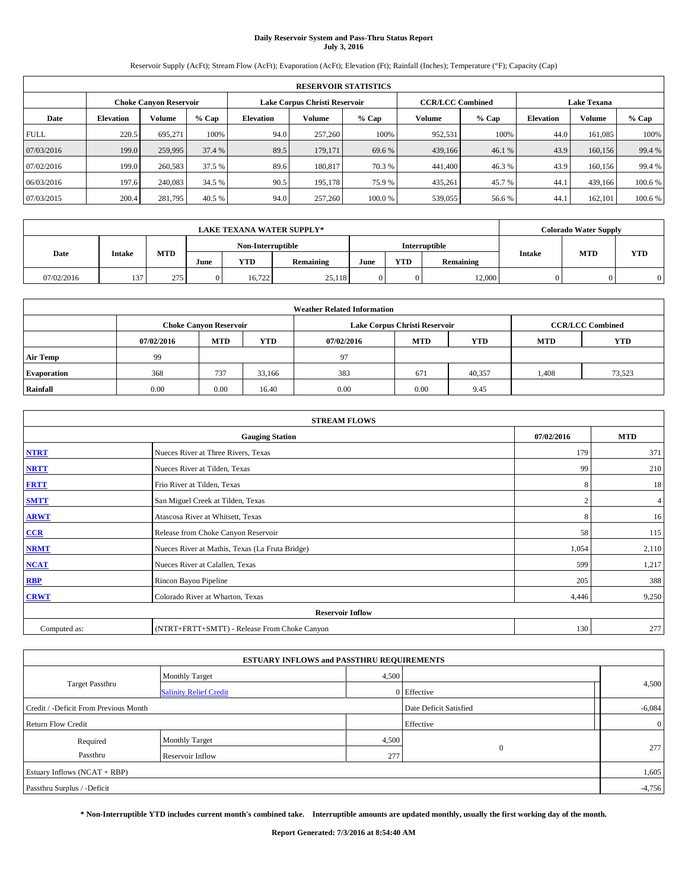# **Daily Reservoir System and Pass-Thru Status Report July 3, 2016**

Reservoir Supply (AcFt); Stream Flow (AcFt); Evaporation (AcFt); Elevation (Ft); Rainfall (Inches); Temperature (°F); Capacity (Cap)

|             | <b>RESERVOIR STATISTICS</b> |                               |         |                  |                               |        |                         |         |                  |                    |         |
|-------------|-----------------------------|-------------------------------|---------|------------------|-------------------------------|--------|-------------------------|---------|------------------|--------------------|---------|
|             |                             | <b>Choke Canyon Reservoir</b> |         |                  | Lake Corpus Christi Reservoir |        | <b>CCR/LCC Combined</b> |         |                  | <b>Lake Texana</b> |         |
| Date        | <b>Elevation</b>            | Volume                        | $%$ Cap | <b>Elevation</b> | Volume                        | % Cap  | Volume                  | $%$ Cap | <b>Elevation</b> | Volume             | % Cap   |
| <b>FULL</b> | 220.5                       | 695.271                       | 100%    | 94.0             | 257,260                       | 100%   | 952,531                 | 100%    | 44.0             | 161,085            | 100%    |
| 07/03/2016  | 199.0                       | 259,995                       | 37.4 %  | 89.5             | 179,171                       | 69.6 % | 439,166                 | 46.1 %  | 43.9             | 160,156            | 99.4 %  |
| 07/02/2016  | 199.0                       | 260,583                       | 37.5 %  | 89.6             | 180.817                       | 70.3 % | 441,400                 | 46.3%   | 43.9             | 160,156            | 99.4 %  |
| 06/03/2016  | 197.6                       | 240,083                       | 34.5 %  | 90.5             | 195,178                       | 75.9%  | 435,261                 | 45.7%   | 44.1             | 439,166            | 100.6 % |
| 07/03/2015  | 200.4                       | 281,795                       | 40.5 %  | 94.0             | 257,260                       | 100.0% | 539,055                 | 56.6%   | 44.1             | 162,101            | 100.6%  |

|            | <b>LAKE TEXANA WATER SUPPLY*</b> |            |                   |        |                  |      |            |                      |               | <b>Colorado Water Supply</b> |            |  |  |
|------------|----------------------------------|------------|-------------------|--------|------------------|------|------------|----------------------|---------------|------------------------------|------------|--|--|
|            |                                  |            | Non-Interruptible |        |                  |      |            | <b>Interruptible</b> |               |                              |            |  |  |
| Date       | <b>Intake</b>                    | <b>MTD</b> | June              | YTD    | <b>Remaining</b> | June | <b>YTD</b> | Remaining            | <b>Intake</b> | <b>MTD</b>                   | <b>YTD</b> |  |  |
| 07/02/2016 | 137                              | 275        | $\mathbf{0}$      | 16.722 | 25,118           |      |            | 12,000               |               |                              |            |  |  |

| <b>Weather Related Information</b> |            |                               |            |            |                               |                         |       |        |  |  |
|------------------------------------|------------|-------------------------------|------------|------------|-------------------------------|-------------------------|-------|--------|--|--|
|                                    |            | <b>Choke Canyon Reservoir</b> |            |            | Lake Corpus Christi Reservoir | <b>CCR/LCC Combined</b> |       |        |  |  |
|                                    | 07/02/2016 | <b>MTD</b>                    | <b>YTD</b> | 07/02/2016 | <b>YTD</b>                    |                         |       |        |  |  |
| <b>Air Temp</b>                    | 99         |                               |            | 97         |                               |                         |       |        |  |  |
| <b>Evaporation</b>                 | 368        | 737                           | 33.166     | 383        | 671                           | 40,357                  | 1,408 | 73,523 |  |  |
| Rainfall                           | 0.00       | 0.00                          | 16.40      | 0.00       | 0.00                          | 9.45                    |       |        |  |  |

| <b>STREAM FLOWS</b> |                                                 |            |                |  |  |  |  |  |  |
|---------------------|-------------------------------------------------|------------|----------------|--|--|--|--|--|--|
|                     | 07/02/2016                                      | <b>MTD</b> |                |  |  |  |  |  |  |
| <b>NTRT</b>         | Nueces River at Three Rivers, Texas             | 179        | 371            |  |  |  |  |  |  |
| <b>NRTT</b>         | Nueces River at Tilden, Texas                   | 99         | 210            |  |  |  |  |  |  |
| <b>FRTT</b>         | Frio River at Tilden, Texas                     | 8          | 18             |  |  |  |  |  |  |
| <b>SMTT</b>         | San Miguel Creek at Tilden, Texas               |            | $\overline{4}$ |  |  |  |  |  |  |
| <b>ARWT</b>         | Atascosa River at Whitsett, Texas               | 8          | 16             |  |  |  |  |  |  |
| $CCR$               | Release from Choke Canyon Reservoir             | 58         | 115            |  |  |  |  |  |  |
| <b>NRMT</b>         | Nueces River at Mathis, Texas (La Fruta Bridge) | 1,054      | 2,110          |  |  |  |  |  |  |
| <b>NCAT</b>         | Nueces River at Calallen, Texas                 | 599        | 1,217          |  |  |  |  |  |  |
| RBP                 | Rincon Bayou Pipeline                           | 205        | 388            |  |  |  |  |  |  |
| <b>CRWT</b>         | Colorado River at Wharton, Texas                | 4,446      | 9,250          |  |  |  |  |  |  |
|                     | <b>Reservoir Inflow</b>                         |            |                |  |  |  |  |  |  |
| Computed as:        | (NTRT+FRTT+SMTT) - Release From Choke Canyon    | 130        | 277            |  |  |  |  |  |  |

| <b>ESTUARY INFLOWS and PASSTHRU REQUIREMENTS</b> |                               |           |                        |          |  |  |  |  |  |  |
|--------------------------------------------------|-------------------------------|-----------|------------------------|----------|--|--|--|--|--|--|
|                                                  | <b>Monthly Target</b>         | 4,500     |                        |          |  |  |  |  |  |  |
| Target Passthru                                  | <b>Salinity Relief Credit</b> |           | 0 Effective            | 4,500    |  |  |  |  |  |  |
| Credit / -Deficit From Previous Month            |                               |           | Date Deficit Satisfied | $-6,084$ |  |  |  |  |  |  |
| <b>Return Flow Credit</b>                        |                               | Effective | $\overline{0}$         |          |  |  |  |  |  |  |
| Required                                         | <b>Monthly Target</b>         | 4,500     |                        |          |  |  |  |  |  |  |
| Passthru                                         | Reservoir Inflow              | 277       | $\mathbf{0}$           | 277      |  |  |  |  |  |  |
| Estuary Inflows (NCAT + RBP)                     |                               |           |                        |          |  |  |  |  |  |  |
| Passthru Surplus / -Deficit                      |                               |           |                        | $-4,756$ |  |  |  |  |  |  |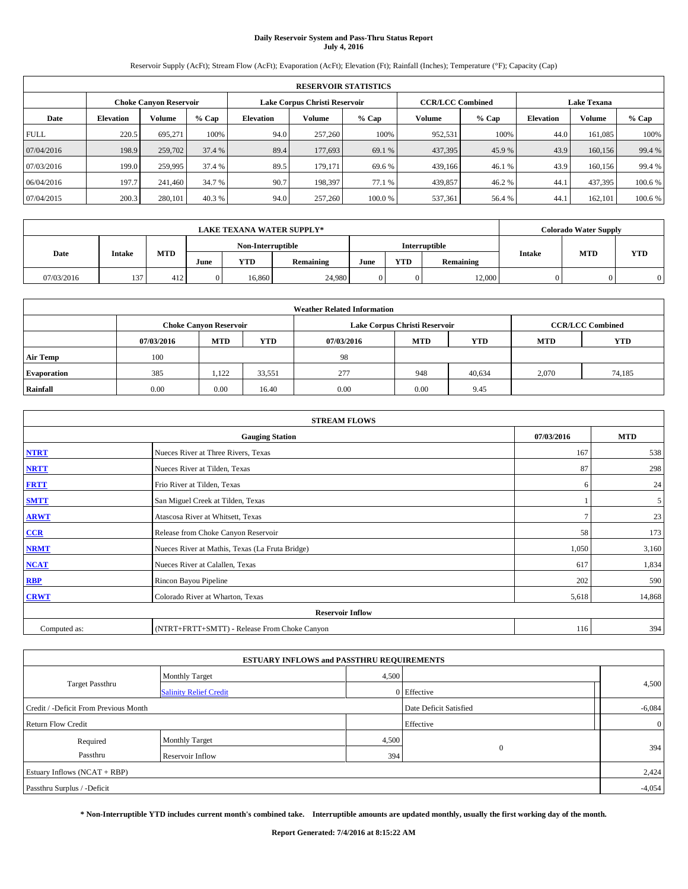# **Daily Reservoir System and Pass-Thru Status Report July 4, 2016**

Reservoir Supply (AcFt); Stream Flow (AcFt); Evaporation (AcFt); Elevation (Ft); Rainfall (Inches); Temperature (°F); Capacity (Cap)

| <b>RESERVOIR STATISTICS</b> |                  |                               |         |                  |                               |         |                         |         |                  |                    |         |  |
|-----------------------------|------------------|-------------------------------|---------|------------------|-------------------------------|---------|-------------------------|---------|------------------|--------------------|---------|--|
|                             |                  | <b>Choke Canyon Reservoir</b> |         |                  | Lake Corpus Christi Reservoir |         | <b>CCR/LCC Combined</b> |         |                  | <b>Lake Texana</b> |         |  |
| Date                        | <b>Elevation</b> | Volume                        | $%$ Cap | <b>Elevation</b> | Volume                        | $%$ Cap | Volume                  | $%$ Cap | <b>Elevation</b> | Volume             | % Cap   |  |
| <b>FULL</b>                 | 220.5            | 695.271                       | 100%    | 94.0             | 257,260                       | 100%    | 952,531                 | 100%    | 44.0             | 161,085            | 100%    |  |
| 07/04/2016                  | 198.9            | 259,702                       | 37.4 %  | 89.4             | 177,693                       | 69.1 %  | 437,395                 | 45.9%   | 43.9             | 160,156            | 99.4 %  |  |
| 07/03/2016                  | 199.0            | 259,995                       | 37.4 %  | 89.5             | 179,171                       | 69.6 %  | 439,166                 | 46.1%   | 43.9             | 160,156            | 99.4 %  |  |
| 06/04/2016                  | 197.7            | 241,460                       | 34.7 %  | 90.7             | 198.397                       | 77.1 %  | 439,857                 | 46.2%   | 44.1             | 437,395            | 100.6 % |  |
| 07/04/2015                  | 200.3            | 280,101                       | 40.3 %  | 94.0             | 257,260                       | 100.0%  | 537,361                 | 56.4 %  | 44.1             | 162.101            | 100.6 % |  |

| <b>LAKE TEXANA WATER SUPPLY*</b> |        |            |              |                   |                  |      |            |                      | <b>Colorado Water Supply</b> |            |            |  |
|----------------------------------|--------|------------|--------------|-------------------|------------------|------|------------|----------------------|------------------------------|------------|------------|--|
|                                  |        |            |              | Non-Interruptible |                  |      |            | <b>Interruptible</b> |                              |            |            |  |
| Date                             | Intake | <b>MTD</b> | June         | YTD               | <b>Remaining</b> | June | <b>YTD</b> | Remaining            | Intake                       | <b>MTD</b> | <b>YTD</b> |  |
| 07/03/2016                       | 137    | 412        | $\mathbf{0}$ | 16.860            | 24.980           |      |            | 12,000               |                              |            |            |  |

| <b>Weather Related Information</b> |            |                               |            |            |                               |                         |       |        |  |  |
|------------------------------------|------------|-------------------------------|------------|------------|-------------------------------|-------------------------|-------|--------|--|--|
|                                    |            | <b>Choke Canyon Reservoir</b> |            |            | Lake Corpus Christi Reservoir | <b>CCR/LCC Combined</b> |       |        |  |  |
|                                    | 07/03/2016 | <b>MTD</b>                    | <b>YTD</b> | 07/03/2016 | <b>MTD</b>                    | <b>YTD</b>              |       |        |  |  |
| <b>Air Temp</b>                    | 100        |                               |            | -98        |                               |                         |       |        |  |  |
| <b>Evaporation</b>                 | 385        | 1.122                         | 33,551     | 277        | 948                           | 40,634                  | 2,070 | 74,185 |  |  |
| Rainfall                           | 0.00       | 0.00                          | 16.40      | 0.00       | 0.00                          | 9.45                    |       |        |  |  |

| <b>STREAM FLOWS</b> |                                                 |            |                |  |  |  |  |  |  |
|---------------------|-------------------------------------------------|------------|----------------|--|--|--|--|--|--|
|                     | 07/03/2016                                      | <b>MTD</b> |                |  |  |  |  |  |  |
| <b>NTRT</b>         | Nueces River at Three Rivers, Texas             | 167        | 538            |  |  |  |  |  |  |
| <b>NRTT</b>         | Nueces River at Tilden, Texas                   | 87         | 298            |  |  |  |  |  |  |
| <b>FRTT</b>         | Frio River at Tilden, Texas                     | 6          | 24             |  |  |  |  |  |  |
| <b>SMTT</b>         | San Miguel Creek at Tilden, Texas               |            | 5 <sup>5</sup> |  |  |  |  |  |  |
| <b>ARWT</b>         | Atascosa River at Whitsett, Texas               |            | 23             |  |  |  |  |  |  |
| CCR                 | Release from Choke Canyon Reservoir             | 58         | 173            |  |  |  |  |  |  |
| <b>NRMT</b>         | Nueces River at Mathis, Texas (La Fruta Bridge) | 1,050      | 3,160          |  |  |  |  |  |  |
| <b>NCAT</b>         | Nueces River at Calallen, Texas                 | 617        | 1,834          |  |  |  |  |  |  |
| RBP                 | Rincon Bayou Pipeline                           | 202        | 590            |  |  |  |  |  |  |
| <b>CRWT</b>         | Colorado River at Wharton, Texas                | 5,618      | 14,868         |  |  |  |  |  |  |
|                     | <b>Reservoir Inflow</b>                         |            |                |  |  |  |  |  |  |
| Computed as:        | 116                                             | 394        |                |  |  |  |  |  |  |

|                                       | <b>ESTUARY INFLOWS and PASSTHRU REQUIREMENTS</b> |       |                        |                |  |  |  |  |  |
|---------------------------------------|--------------------------------------------------|-------|------------------------|----------------|--|--|--|--|--|
|                                       | <b>Monthly Target</b>                            |       | 4,500                  |                |  |  |  |  |  |
| Target Passthru                       | <b>Salinity Relief Credit</b>                    |       | 0 Effective            | 4,500          |  |  |  |  |  |
| Credit / -Deficit From Previous Month |                                                  |       | Date Deficit Satisfied | $-6,084$       |  |  |  |  |  |
| <b>Return Flow Credit</b>             |                                                  |       | Effective              | $\overline{0}$ |  |  |  |  |  |
| Required                              | <b>Monthly Target</b>                            | 4,500 |                        |                |  |  |  |  |  |
| Passthru                              | Reservoir Inflow                                 | 394   | $\mathbf{0}$           | 394            |  |  |  |  |  |
| Estuary Inflows (NCAT + RBP)          |                                                  |       |                        |                |  |  |  |  |  |
| Passthru Surplus / -Deficit           |                                                  |       |                        |                |  |  |  |  |  |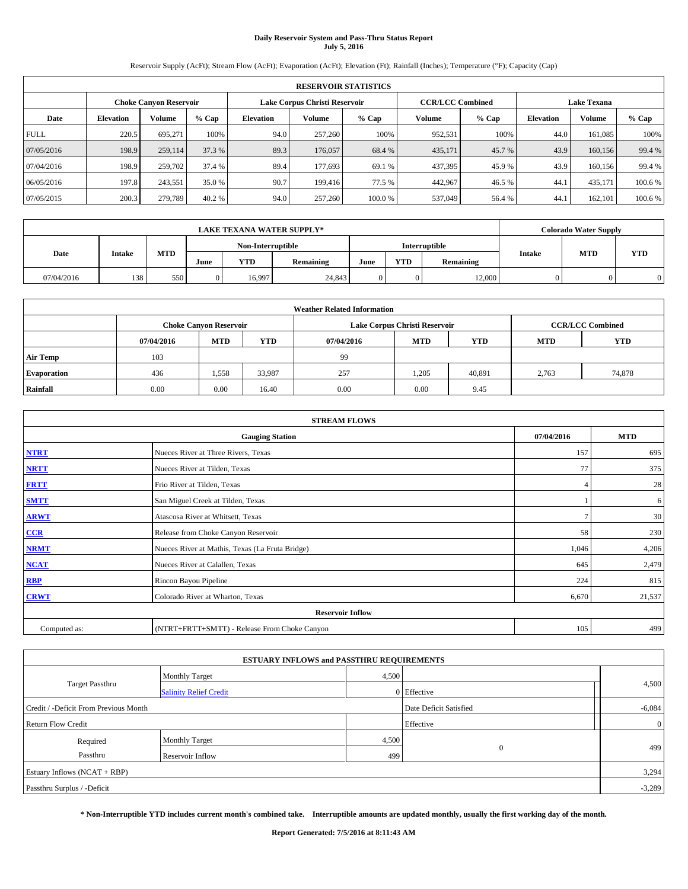# **Daily Reservoir System and Pass-Thru Status Report July 5, 2016**

Reservoir Supply (AcFt); Stream Flow (AcFt); Evaporation (AcFt); Elevation (Ft); Rainfall (Inches); Temperature (°F); Capacity (Cap)

| <b>RESERVOIR STATISTICS</b> |                  |                               |         |                  |                               |         |                         |         |                  |                    |         |
|-----------------------------|------------------|-------------------------------|---------|------------------|-------------------------------|---------|-------------------------|---------|------------------|--------------------|---------|
|                             |                  | <b>Choke Canvon Reservoir</b> |         |                  | Lake Corpus Christi Reservoir |         | <b>CCR/LCC Combined</b> |         |                  | <b>Lake Texana</b> |         |
| Date                        | <b>Elevation</b> | Volume                        | $%$ Cap | <b>Elevation</b> | Volume                        | $%$ Cap | Volume                  | $%$ Cap | <b>Elevation</b> | Volume             | % Cap   |
| <b>FULL</b>                 | 220.5            | 695,271                       | 100%    | 94.0             | 257,260                       | 100%    | 952,531                 | 100%    | 44.0             | 161,085            | 100%    |
| 07/05/2016                  | 198.9            | 259,114                       | 37.3 %  | 89.3             | 176,057                       | 68.4 %  | 435,171                 | 45.7 %  | 43.9             | 160.156            | 99.4 %  |
| 07/04/2016                  | 198.9            | 259,702                       | 37.4 %  | 89.4             | 177,693                       | 69.1 %  | 437,395                 | 45.9 %  | 43.9             | 160.156            | 99.4 %  |
| 06/05/2016                  | 197.8            | 243,551                       | 35.0 %  | 90.7             | 199,416                       | 77.5 %  | 442,967                 | 46.5 %  | 44.1             | 435.171            | 100.6 % |
| 07/05/2015                  | 200.3            | 279,789                       | 40.2 %  | 94.0             | 257,260                       | 100.0%  | 537,049                 | 56.4 %  | 44.1             | 162,101            | 100.6%  |

| <b>LAKE TEXANA WATER SUPPLY*</b> |        |            |              |                   |                  |      |            |                      | <b>Colorado Water Supply</b> |            |            |  |
|----------------------------------|--------|------------|--------------|-------------------|------------------|------|------------|----------------------|------------------------------|------------|------------|--|
|                                  |        |            |              | Non-Interruptible |                  |      |            | <b>Interruptible</b> |                              |            |            |  |
| Date                             | Intake | <b>MTD</b> | June         | YTD               | <b>Remaining</b> | June | <b>YTD</b> | Remaining            | Intake                       | <b>MTD</b> | <b>YTD</b> |  |
| 07/04/2016                       | 138    | 550        | $\mathbf{0}$ | 16,997            | 24,843           |      |            | 12,000               |                              |            |            |  |

| <b>Weather Related Information</b> |            |                               |            |            |                               |                         |       |        |  |  |
|------------------------------------|------------|-------------------------------|------------|------------|-------------------------------|-------------------------|-------|--------|--|--|
|                                    |            | <b>Choke Canyon Reservoir</b> |            |            | Lake Corpus Christi Reservoir | <b>CCR/LCC Combined</b> |       |        |  |  |
|                                    | 07/04/2016 | <b>MTD</b>                    | <b>YTD</b> | 07/04/2016 | <b>MTD</b>                    | <b>YTD</b>              |       |        |  |  |
| <b>Air Temp</b>                    | 103        |                               |            | -99        |                               |                         |       |        |  |  |
| <b>Evaporation</b>                 | 436        | 1,558                         | 33,987     | 257        | 1,205                         | 40,891                  | 2,763 | 74,878 |  |  |
| Rainfall                           | 0.00       | 0.00                          | 16.40      | 0.00       | 0.00                          | 9.45                    |       |        |  |  |

| <b>STREAM FLOWS</b> |                                                 |                |        |  |  |  |  |  |  |
|---------------------|-------------------------------------------------|----------------|--------|--|--|--|--|--|--|
|                     | 07/04/2016                                      | <b>MTD</b>     |        |  |  |  |  |  |  |
| <b>NTRT</b>         | Nueces River at Three Rivers, Texas             | 157            | 695    |  |  |  |  |  |  |
| <b>NRTT</b>         | Nueces River at Tilden, Texas                   | 77             | 375    |  |  |  |  |  |  |
| <b>FRTT</b>         | Frio River at Tilden, Texas                     |                | 28     |  |  |  |  |  |  |
| <b>SMTT</b>         | San Miguel Creek at Tilden, Texas               |                | 6      |  |  |  |  |  |  |
| <b>ARWT</b>         | Atascosa River at Whitsett, Texas               | $\overline{ }$ | 30     |  |  |  |  |  |  |
| $CCR$               | Release from Choke Canyon Reservoir             | 58             | 230    |  |  |  |  |  |  |
| <b>NRMT</b>         | Nueces River at Mathis, Texas (La Fruta Bridge) | 1,046          | 4,206  |  |  |  |  |  |  |
| <b>NCAT</b>         | Nueces River at Calallen, Texas                 | 645            | 2,479  |  |  |  |  |  |  |
| RBP                 | Rincon Bayou Pipeline                           | 224            | 815    |  |  |  |  |  |  |
| <b>CRWT</b>         | Colorado River at Wharton, Texas                | 6,670          | 21,537 |  |  |  |  |  |  |
|                     | <b>Reservoir Inflow</b>                         |                |        |  |  |  |  |  |  |
| Computed as:        | (NTRT+FRTT+SMTT) - Release From Choke Canyon    | 105            | 499    |  |  |  |  |  |  |

|                                       | <b>ESTUARY INFLOWS and PASSTHRU REQUIREMENTS</b> |       |                        |                |
|---------------------------------------|--------------------------------------------------|-------|------------------------|----------------|
|                                       | <b>Monthly Target</b>                            | 4,500 |                        |                |
| Target Passthru                       | <b>Salinity Relief Credit</b>                    |       | 0 Effective            | 4,500          |
| Credit / -Deficit From Previous Month |                                                  |       | Date Deficit Satisfied | $-6,084$       |
| <b>Return Flow Credit</b>             |                                                  |       | Effective              | $\overline{0}$ |
| Required                              | <b>Monthly Target</b>                            | 4,500 |                        |                |
| Passthru                              | Reservoir Inflow                                 | 499   | $\mathbf{0}$           | 499            |
| Estuary Inflows (NCAT + RBP)          |                                                  |       |                        | 3,294          |
| Passthru Surplus / -Deficit           |                                                  |       |                        | $-3,289$       |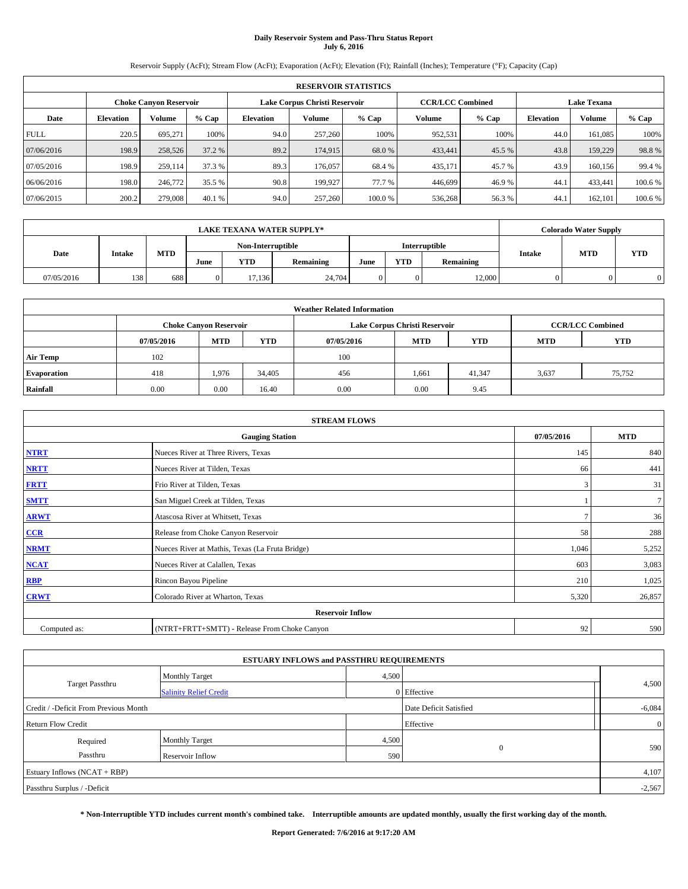# **Daily Reservoir System and Pass-Thru Status Report July 6, 2016**

Reservoir Supply (AcFt); Stream Flow (AcFt); Evaporation (AcFt); Elevation (Ft); Rainfall (Inches); Temperature (°F); Capacity (Cap)

|                                                                                                                 | <b>RESERVOIR STATISTICS</b> |         |         |                  |         |        |         |         |                  |         |         |
|-----------------------------------------------------------------------------------------------------------------|-----------------------------|---------|---------|------------------|---------|--------|---------|---------|------------------|---------|---------|
| Lake Corpus Christi Reservoir<br><b>CCR/LCC Combined</b><br><b>Lake Texana</b><br><b>Choke Canyon Reservoir</b> |                             |         |         |                  |         |        |         |         |                  |         |         |
| Date                                                                                                            | <b>Elevation</b>            | Volume  | $%$ Cap | <b>Elevation</b> | Volume  | % Cap  | Volume  | $%$ Cap | <b>Elevation</b> | Volume  | % Cap   |
| <b>FULL</b>                                                                                                     | 220.5                       | 695.271 | 100%    | 94.0             | 257,260 | 100%   | 952,531 | 100%    | 44.0             | 161,085 | 100%    |
| 07/06/2016                                                                                                      | 198.9                       | 258,526 | 37.2 %  | 89.2             | 174,915 | 68.0 % | 433,441 | 45.5 %  | 43.8             | 159,229 | 98.8%   |
| 07/05/2016                                                                                                      | 198.9                       | 259,114 | 37.3 %  | 89.3             | 176,057 | 68.4 % | 435,171 | 45.7 %  | 43.9             | 160.156 | 99.4 %  |
| 06/06/2016                                                                                                      | 198.0                       | 246,772 | 35.5 %  | 90.8             | 199,927 | 77.7 % | 446,699 | 46.9%   | 44.1             | 433.441 | 100.6 % |
| 07/06/2015                                                                                                      | 200.2                       | 279,008 | 40.1 %  | 94.0             | 257,260 | 100.0% | 536,268 | 56.3%   | 44.1             | 162,101 | 100.6%  |

|            | <b>LAKE TEXANA WATER SUPPLY*</b> |            |              |                                           |                  |      |            |           |        | <b>Colorado Water Supply</b> |            |  |
|------------|----------------------------------|------------|--------------|-------------------------------------------|------------------|------|------------|-----------|--------|------------------------------|------------|--|
|            |                                  |            |              | <b>Interruptible</b><br>Non-Interruptible |                  |      |            |           |        |                              |            |  |
| Date       | Intake                           | <b>MTD</b> | June         | YTD                                       | <b>Remaining</b> | June | <b>YTD</b> | Remaining | Intake | <b>MTD</b>                   | <b>YTD</b> |  |
| 07/05/2016 | 138                              | 688        | $\mathbf{0}$ | 17.136                                    | 24,704           |      |            | 12,000    |        |                              |            |  |

|                    |            |                                                                                           |            | <b>Weather Related Information</b> |            |            |            |            |  |  |  |
|--------------------|------------|-------------------------------------------------------------------------------------------|------------|------------------------------------|------------|------------|------------|------------|--|--|--|
|                    |            | Lake Corpus Christi Reservoir<br><b>CCR/LCC Combined</b><br><b>Choke Canyon Reservoir</b> |            |                                    |            |            |            |            |  |  |  |
|                    | 07/05/2016 | <b>MTD</b>                                                                                | <b>YTD</b> | 07/05/2016                         | <b>MTD</b> | <b>YTD</b> | <b>MTD</b> | <b>YTD</b> |  |  |  |
| <b>Air Temp</b>    | 102        |                                                                                           |            | 100                                |            |            |            |            |  |  |  |
| <b>Evaporation</b> | 418        | 1,976                                                                                     | 34,405     | 456                                | 1,661      | 41.347     | 3,637      | 75,752     |  |  |  |
| Rainfall           | 0.00       | 0.00                                                                                      | 16.40      | 0.00                               | 0.00       | 9.45       |            |            |  |  |  |

|              | <b>STREAM FLOWS</b>                             |            |                |
|--------------|-------------------------------------------------|------------|----------------|
|              | <b>Gauging Station</b>                          | 07/05/2016 | <b>MTD</b>     |
| <b>NTRT</b>  | Nueces River at Three Rivers, Texas             | 145        | 840            |
| <b>NRTT</b>  | Nueces River at Tilden, Texas                   | 66         | 441            |
| <b>FRTT</b>  | Frio River at Tilden, Texas                     | 3          | 31             |
| <b>SMTT</b>  | San Miguel Creek at Tilden, Texas               |            | 7 <sup>1</sup> |
| <b>ARWT</b>  | Atascosa River at Whitsett, Texas               |            | 36             |
| $CCR$        | Release from Choke Canyon Reservoir             | 58         | 288            |
| <b>NRMT</b>  | Nueces River at Mathis, Texas (La Fruta Bridge) | 1,046      | 5,252          |
| <b>NCAT</b>  | Nueces River at Calallen, Texas                 | 603        | 3,083          |
| RBP          | Rincon Bayou Pipeline                           | 210        | 1,025          |
| <b>CRWT</b>  | Colorado River at Wharton, Texas                | 5,320      | 26,857         |
|              | <b>Reservoir Inflow</b>                         |            |                |
| Computed as: | (NTRT+FRTT+SMTT) - Release From Choke Canyon    | 92         | 590            |

|                                       | <b>ESTUARY INFLOWS and PASSTHRU REQUIREMENTS</b> |       |                        |                |
|---------------------------------------|--------------------------------------------------|-------|------------------------|----------------|
|                                       | <b>Monthly Target</b>                            | 4,500 |                        |                |
| Target Passthru                       | <b>Salinity Relief Credit</b>                    |       | 0 Effective            | 4,500          |
| Credit / -Deficit From Previous Month |                                                  |       | Date Deficit Satisfied | $-6,084$       |
| <b>Return Flow Credit</b>             |                                                  |       | Effective              | $\overline{0}$ |
| Required                              | <b>Monthly Target</b>                            | 4,500 |                        |                |
| Passthru                              | Reservoir Inflow                                 | 590   | $\mathbf{0}$           | 590            |
| Estuary Inflows (NCAT + RBP)          |                                                  |       |                        | 4,107          |
| Passthru Surplus / -Deficit           |                                                  |       |                        | $-2,567$       |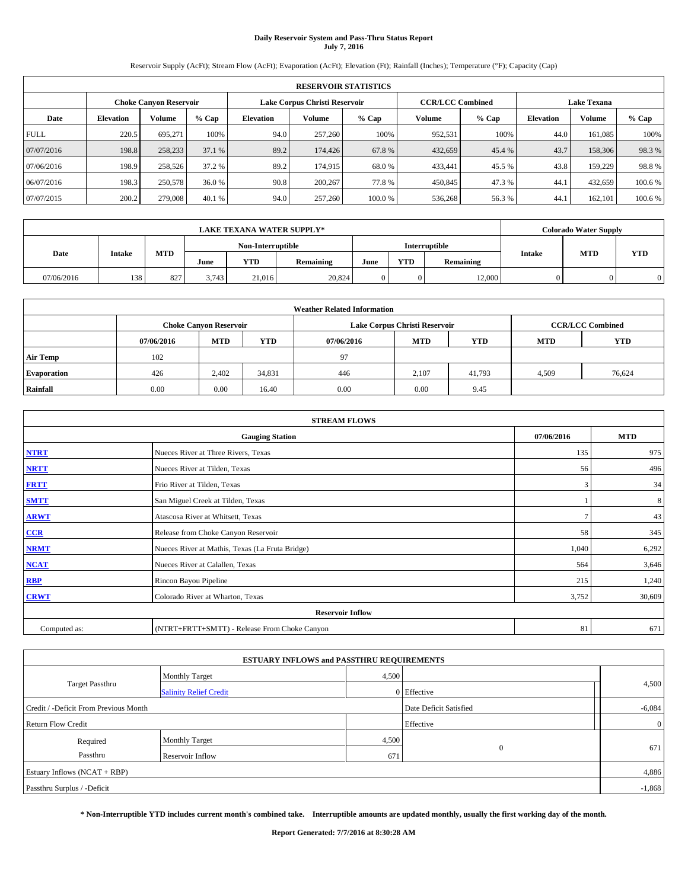# **Daily Reservoir System and Pass-Thru Status Report July 7, 2016**

Reservoir Supply (AcFt); Stream Flow (AcFt); Evaporation (AcFt); Elevation (Ft); Rainfall (Inches); Temperature (°F); Capacity (Cap)

|                                                                                                                 | <b>RESERVOIR STATISTICS</b> |         |         |                  |         |         |         |         |                  |         |         |
|-----------------------------------------------------------------------------------------------------------------|-----------------------------|---------|---------|------------------|---------|---------|---------|---------|------------------|---------|---------|
| <b>CCR/LCC Combined</b><br><b>Lake Texana</b><br>Lake Corpus Christi Reservoir<br><b>Choke Canyon Reservoir</b> |                             |         |         |                  |         |         |         |         |                  |         |         |
| Date                                                                                                            | <b>Elevation</b>            | Volume  | $%$ Cap | <b>Elevation</b> | Volume  | $%$ Cap | Volume  | $%$ Cap | <b>Elevation</b> | Volume  | % Cap   |
| <b>FULL</b>                                                                                                     | 220.5                       | 695.271 | 100%    | 94.0             | 257,260 | 100%    | 952,531 | 100%    | 44.0             | 161,085 | 100%    |
| 07/07/2016                                                                                                      | 198.8                       | 258,233 | 37.1 %  | 89.2             | 174,426 | 67.8%   | 432,659 | 45.4 %  | 43.7             | 158,306 | 98.3%   |
| 07/06/2016                                                                                                      | 198.9                       | 258,526 | 37.2 %  | 89.2             | 174,915 | 68.0 %  | 433,441 | 45.5 %  | 43.8             | 159,229 | 98.8%   |
| 06/07/2016                                                                                                      | 198.3                       | 250,578 | 36.0 %  | 90.8             | 200,267 | 77.8%   | 450,845 | 47.3 %  | 44.1             | 432.659 | 100.6 % |
| 07/07/2015                                                                                                      | 200.2                       | 279,008 | 40.1 %  | 94.0             | 257,260 | 100.0%  | 536,268 | 56.3%   | 44.1             | 162.101 | 100.6 % |

|            | <b>LAKE TEXANA WATER SUPPLY*</b> |                                    |       |        |           |      |            |           |               | <b>Colorado Water Supply</b> |            |
|------------|----------------------------------|------------------------------------|-------|--------|-----------|------|------------|-----------|---------------|------------------------------|------------|
|            |                                  | Non-Interruptible<br>Interruptible |       |        |           |      |            |           |               |                              |            |
| Date       | <b>Intake</b>                    | MTD                                | June  | YTD    | Remaining | June | <b>YTD</b> | Remaining | <b>Intake</b> | <b>MTD</b>                   | <b>YTD</b> |
| 07/06/2016 | 138                              | 827                                | 3,743 | 21.016 | 20,824    |      |            | 12,000    |               |                              | 0          |

|                    | <b>Weather Related Information</b> |                                                                                           |            |            |            |            |            |            |  |  |  |  |
|--------------------|------------------------------------|-------------------------------------------------------------------------------------------|------------|------------|------------|------------|------------|------------|--|--|--|--|
|                    |                                    | Lake Corpus Christi Reservoir<br><b>CCR/LCC Combined</b><br><b>Choke Canyon Reservoir</b> |            |            |            |            |            |            |  |  |  |  |
|                    | 07/06/2016                         | <b>MTD</b>                                                                                | <b>YTD</b> | 07/06/2016 | <b>MTD</b> | <b>YTD</b> | <b>MTD</b> | <b>YTD</b> |  |  |  |  |
| <b>Air Temp</b>    | 102                                |                                                                                           |            | 97         |            |            |            |            |  |  |  |  |
| <b>Evaporation</b> | 426                                | 2.402                                                                                     | 34,831     | 446        | 2,107      | 41,793     | 4,509      | 76,624     |  |  |  |  |
| Rainfall           | 0.00                               | 0.00                                                                                      | 16.40      | 0.00       | 0.00       | 9.45       |            |            |  |  |  |  |

|              | <b>STREAM FLOWS</b>                             |               |            |
|--------------|-------------------------------------------------|---------------|------------|
|              | <b>Gauging Station</b>                          | 07/06/2016    | <b>MTD</b> |
| <b>NTRT</b>  | Nueces River at Three Rivers, Texas             | 135           | 975        |
| <b>NRTT</b>  | Nueces River at Tilden, Texas                   | 56            | 496        |
| <b>FRTT</b>  | Frio River at Tilden, Texas                     | 3             | 34         |
| <b>SMTT</b>  | San Miguel Creek at Tilden, Texas               |               | 8          |
| <b>ARWT</b>  | Atascosa River at Whitsett, Texas               | $\mathcal{I}$ | 43         |
| $CCR$        | Release from Choke Canyon Reservoir             | 58            | 345        |
| <b>NRMT</b>  | Nueces River at Mathis, Texas (La Fruta Bridge) | 1,040         | 6,292      |
| <b>NCAT</b>  | Nueces River at Calallen, Texas                 | 564           | 3,646      |
| RBP          | Rincon Bayou Pipeline                           | 215           | 1,240      |
| <b>CRWT</b>  | Colorado River at Wharton, Texas                | 3,752         | 30,609     |
|              | <b>Reservoir Inflow</b>                         |               |            |
| Computed as: | (NTRT+FRTT+SMTT) - Release From Choke Canyon    | 81            | 671        |

|                                       | <b>ESTUARY INFLOWS and PASSTHRU REQUIREMENTS</b> |       |                        |                |
|---------------------------------------|--------------------------------------------------|-------|------------------------|----------------|
|                                       | <b>Monthly Target</b>                            | 4,500 |                        |                |
| Target Passthru                       | <b>Salinity Relief Credit</b>                    |       | 0 Effective            | 4,500          |
| Credit / -Deficit From Previous Month |                                                  |       | Date Deficit Satisfied | $-6,084$       |
| <b>Return Flow Credit</b>             |                                                  |       | Effective              | $\overline{0}$ |
| Required                              | <b>Monthly Target</b>                            | 4,500 |                        |                |
| Passthru                              | Reservoir Inflow                                 | 67    | $\mathbf{0}$           | 671            |
| Estuary Inflows (NCAT + RBP)          |                                                  |       |                        | 4,886          |
| Passthru Surplus / -Deficit           |                                                  |       |                        | $-1,868$       |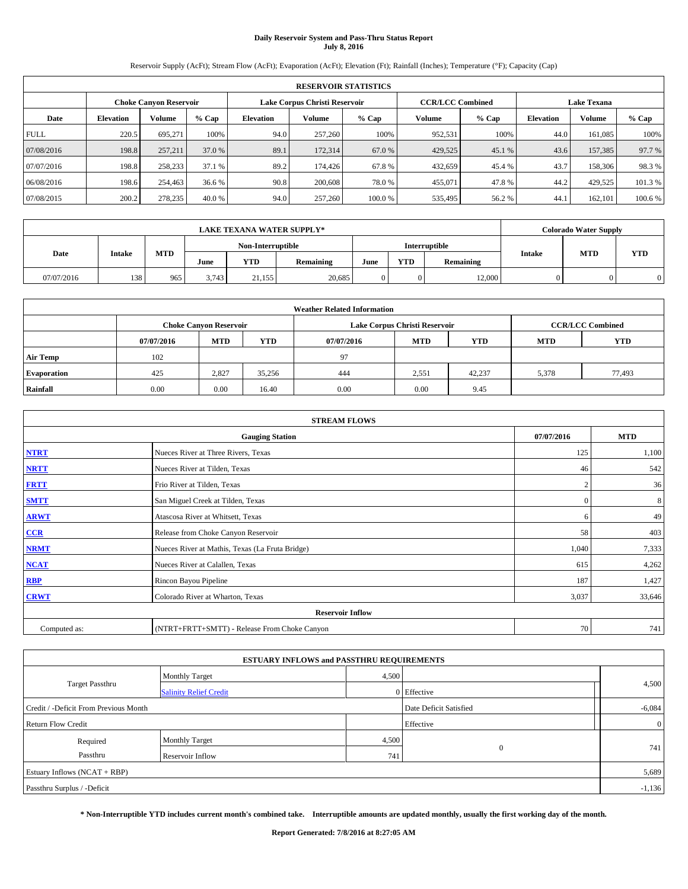# **Daily Reservoir System and Pass-Thru Status Report July 8, 2016**

Reservoir Supply (AcFt); Stream Flow (AcFt); Evaporation (AcFt); Elevation (Ft); Rainfall (Inches); Temperature (°F); Capacity (Cap)

|                                                                                                                 | <b>RESERVOIR STATISTICS</b> |         |         |                  |         |         |         |         |                  |         |         |
|-----------------------------------------------------------------------------------------------------------------|-----------------------------|---------|---------|------------------|---------|---------|---------|---------|------------------|---------|---------|
| <b>CCR/LCC Combined</b><br><b>Lake Texana</b><br>Lake Corpus Christi Reservoir<br><b>Choke Canyon Reservoir</b> |                             |         |         |                  |         |         |         |         |                  |         |         |
| Date                                                                                                            | <b>Elevation</b>            | Volume  | $%$ Cap | <b>Elevation</b> | Volume  | $%$ Cap | Volume  | $%$ Cap | <b>Elevation</b> | Volume  | % Cap   |
| <b>FULL</b>                                                                                                     | 220.5                       | 695.271 | 100%    | 94.0             | 257,260 | 100%    | 952,531 | 100%    | 44.0             | 161,085 | 100%    |
| 07/08/2016                                                                                                      | 198.8                       | 257,211 | 37.0 %  | 89.1             | 172,314 | 67.0 %  | 429,525 | 45.1 %  | 43.6             | 157,385 | 97.7 %  |
| 07/07/2016                                                                                                      | 198.8                       | 258,233 | 37.1 %  | 89.2             | 174,426 | 67.8%   | 432,659 | 45.4 %  | 43.7             | 158,306 | 98.3%   |
| 06/08/2016                                                                                                      | 198.6                       | 254,463 | 36.6 %  | 90.8             | 200,608 | 78.0 %  | 455,071 | 47.8%   | 44.2             | 429,525 | 101.3 % |
| 07/08/2015                                                                                                      | 200.2                       | 278,235 | 40.0 %  | 94.0             | 257,260 | 100.0%  | 535,495 | 56.2%   | 44.1             | 162.101 | 100.6 % |

|                | <b>LAKE TEXANA WATER SUPPLY*</b> |            |                   |            |           |               |            |           |               |            | <b>Colorado Water Supply</b> |
|----------------|----------------------------------|------------|-------------------|------------|-----------|---------------|------------|-----------|---------------|------------|------------------------------|
| Date<br>Intake |                                  |            | Non-Interruptible |            |           | Interruptible |            |           |               |            |                              |
|                |                                  | <b>MTD</b> | June              | <b>YTD</b> | Remaining | June          | <b>YTD</b> | Remaining | <b>Intake</b> | <b>MTD</b> | <b>YTD</b>                   |
| 07/07/2016     | 138                              | 965        | 3.743             | 21.155     | 20,685    |               |            | 12,000    |               |            |                              |

| <b>Weather Related Information</b> |            |                               |            |            |                               |                         |            |        |  |  |  |
|------------------------------------|------------|-------------------------------|------------|------------|-------------------------------|-------------------------|------------|--------|--|--|--|
|                                    |            | <b>Choke Canyon Reservoir</b> |            |            | Lake Corpus Christi Reservoir | <b>CCR/LCC Combined</b> |            |        |  |  |  |
|                                    | 07/07/2016 | <b>MTD</b>                    | <b>YTD</b> | 07/07/2016 | <b>MTD</b>                    | <b>MTD</b>              | <b>YTD</b> |        |  |  |  |
| <b>Air Temp</b>                    | 102        |                               |            | 97         |                               |                         |            |        |  |  |  |
| <b>Evaporation</b>                 | 425        | 2,827                         | 35,256     | 444        | 2,551                         | 42.237                  | 5,378      | 77,493 |  |  |  |
| Rainfall                           | 0.00       | 0.00                          | 16.40      | 0.00       | 0.00                          | 9.45                    |            |        |  |  |  |

| <b>STREAM FLOWS</b> |                                                 |              |            |  |  |  |  |  |
|---------------------|-------------------------------------------------|--------------|------------|--|--|--|--|--|
|                     | <b>Gauging Station</b>                          | 07/07/2016   | <b>MTD</b> |  |  |  |  |  |
| <b>NTRT</b>         | Nueces River at Three Rivers, Texas             | 125          | 1,100      |  |  |  |  |  |
| <b>NRTT</b>         | Nueces River at Tilden, Texas                   | 46           | 542        |  |  |  |  |  |
| <b>FRTT</b>         | Frio River at Tilden, Texas                     |              | 36         |  |  |  |  |  |
| <b>SMTT</b>         | San Miguel Creek at Tilden, Texas               | $\mathbf{0}$ | 8          |  |  |  |  |  |
| <b>ARWT</b>         | Atascosa River at Whitsett, Texas               | 6            | 49         |  |  |  |  |  |
| $CCR$               | Release from Choke Canyon Reservoir             | 58           | 403        |  |  |  |  |  |
| <b>NRMT</b>         | Nueces River at Mathis, Texas (La Fruta Bridge) | 1,040        | 7,333      |  |  |  |  |  |
| <b>NCAT</b>         | Nueces River at Calallen, Texas                 | 615          | 4,262      |  |  |  |  |  |
| RBP                 | Rincon Bayou Pipeline                           | 187          | 1,427      |  |  |  |  |  |
| <b>CRWT</b>         | Colorado River at Wharton, Texas                | 3,037        | 33,646     |  |  |  |  |  |
|                     |                                                 |              |            |  |  |  |  |  |
| Computed as:        | (NTRT+FRTT+SMTT) - Release From Choke Canyon    |              |            |  |  |  |  |  |

|                                                                 |                                              | <b>ESTUARY INFLOWS and PASSTHRU REQUIREMENTS</b> |     |       |  |  |  |
|-----------------------------------------------------------------|----------------------------------------------|--------------------------------------------------|-----|-------|--|--|--|
|                                                                 | <b>Monthly Target</b>                        | 4,500                                            |     |       |  |  |  |
| Target Passthru                                                 | 0 Effective<br><b>Salinity Relief Credit</b> |                                                  |     | 4,500 |  |  |  |
| Date Deficit Satisfied<br>Credit / -Deficit From Previous Month |                                              |                                                  |     |       |  |  |  |
| Effective<br><b>Return Flow Credit</b>                          |                                              |                                                  |     |       |  |  |  |
| Required                                                        | <b>Monthly Target</b>                        | 4,500                                            |     |       |  |  |  |
| Passthru                                                        | Reservoir Inflow                             | $\mathbf{0}$                                     | 741 |       |  |  |  |
| Estuary Inflows (NCAT + RBP)                                    |                                              |                                                  |     | 5,689 |  |  |  |
| Passthru Surplus / -Deficit                                     |                                              |                                                  |     |       |  |  |  |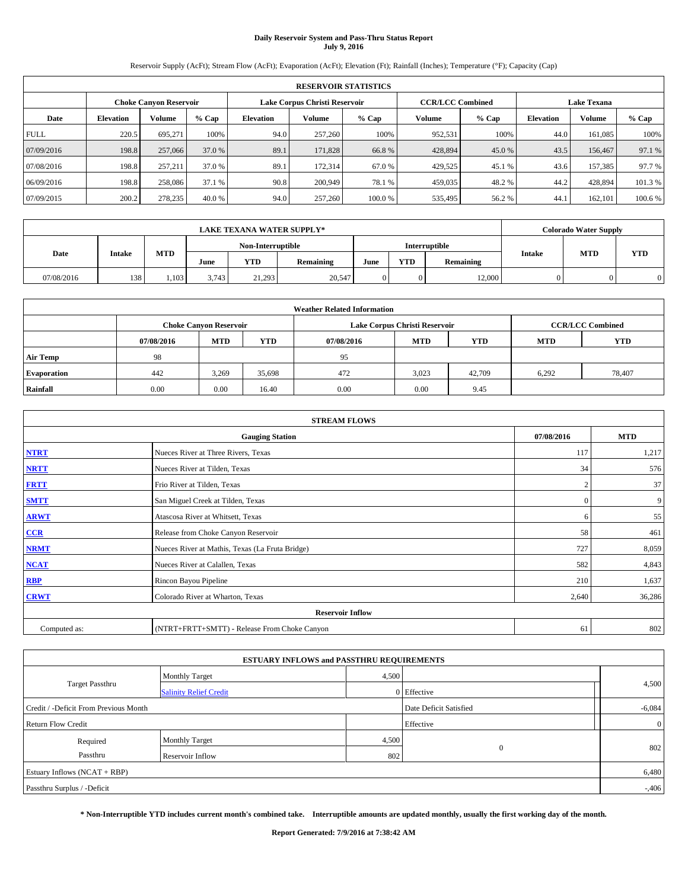# **Daily Reservoir System and Pass-Thru Status Report July 9, 2016**

Reservoir Supply (AcFt); Stream Flow (AcFt); Evaporation (AcFt); Elevation (Ft); Rainfall (Inches); Temperature (°F); Capacity (Cap)

| <b>RESERVOIR STATISTICS</b> |                  |                               |         |                  |                               |         |                         |         |                  |                    |         |  |
|-----------------------------|------------------|-------------------------------|---------|------------------|-------------------------------|---------|-------------------------|---------|------------------|--------------------|---------|--|
|                             |                  | <b>Choke Canvon Reservoir</b> |         |                  | Lake Corpus Christi Reservoir |         | <b>CCR/LCC Combined</b> |         |                  | <b>Lake Texana</b> |         |  |
| Date                        | <b>Elevation</b> | Volume                        | $%$ Cap | <b>Elevation</b> | Volume                        | $%$ Cap | Volume                  | $%$ Cap | <b>Elevation</b> | Volume             | % Cap   |  |
| <b>FULL</b>                 | 220.5            | 695.271                       | 100%    | 94.0             | 257,260                       | 100%    | 952,531                 | 100%    | 44.0             | 161,085            | 100%    |  |
| 07/09/2016                  | 198.8            | 257,066                       | 37.0 %  | 89.1             | 171,828                       | 66.8%   | 428,894                 | 45.0%   | 43.5             | 156,467            | 97.1 %  |  |
| 07/08/2016                  | 198.8            | 257,211                       | 37.0 %  | 89.1             | 172,314                       | 67.0 %  | 429,525                 | 45.1 %  | 43.6             | 157,385            | 97.7 %  |  |
| 06/09/2016                  | 198.8            | 258,086                       | 37.1 %  | 90.8             | 200,949                       | 78.1 %  | 459,035                 | 48.2 %  | 44.2             | 428,894            | 101.3 % |  |
| 07/09/2015                  | 200.2            | 278,235                       | 40.0%   | 94.0             | 257,260                       | 100.0%  | 535,495                 | 56.2%   | 44.1             | 162,101            | 100.6%  |  |

|            | <b>LAKE TEXANA WATER SUPPLY*</b> |            |                   |            |           |                      |            |           |               | <b>Colorado Water Supply</b> |            |  |
|------------|----------------------------------|------------|-------------------|------------|-----------|----------------------|------------|-----------|---------------|------------------------------|------------|--|
| Date       |                                  |            | Non-Interruptible |            |           | <b>Interruptible</b> |            |           |               |                              |            |  |
|            | <b>Intake</b>                    | <b>MTD</b> | June              | <b>YTD</b> | Remaining | June                 | <b>YTD</b> | Remaining | <b>Intake</b> | <b>MTD</b>                   | <b>YTD</b> |  |
| 07/08/2016 | 138                              | 1,103      | 3.743             | 21.293     | 20,547    |                      |            | 12,000    |               |                              |            |  |

| <b>Weather Related Information</b> |            |                               |            |            |                               |                         |       |        |  |  |  |
|------------------------------------|------------|-------------------------------|------------|------------|-------------------------------|-------------------------|-------|--------|--|--|--|
|                                    |            | <b>Choke Canvon Reservoir</b> |            |            | Lake Corpus Christi Reservoir | <b>CCR/LCC Combined</b> |       |        |  |  |  |
|                                    | 07/08/2016 | <b>MTD</b>                    | <b>YTD</b> | 07/08/2016 | <b>MTD</b>                    | <b>YTD</b>              |       |        |  |  |  |
| <b>Air Temp</b>                    | 98         |                               |            | 95         |                               |                         |       |        |  |  |  |
| <b>Evaporation</b>                 | 442        | 3,269                         | 35,698     | 472        | 3,023                         | 42,709                  | 6,292 | 78,407 |  |  |  |
| Rainfall                           | 0.00       | 0.00                          | 16.40      | 0.00       | 0.00                          | 9.45                    |       |        |  |  |  |

| <b>STREAM FLOWS</b> |                                                 |                |            |  |  |  |  |  |  |
|---------------------|-------------------------------------------------|----------------|------------|--|--|--|--|--|--|
|                     | <b>Gauging Station</b>                          | 07/08/2016     | <b>MTD</b> |  |  |  |  |  |  |
| <b>NTRT</b>         | Nueces River at Three Rivers, Texas             | 117            | 1,217      |  |  |  |  |  |  |
| <b>NRTT</b>         | Nueces River at Tilden, Texas                   |                |            |  |  |  |  |  |  |
| <b>FRTT</b>         | Frio River at Tilden, Texas                     | $\overline{2}$ | 37         |  |  |  |  |  |  |
| <b>SMTT</b>         | San Miguel Creek at Tilden, Texas               | $\mathbf{0}$   | 9          |  |  |  |  |  |  |
| <b>ARWT</b>         | Atascosa River at Whitsett, Texas               | 6              | 55         |  |  |  |  |  |  |
| $CCR$               | Release from Choke Canyon Reservoir             | 58             | 461        |  |  |  |  |  |  |
| <b>NRMT</b>         | Nueces River at Mathis, Texas (La Fruta Bridge) | 727            | 8,059      |  |  |  |  |  |  |
| <b>NCAT</b>         | Nueces River at Calallen, Texas                 | 582            | 4,843      |  |  |  |  |  |  |
| RBP                 | Rincon Bayou Pipeline                           | 210            | 1,637      |  |  |  |  |  |  |
| <b>CRWT</b>         | Colorado River at Wharton, Texas                | 2,640          | 36,286     |  |  |  |  |  |  |
|                     | <b>Reservoir Inflow</b>                         |                |            |  |  |  |  |  |  |
| Computed as:        | (NTRT+FRTT+SMTT) - Release From Choke Canyon    |                |            |  |  |  |  |  |  |

|                                                                 |                               | <b>ESTUARY INFLOWS and PASSTHRU REQUIREMENTS</b> |             |                |  |  |  |
|-----------------------------------------------------------------|-------------------------------|--------------------------------------------------|-------------|----------------|--|--|--|
|                                                                 | <b>Monthly Target</b>         | 4,500                                            |             |                |  |  |  |
| Target Passthru                                                 | <b>Salinity Relief Credit</b> |                                                  | 0 Effective | 4,500          |  |  |  |
| Credit / -Deficit From Previous Month<br>Date Deficit Satisfied |                               |                                                  |             |                |  |  |  |
| <b>Return Flow Credit</b>                                       |                               |                                                  | Effective   | $\overline{0}$ |  |  |  |
| Required                                                        | <b>Monthly Target</b>         | 4,500                                            |             |                |  |  |  |
| Passthru                                                        | Reservoir Inflow              | $\mathbf{0}$                                     | 802         |                |  |  |  |
| Estuary Inflows (NCAT + RBP)                                    |                               |                                                  |             |                |  |  |  |
| Passthru Surplus / -Deficit                                     |                               |                                                  |             |                |  |  |  |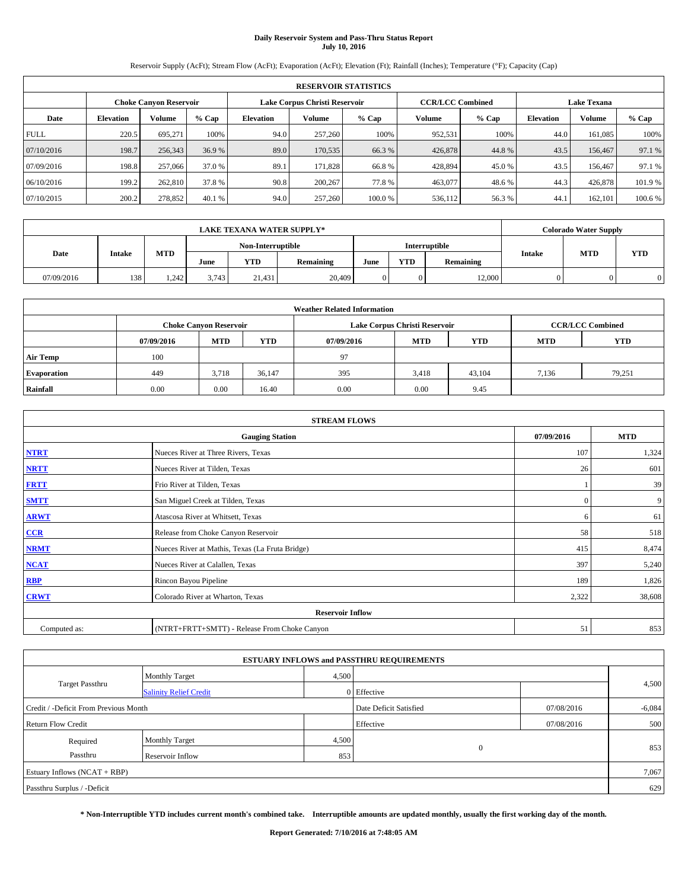# **Daily Reservoir System and Pass-Thru Status Report July 10, 2016**

Reservoir Supply (AcFt); Stream Flow (AcFt); Evaporation (AcFt); Elevation (Ft); Rainfall (Inches); Temperature (°F); Capacity (Cap)

| <b>RESERVOIR STATISTICS</b> |                  |                        |         |           |                               |        |                         |         |                    |               |         |  |
|-----------------------------|------------------|------------------------|---------|-----------|-------------------------------|--------|-------------------------|---------|--------------------|---------------|---------|--|
|                             |                  | Choke Canvon Reservoir |         |           | Lake Corpus Christi Reservoir |        | <b>CCR/LCC Combined</b> |         | <b>Lake Texana</b> |               |         |  |
| Date                        | <b>Elevation</b> | Volume                 | $%$ Cap | Elevation | Volume                        | % Cap  | Volume                  | $%$ Cap | <b>Elevation</b>   | <b>Volume</b> | % Cap   |  |
| <b>FULL</b>                 | 220.5            | 695,271                | 100%    | 94.0      | 257,260                       | 100%   | 952,531                 | 100%    | 44.0               | 161.085       | 100%    |  |
| 07/10/2016                  | 198.7            | 256,343                | 36.9 %  | 89.0      | 170,535                       | 66.3 % | 426,878                 | 44.8%   | 43.5               | 156,467       | 97.1 %  |  |
| 07/09/2016                  | 198.8            | 257,066                | 37.0 %  | 89.1      | 171.828                       | 66.8%  | 428,894                 | 45.0 %  | 43.5               | 156,467       | 97.1 %  |  |
| 06/10/2016                  | 199.2            | 262,810                | 37.8 %  | 90.8      | 200,267                       | 77.8%  | 463,077                 | 48.6%   | 44.3               | 426,878       | 101.9 % |  |
| 07/10/2015                  | 200.2            | 278,852                | 40.1 %  | 94.0      | 257,260                       | 100.0% | 536,112                 | 56.3%   | 44.                | 162,101       | 100.6 % |  |

|            | <b>LAKE TEXANA WATER SUPPLY*</b> |            |                   |            |           |                      |            |           |               | <b>Colorado Water Supply</b> |            |
|------------|----------------------------------|------------|-------------------|------------|-----------|----------------------|------------|-----------|---------------|------------------------------|------------|
| Date       |                                  |            | Non-Interruptible |            |           | <b>Interruptible</b> |            |           |               |                              |            |
|            | <b>Intake</b>                    | <b>MTD</b> | June              | <b>YTD</b> | Remaining | June                 | <b>YTD</b> | Remaining | <b>Intake</b> | <b>MTD</b>                   | <b>YTD</b> |
| 07/09/2016 | 138                              | 1.242      | 3.743             | 21.431     | 20,409    |                      |            | 12,000    |               |                              |            |

| <b>Weather Related Information</b> |            |                               |            |            |                               |                         |       |        |  |  |
|------------------------------------|------------|-------------------------------|------------|------------|-------------------------------|-------------------------|-------|--------|--|--|
|                                    |            | <b>Choke Canyon Reservoir</b> |            |            | Lake Corpus Christi Reservoir | <b>CCR/LCC Combined</b> |       |        |  |  |
|                                    | 07/09/2016 | <b>MTD</b>                    | <b>YTD</b> | 07/09/2016 | <b>MTD</b>                    | <b>YTD</b>              |       |        |  |  |
| <b>Air Temp</b>                    | 100        |                               |            | 97         |                               |                         |       |        |  |  |
| <b>Evaporation</b>                 | 449        | 3,718                         | 36,147     | 395        | 3.418                         | 43,104                  | 7,136 | 79,251 |  |  |
| Rainfall                           | 0.00       | 0.00                          | 16.40      | 0.00       | 0.00                          | 9.45                    |       |        |  |  |

| <b>STREAM FLOWS</b> |                                                 |              |        |  |  |  |  |  |  |
|---------------------|-------------------------------------------------|--------------|--------|--|--|--|--|--|--|
|                     | <b>Gauging Station</b>                          |              |        |  |  |  |  |  |  |
| <b>NTRT</b>         | Nueces River at Three Rivers, Texas             |              |        |  |  |  |  |  |  |
| <b>NRTT</b>         | Nueces River at Tilden, Texas                   | 26           | 601    |  |  |  |  |  |  |
| <b>FRTT</b>         | Frio River at Tilden, Texas                     |              | 39     |  |  |  |  |  |  |
| <b>SMTT</b>         | San Miguel Creek at Tilden, Texas               | $\mathbf{0}$ | 9      |  |  |  |  |  |  |
| <b>ARWT</b>         | Atascosa River at Whitsett, Texas               | 6            | 61     |  |  |  |  |  |  |
| $CCR$               | Release from Choke Canyon Reservoir             | 58           | 518    |  |  |  |  |  |  |
| <b>NRMT</b>         | Nueces River at Mathis, Texas (La Fruta Bridge) | 415          | 8,474  |  |  |  |  |  |  |
| <b>NCAT</b>         | Nueces River at Calallen, Texas                 | 397          | 5,240  |  |  |  |  |  |  |
| RBP                 | Rincon Bayou Pipeline                           | 189          | 1,826  |  |  |  |  |  |  |
| <b>CRWT</b>         | Colorado River at Wharton, Texas                | 2,322        | 38,608 |  |  |  |  |  |  |
|                     |                                                 |              |        |  |  |  |  |  |  |
| Computed as:        | (NTRT+FRTT+SMTT) - Release From Choke Canyon    | 51           | 853    |  |  |  |  |  |  |

|                                       |                               |                                      | <b>ESTUARY INFLOWS and PASSTHRU REQUIREMENTS</b> |            |       |  |  |  |  |
|---------------------------------------|-------------------------------|--------------------------------------|--------------------------------------------------|------------|-------|--|--|--|--|
|                                       | <b>Monthly Target</b>         | 4,500                                |                                                  |            |       |  |  |  |  |
| Target Passthru                       | <b>Salinity Relief Credit</b> |                                      | 0 Effective                                      |            | 4,500 |  |  |  |  |
| Credit / -Deficit From Previous Month |                               | Date Deficit Satisfied<br>07/08/2016 |                                                  | $-6,084$   |       |  |  |  |  |
| <b>Return Flow Credit</b>             |                               |                                      | Effective                                        | 07/08/2016 | 500   |  |  |  |  |
| Required                              | <b>Monthly Target</b>         | 4,500                                |                                                  |            |       |  |  |  |  |
| Passthru                              | Reservoir Inflow              | 853                                  | $\Omega$                                         |            | 853   |  |  |  |  |
| Estuary Inflows (NCAT + RBP)          |                               |                                      |                                                  |            |       |  |  |  |  |
| Passthru Surplus / -Deficit           |                               |                                      |                                                  |            |       |  |  |  |  |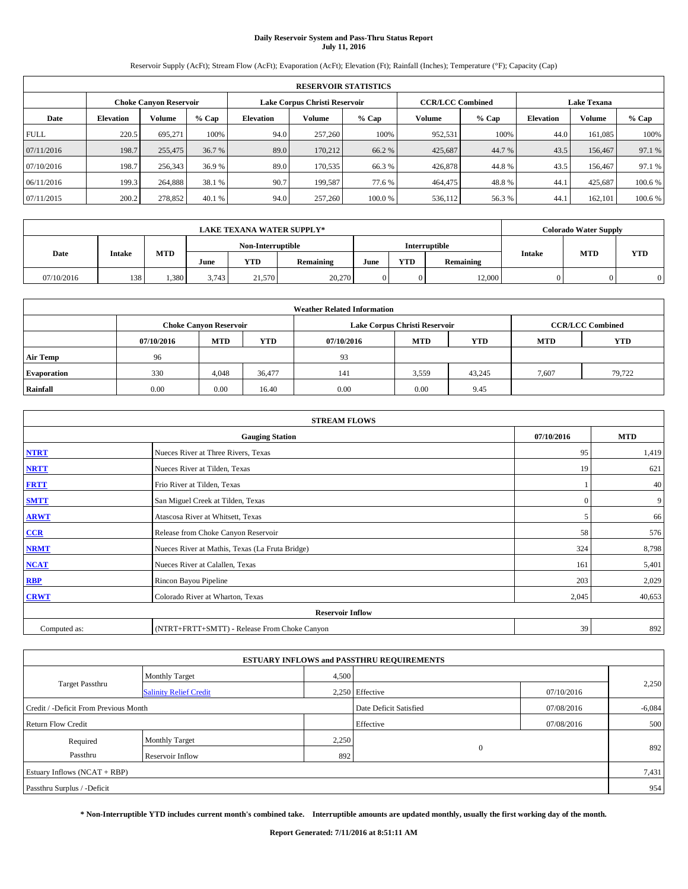# **Daily Reservoir System and Pass-Thru Status Report July 11, 2016**

Reservoir Supply (AcFt); Stream Flow (AcFt); Evaporation (AcFt); Elevation (Ft); Rainfall (Inches); Temperature (°F); Capacity (Cap)

|             | <b>RESERVOIR STATISTICS</b> |                               |         |           |                               |        |                         |         |                  |                    |         |  |
|-------------|-----------------------------|-------------------------------|---------|-----------|-------------------------------|--------|-------------------------|---------|------------------|--------------------|---------|--|
|             |                             | <b>Choke Canyon Reservoir</b> |         |           | Lake Corpus Christi Reservoir |        | <b>CCR/LCC Combined</b> |         |                  | <b>Lake Texana</b> |         |  |
| Date        | <b>Elevation</b>            | Volume                        | $%$ Cap | Elevation | Volume                        | % Cap  | Volume                  | $%$ Cap | <b>Elevation</b> | <b>Volume</b>      | % Cap   |  |
| <b>FULL</b> | 220.5                       | 695,271                       | 100%    | 94.0      | 257,260                       | 100%   | 952,531                 | 100%    | 44.0             | 161.085            | 100%    |  |
| 07/11/2016  | 198.7                       | 255,475                       | 36.7 %  | 89.0      | 170.212                       | 66.2 % | 425,687                 | 44.7 %  | 43.5             | 156,467            | 97.1 %  |  |
| 07/10/2016  | 198.7                       | 256,343                       | 36.9 %  | 89.0      | 170.535                       | 66.3%  | 426,878                 | 44.8%   | 43.5             | 156,467            | 97.1 %  |  |
| 06/11/2016  | 199.3                       | 264,888                       | 38.1 %  | 90.7      | 199.587                       | 77.6 % | 464,475                 | 48.8%   | 44.1             | 425.687            | 100.6%  |  |
| 07/11/2015  | 200.2                       | 278,852                       | 40.1 %  | 94.0      | 257,260                       | 100.0% | 536,112                 | 56.3%   | 44.              | 162,101            | 100.6 % |  |

| <b>LAKE TEXANA WATER SUPPLY*</b> |               |            |       |                   |           |               |            | <b>Colorado Water Supply</b> |               |            |            |
|----------------------------------|---------------|------------|-------|-------------------|-----------|---------------|------------|------------------------------|---------------|------------|------------|
|                                  |               |            |       | Non-Interruptible |           | Interruptible |            |                              |               |            |            |
| Date                             | <b>Intake</b> | <b>MTD</b> | June  | <b>YTD</b>        | Remaining | June          | <b>YTD</b> | Remaining                    | <b>Intake</b> | <b>MTD</b> | <b>YTD</b> |
| 07/10/2016                       | 138           | 1,380      | 3.743 | 21,570            | 20,270    |               |            | 12,000                       |               |            |            |

| <b>Weather Related Information</b> |            |                               |            |            |                               |                         |            |            |  |  |  |
|------------------------------------|------------|-------------------------------|------------|------------|-------------------------------|-------------------------|------------|------------|--|--|--|
|                                    |            | <b>Choke Canyon Reservoir</b> |            |            | Lake Corpus Christi Reservoir | <b>CCR/LCC Combined</b> |            |            |  |  |  |
|                                    | 07/10/2016 | <b>MTD</b>                    | <b>YTD</b> | 07/10/2016 | <b>MTD</b>                    | <b>YTD</b>              | <b>MTD</b> | <b>YTD</b> |  |  |  |
| <b>Air Temp</b>                    | 96         |                               |            | 93         |                               |                         |            |            |  |  |  |
| <b>Evaporation</b>                 | 330        | 4,048                         | 36,477     | 141        | 3,559                         | 43.245                  | 7,607      | 79,722     |  |  |  |
| Rainfall                           | 0.00       | 0.00                          | 16.40      | 0.00       | 0.00                          | 9.45                    |            |            |  |  |  |

| <b>STREAM FLOWS</b> |                                                 |              |        |  |  |  |  |  |  |
|---------------------|-------------------------------------------------|--------------|--------|--|--|--|--|--|--|
|                     | <b>Gauging Station</b>                          |              |        |  |  |  |  |  |  |
| <b>NTRT</b>         | Nueces River at Three Rivers, Texas             |              |        |  |  |  |  |  |  |
| <b>NRTT</b>         | Nueces River at Tilden, Texas                   | 19           | 621    |  |  |  |  |  |  |
| <b>FRTT</b>         | Frio River at Tilden, Texas                     |              | 40     |  |  |  |  |  |  |
| <b>SMTT</b>         | San Miguel Creek at Tilden, Texas               | $\mathbf{0}$ | 9      |  |  |  |  |  |  |
| <b>ARWT</b>         | Atascosa River at Whitsett, Texas               | 5            | 66     |  |  |  |  |  |  |
| $CCR$               | Release from Choke Canyon Reservoir             | 58           | 576    |  |  |  |  |  |  |
| <b>NRMT</b>         | Nueces River at Mathis, Texas (La Fruta Bridge) | 324          | 8,798  |  |  |  |  |  |  |
| <b>NCAT</b>         | Nueces River at Calallen, Texas                 | 161          | 5,401  |  |  |  |  |  |  |
| RBP                 | Rincon Bayou Pipeline                           | 203          | 2,029  |  |  |  |  |  |  |
| <b>CRWT</b>         | Colorado River at Wharton, Texas                | 2,045        | 40,653 |  |  |  |  |  |  |
|                     |                                                 |              |        |  |  |  |  |  |  |
| Computed as:        | (NTRT+FRTT+SMTT) - Release From Choke Canyon    | 39           | 892    |  |  |  |  |  |  |

|                                       |                               |                        | <b>ESTUARY INFLOWS and PASSTHRU REQUIREMENTS</b> |            |       |  |  |
|---------------------------------------|-------------------------------|------------------------|--------------------------------------------------|------------|-------|--|--|
|                                       | <b>Monthly Target</b>         | 4,500                  |                                                  |            | 2,250 |  |  |
| <b>Target Passthru</b>                | <b>Salinity Relief Credit</b> |                        | 2.250 Effective                                  | 07/10/2016 |       |  |  |
| Credit / -Deficit From Previous Month |                               | Date Deficit Satisfied | 07/08/2016                                       | $-6,084$   |       |  |  |
| <b>Return Flow Credit</b>             |                               |                        | Effective                                        | 07/08/2016 | 500   |  |  |
| Required                              | <b>Monthly Target</b>         | 2,250                  |                                                  |            |       |  |  |
| Passthru<br><b>Reservoir Inflow</b>   |                               | 892                    | $\Omega$                                         |            | 892   |  |  |
| Estuary Inflows $(NCAT + RBP)$        |                               |                        |                                                  |            |       |  |  |
| Passthru Surplus / -Deficit           |                               |                        |                                                  |            | 954   |  |  |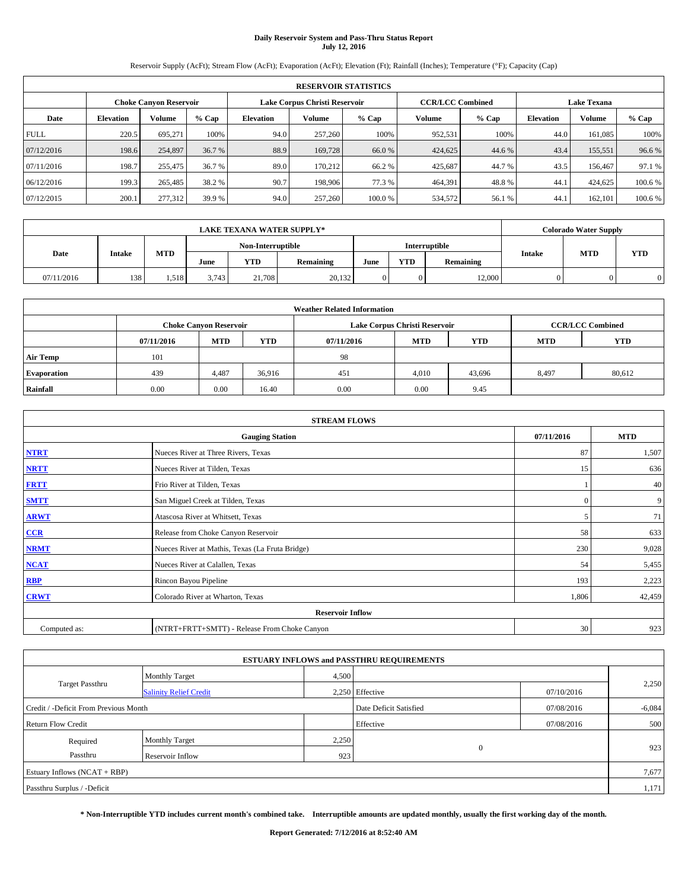# **Daily Reservoir System and Pass-Thru Status Report July 12, 2016**

Reservoir Supply (AcFt); Stream Flow (AcFt); Evaporation (AcFt); Elevation (Ft); Rainfall (Inches); Temperature (°F); Capacity (Cap)

|             | <b>RESERVOIR STATISTICS</b> |                        |         |                  |                               |        |                         |         |                  |                    |        |  |
|-------------|-----------------------------|------------------------|---------|------------------|-------------------------------|--------|-------------------------|---------|------------------|--------------------|--------|--|
|             |                             | Choke Canvon Reservoir |         |                  | Lake Corpus Christi Reservoir |        | <b>CCR/LCC Combined</b> |         |                  | <b>Lake Texana</b> |        |  |
| Date        | <b>Elevation</b>            | Volume                 | $%$ Cap | <b>Elevation</b> | Volume                        | % Cap  | Volume                  | $%$ Cap | <b>Elevation</b> | <b>Volume</b>      | % Cap  |  |
| <b>FULL</b> | 220.5                       | 695,271                | 100%    | 94.0             | 257,260                       | 100%   | 952,531                 | 100%    | 44.0             | 161.085            | 100%   |  |
| 07/12/2016  | 198.6                       | 254,897                | 36.7 %  | 88.9             | 169,728                       | 66.0%  | 424,625                 | 44.6 %  | 43.4             | 155,551            | 96.6%  |  |
| 07/11/2016  | 198.7                       | 255,475                | 36.7 %  | 89.0             | 170.212                       | 66.2%  | 425,687                 | 44.7%   | 43.5             | 156,467            | 97.1 % |  |
| 06/12/2016  | 199.3                       | 265,485                | 38.2 %  | 90.7             | 198,906                       | 77.3 % | 464,391                 | 48.8%   | 44.1             | 424,625            | 100.6% |  |
| 07/12/2015  | 200.1                       | 277,312                | 39.9 %  | 94.0             | 257,260                       | 100.0% | 534,572                 | 56.1 %  | 44.              | 162,101            | 100.6% |  |

| <b>LAKE TEXANA WATER SUPPLY*</b> |        |       |                   |        |            |               |            | <b>Colorado Water Supply</b> |      |            |           |               |            |            |
|----------------------------------|--------|-------|-------------------|--------|------------|---------------|------------|------------------------------|------|------------|-----------|---------------|------------|------------|
|                                  |        |       | Non-Interruptible |        |            | Interruptible |            |                              |      |            |           |               |            |            |
| Date                             | Intake |       |                   |        | <b>MTD</b> | June          | <b>YTD</b> | <b>Remaining</b>             | June | <b>YTD</b> | Remaining | <b>Intake</b> | <b>MTD</b> | <b>YTD</b> |
| 07/11/2016                       | 138    | 1.518 | 3.743             | 21.708 | 20.132     | 0             | 0          | 12,000                       |      |            |           |               |            |            |

| <b>Weather Related Information</b> |            |                               |            |            |                               |                         |            |            |  |  |  |
|------------------------------------|------------|-------------------------------|------------|------------|-------------------------------|-------------------------|------------|------------|--|--|--|
|                                    |            | <b>Choke Canyon Reservoir</b> |            |            | Lake Corpus Christi Reservoir | <b>CCR/LCC Combined</b> |            |            |  |  |  |
|                                    | 07/11/2016 | <b>MTD</b>                    | <b>YTD</b> | 07/11/2016 | <b>MTD</b>                    | <b>YTD</b>              | <b>MTD</b> | <b>YTD</b> |  |  |  |
| <b>Air Temp</b>                    | 101        |                               |            | 98         |                               |                         |            |            |  |  |  |
| <b>Evaporation</b>                 | 439        | 4.487                         | 36,916     | 451        | 4,010                         | 43,696                  | 8,497      | 80,612     |  |  |  |
| Rainfall                           | 0.00       | 0.00                          | 16.40      | 0.00       | 0.00                          | 9.45                    |            |            |  |  |  |

| <b>STREAM FLOWS</b> |                                                 |              |        |  |  |  |  |  |  |
|---------------------|-------------------------------------------------|--------------|--------|--|--|--|--|--|--|
|                     | <b>Gauging Station</b>                          |              |        |  |  |  |  |  |  |
| <b>NTRT</b>         | Nueces River at Three Rivers, Texas             |              |        |  |  |  |  |  |  |
| <b>NRTT</b>         | Nueces River at Tilden, Texas                   | 15           | 636    |  |  |  |  |  |  |
| <b>FRTT</b>         | Frio River at Tilden, Texas                     |              | 40     |  |  |  |  |  |  |
| <b>SMTT</b>         | San Miguel Creek at Tilden, Texas               | $\mathbf{0}$ | 9      |  |  |  |  |  |  |
| <b>ARWT</b>         | Atascosa River at Whitsett, Texas               | 5            | 71     |  |  |  |  |  |  |
| $CCR$               | Release from Choke Canyon Reservoir             | 58           | 633    |  |  |  |  |  |  |
| <b>NRMT</b>         | Nueces River at Mathis, Texas (La Fruta Bridge) | 230          | 9,028  |  |  |  |  |  |  |
| <b>NCAT</b>         | Nueces River at Calallen, Texas                 | 54           | 5,455  |  |  |  |  |  |  |
| RBP                 | Rincon Bayou Pipeline                           | 193          | 2,223  |  |  |  |  |  |  |
| <b>CRWT</b>         | Colorado River at Wharton, Texas                | 1,806        | 42,459 |  |  |  |  |  |  |
|                     |                                                 |              |        |  |  |  |  |  |  |
| Computed as:        | (NTRT+FRTT+SMTT) - Release From Choke Canyon    | 30           | 923    |  |  |  |  |  |  |

| <b>ESTUARY INFLOWS and PASSTHRU REQUIREMENTS</b> |                               |       |                        |            |          |  |  |  |  |  |
|--------------------------------------------------|-------------------------------|-------|------------------------|------------|----------|--|--|--|--|--|
|                                                  | <b>Monthly Target</b>         | 4,500 |                        |            |          |  |  |  |  |  |
| <b>Target Passthru</b>                           | <b>Salinity Relief Credit</b> |       | 2,250 Effective        | 07/10/2016 | 2,250    |  |  |  |  |  |
| Credit / -Deficit From Previous Month            |                               |       | Date Deficit Satisfied | 07/08/2016 | $-6,084$ |  |  |  |  |  |
| <b>Return Flow Credit</b>                        |                               |       | Effective              | 07/08/2016 | 500      |  |  |  |  |  |
| Required                                         | Monthly Target                | 2,250 |                        |            |          |  |  |  |  |  |
| Passthru                                         | Reservoir Inflow              | 923   | $\Omega$               | 923        |          |  |  |  |  |  |
| Estuary Inflows (NCAT + RBP)                     |                               |       |                        |            |          |  |  |  |  |  |
| Passthru Surplus / -Deficit                      |                               |       |                        |            |          |  |  |  |  |  |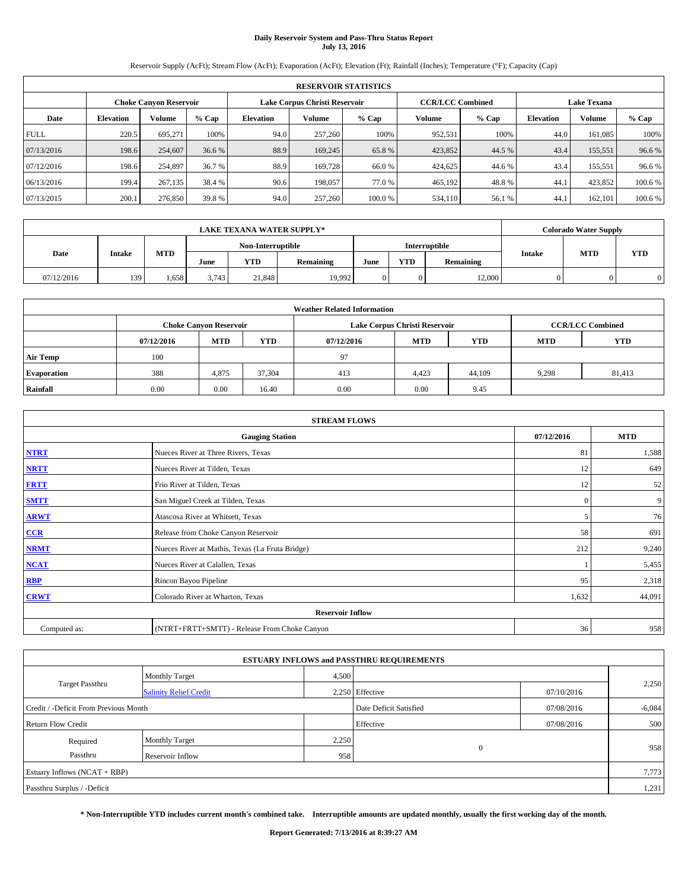# **Daily Reservoir System and Pass-Thru Status Report July 13, 2016**

Reservoir Supply (AcFt); Stream Flow (AcFt); Evaporation (AcFt); Elevation (Ft); Rainfall (Inches); Temperature (°F); Capacity (Cap)

|             | <b>RESERVOIR STATISTICS</b>   |         |         |           |                               |        |                         |         |                  |                    |         |  |
|-------------|-------------------------------|---------|---------|-----------|-------------------------------|--------|-------------------------|---------|------------------|--------------------|---------|--|
|             | <b>Choke Canyon Reservoir</b> |         |         |           | Lake Corpus Christi Reservoir |        | <b>CCR/LCC Combined</b> |         |                  | <b>Lake Texana</b> |         |  |
| Date        | <b>Elevation</b>              | Volume  | $%$ Cap | Elevation | Volume                        | % Cap  | Volume                  | $%$ Cap | <b>Elevation</b> | <b>Volume</b>      | % Cap   |  |
| <b>FULL</b> | 220.5                         | 695,271 | 100%    | 94.0      | 257,260                       | 100%   | 952,531                 | 100%    | 44.0             | 161.085            | 100%    |  |
| 07/13/2016  | 198.6                         | 254,607 | 36.6 %  | 88.9      | 169,245                       | 65.8%  | 423,852                 | 44.5 %  | 43.4             | 155,551            | 96.6%   |  |
| 07/12/2016  | 198.6                         | 254,897 | 36.7 %  | 88.9      | 169,728                       | 66.0%  | 424,625                 | 44.6 %  | 43.4             | 155,551            | 96.6%   |  |
| 06/13/2016  | 199.4                         | 267,135 | 38.4 %  | 90.6      | 198,057                       | 77.0%  | 465,192                 | 48.8%   | 44.1             | 423.852            | 100.6%  |  |
| 07/13/2015  | 200.1                         | 276,850 | 39.8 %  | 94.0      | 257,260                       | 100.0% | 534,110                 | 56.1 %  | 44.              | 162,101            | 100.6 % |  |

|            | <b>LAKE TEXANA WATER SUPPLY*</b> |            |       |                   |           |      |            |               |               |            | <b>Colorado Water Supply</b> |
|------------|----------------------------------|------------|-------|-------------------|-----------|------|------------|---------------|---------------|------------|------------------------------|
|            |                                  |            |       | Non-Interruptible |           |      |            | Interruptible |               |            |                              |
| Date       | <b>Intake</b>                    | <b>MTD</b> | June  | <b>YTD</b>        | Remaining | June | <b>YTD</b> | Remaining     | <b>Intake</b> | <b>MTD</b> | <b>YTD</b>                   |
| 07/12/2016 | 139                              | 1,658      | 3.743 | 21,848            | 19.992    |      |            | 12,000        |               |            |                              |

| <b>Weather Related Information</b> |            |                                                                                  |        |      |                               |                         |       |            |  |  |  |
|------------------------------------|------------|----------------------------------------------------------------------------------|--------|------|-------------------------------|-------------------------|-------|------------|--|--|--|
|                                    |            | <b>Choke Canyon Reservoir</b>                                                    |        |      | Lake Corpus Christi Reservoir | <b>CCR/LCC Combined</b> |       |            |  |  |  |
|                                    | 07/12/2016 | <b>YTD</b><br><b>MTD</b><br><b>MTD</b><br><b>YTD</b><br>07/12/2016<br><b>MTD</b> |        |      |                               |                         |       | <b>YTD</b> |  |  |  |
| <b>Air Temp</b>                    | 100        |                                                                                  |        | 97   |                               |                         |       |            |  |  |  |
| <b>Evaporation</b>                 | 388        | 4,875                                                                            | 37.304 | 413  | 4,423                         | 44,109                  | 9,298 | 81,413     |  |  |  |
| Rainfall                           | 0.00       | 0.00                                                                             | 16.40  | 0.00 | 0.00                          | 9.45                    |       |            |  |  |  |

| <b>STREAM FLOWS</b> |                                                 |              |            |  |  |  |  |  |  |
|---------------------|-------------------------------------------------|--------------|------------|--|--|--|--|--|--|
|                     | <b>Gauging Station</b>                          | 07/12/2016   | <b>MTD</b> |  |  |  |  |  |  |
| <b>NTRT</b>         | Nueces River at Three Rivers, Texas             | 81           | 1,588      |  |  |  |  |  |  |
| <b>NRTT</b>         | Nueces River at Tilden, Texas                   | 12           | 649        |  |  |  |  |  |  |
| <b>FRTT</b>         | Frio River at Tilden, Texas                     | 12           | 52         |  |  |  |  |  |  |
| <b>SMTT</b>         | San Miguel Creek at Tilden, Texas               | $\mathbf{0}$ | 9          |  |  |  |  |  |  |
| <b>ARWT</b>         | Atascosa River at Whitsett, Texas               | 5            | 76         |  |  |  |  |  |  |
| $CCR$               | Release from Choke Canyon Reservoir             | 58           | 691        |  |  |  |  |  |  |
| <b>NRMT</b>         | Nueces River at Mathis, Texas (La Fruta Bridge) | 212          | 9,240      |  |  |  |  |  |  |
| <b>NCAT</b>         | Nueces River at Calallen, Texas                 |              | 5,455      |  |  |  |  |  |  |
| RBP                 | Rincon Bayou Pipeline                           | 95           | 2,318      |  |  |  |  |  |  |
| <b>CRWT</b>         | Colorado River at Wharton, Texas                | 1,632        | 44,091     |  |  |  |  |  |  |
|                     | <b>Reservoir Inflow</b>                         |              |            |  |  |  |  |  |  |
| Computed as:        | (NTRT+FRTT+SMTT) - Release From Choke Canyon    |              |            |  |  |  |  |  |  |

| <b>ESTUARY INFLOWS and PASSTHRU REQUIREMENTS</b> |                               |       |                        |            |          |  |  |  |  |  |
|--------------------------------------------------|-------------------------------|-------|------------------------|------------|----------|--|--|--|--|--|
|                                                  | <b>Monthly Target</b>         | 4,500 |                        |            |          |  |  |  |  |  |
| <b>Target Passthru</b>                           | <b>Salinity Relief Credit</b> |       | 2,250 Effective        | 07/10/2016 | 2,250    |  |  |  |  |  |
| Credit / -Deficit From Previous Month            |                               |       | Date Deficit Satisfied | 07/08/2016 | $-6,084$ |  |  |  |  |  |
| <b>Return Flow Credit</b>                        |                               |       | Effective              | 07/08/2016 | 500      |  |  |  |  |  |
| Required                                         | Monthly Target                | 2,250 |                        |            |          |  |  |  |  |  |
| Passthru                                         | Reservoir Inflow              | 958   | $\Omega$               |            | 958      |  |  |  |  |  |
| Estuary Inflows (NCAT + RBP)                     |                               |       |                        |            |          |  |  |  |  |  |
| Passthru Surplus / -Deficit                      |                               |       |                        |            |          |  |  |  |  |  |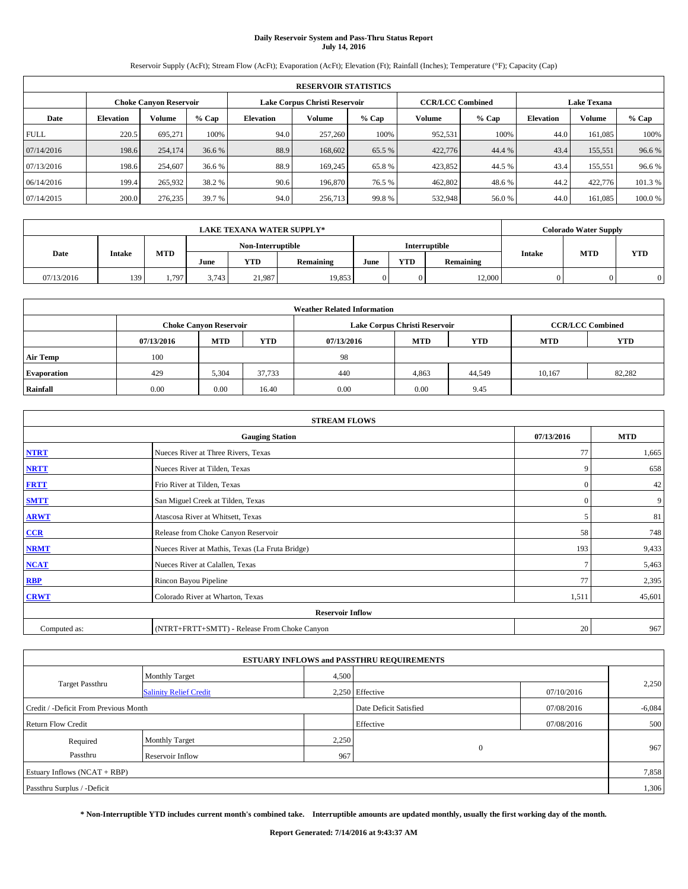# **Daily Reservoir System and Pass-Thru Status Report July 14, 2016**

Reservoir Supply (AcFt); Stream Flow (AcFt); Evaporation (AcFt); Elevation (Ft); Rainfall (Inches); Temperature (°F); Capacity (Cap)

|             | <b>RESERVOIR STATISTICS</b> |         |         |                  |                               |                         |         |         |                  |                    |         |  |
|-------------|-----------------------------|---------|---------|------------------|-------------------------------|-------------------------|---------|---------|------------------|--------------------|---------|--|
|             | Choke Canvon Reservoir      |         |         |                  | Lake Corpus Christi Reservoir | <b>CCR/LCC Combined</b> |         |         |                  | <b>Lake Texana</b> |         |  |
| Date        | <b>Elevation</b>            | Volume  | $%$ Cap | <b>Elevation</b> | Volume                        | $%$ Cap                 | Volume  | $%$ Cap | <b>Elevation</b> | <b>Volume</b>      | $%$ Cap |  |
| <b>FULL</b> | 220.5                       | 695,271 | 100%    | 94.0             | 257,260                       | 100%                    | 952.531 | 100%    | 44.0             | 161.085            | 100%    |  |
| 07/14/2016  | 198.6                       | 254,174 | 36.6 %  | 88.9             | 168,602                       | 65.5 %                  | 422,776 | 44.4 %  | 43.4             | 155,551            | 96.6%   |  |
| 07/13/2016  | 198.6                       | 254,607 | 36.6 %  | 88.9             | 169,245                       | 65.8%                   | 423,852 | 44.5 %  | 43.4             | 155.551            | 96.6%   |  |
| 06/14/2016  | 199.4                       | 265,932 | 38.2 %  | 90.6             | 196,870                       | 76.5 %                  | 462,802 | 48.6 %  | 44.2             | 422,776            | 101.3%  |  |
| 07/14/2015  | 200.0                       | 276,235 | 39.7 %  | 94.0             | 256,713                       | 99.8%                   | 532,948 | 56.0%   | 44.0             | 161.085            | 100.0%  |  |

|            | <b>LAKE TEXANA WATER SUPPLY*</b> |            |       |                   |           |      |            |               |               |            | <b>Colorado Water Supply</b> |
|------------|----------------------------------|------------|-------|-------------------|-----------|------|------------|---------------|---------------|------------|------------------------------|
|            |                                  |            |       | Non-Interruptible |           |      |            | Interruptible |               |            |                              |
| Date       | <b>Intake</b>                    | <b>MTD</b> | June  | <b>YTD</b>        | Remaining | June | <b>YTD</b> | Remaining     | <b>Intake</b> | <b>MTD</b> | <b>YTD</b>                   |
| 07/13/2016 | 139                              | 1.797      | 3.743 | 21.987            | 19.853    |      |            | 12,000        |               |            |                              |

| <b>Weather Related Information</b> |                                                                                  |                               |        |      |                               |                         |        |            |  |  |  |
|------------------------------------|----------------------------------------------------------------------------------|-------------------------------|--------|------|-------------------------------|-------------------------|--------|------------|--|--|--|
|                                    |                                                                                  | <b>Choke Canyon Reservoir</b> |        |      | Lake Corpus Christi Reservoir | <b>CCR/LCC Combined</b> |        |            |  |  |  |
|                                    | <b>YTD</b><br><b>MTD</b><br><b>MTD</b><br><b>YTD</b><br>07/13/2016<br>07/13/2016 |                               |        |      |                               |                         |        | <b>YTD</b> |  |  |  |
| <b>Air Temp</b>                    | 100                                                                              |                               |        | -98  |                               |                         |        |            |  |  |  |
| <b>Evaporation</b>                 | 429                                                                              | 5,304                         | 37,733 | 440  | 4,863                         | 44,549                  | 10.167 | 82,282     |  |  |  |
| Rainfall                           | 0.00                                                                             | 0.00                          | 16.40  | 0.00 | 0.00                          | 9.45                    |        |            |  |  |  |

| <b>STREAM FLOWS</b> |                                                 |               |            |  |  |  |  |  |  |
|---------------------|-------------------------------------------------|---------------|------------|--|--|--|--|--|--|
|                     | <b>Gauging Station</b>                          | 07/13/2016    | <b>MTD</b> |  |  |  |  |  |  |
| <b>NTRT</b>         | Nueces River at Three Rivers, Texas             | 77            | 1,665      |  |  |  |  |  |  |
| <b>NRTT</b>         | Nueces River at Tilden, Texas                   | 9             | 658        |  |  |  |  |  |  |
| <b>FRTT</b>         | Frio River at Tilden, Texas                     | $\mathbf{0}$  | 42         |  |  |  |  |  |  |
| <b>SMTT</b>         | San Miguel Creek at Tilden, Texas               | $\mathbf{0}$  | 9          |  |  |  |  |  |  |
| <b>ARWT</b>         | Atascosa River at Whitsett, Texas               | 5             | 81         |  |  |  |  |  |  |
| $CCR$               | Release from Choke Canyon Reservoir             | 58            | 748        |  |  |  |  |  |  |
| <b>NRMT</b>         | Nueces River at Mathis, Texas (La Fruta Bridge) | 193           | 9,433      |  |  |  |  |  |  |
| <b>NCAT</b>         | Nueces River at Calallen, Texas                 | $\mathcal{I}$ | 5,463      |  |  |  |  |  |  |
| RBP                 | Rincon Bayou Pipeline                           | 77            | 2,395      |  |  |  |  |  |  |
| <b>CRWT</b>         | Colorado River at Wharton, Texas                | 1,511         | 45,601     |  |  |  |  |  |  |
|                     | <b>Reservoir Inflow</b>                         |               |            |  |  |  |  |  |  |
| Computed as:        | (NTRT+FRTT+SMTT) - Release From Choke Canyon    |               |            |  |  |  |  |  |  |

|                                       |                               |                        | <b>ESTUARY INFLOWS and PASSTHRU REQUIREMENTS</b> |            |       |  |  |  |
|---------------------------------------|-------------------------------|------------------------|--------------------------------------------------|------------|-------|--|--|--|
|                                       | <b>Monthly Target</b>         | 4,500                  |                                                  |            |       |  |  |  |
| Target Passthru                       | <b>Salinity Relief Credit</b> |                        | 2.250 Effective                                  | 07/10/2016 | 2,250 |  |  |  |
| Credit / -Deficit From Previous Month |                               | Date Deficit Satisfied | 07/08/2016                                       | $-6,084$   |       |  |  |  |
| Return Flow Credit                    |                               |                        | Effective                                        | 07/08/2016 | 500   |  |  |  |
| Required                              | <b>Monthly Target</b>         | 2,250                  |                                                  |            |       |  |  |  |
| Passthru                              | Reservoir Inflow              | 967                    | $\Omega$                                         |            | 967   |  |  |  |
| Estuary Inflows (NCAT + RBP)          |                               |                        |                                                  |            |       |  |  |  |
| Passthru Surplus / -Deficit           |                               |                        |                                                  |            |       |  |  |  |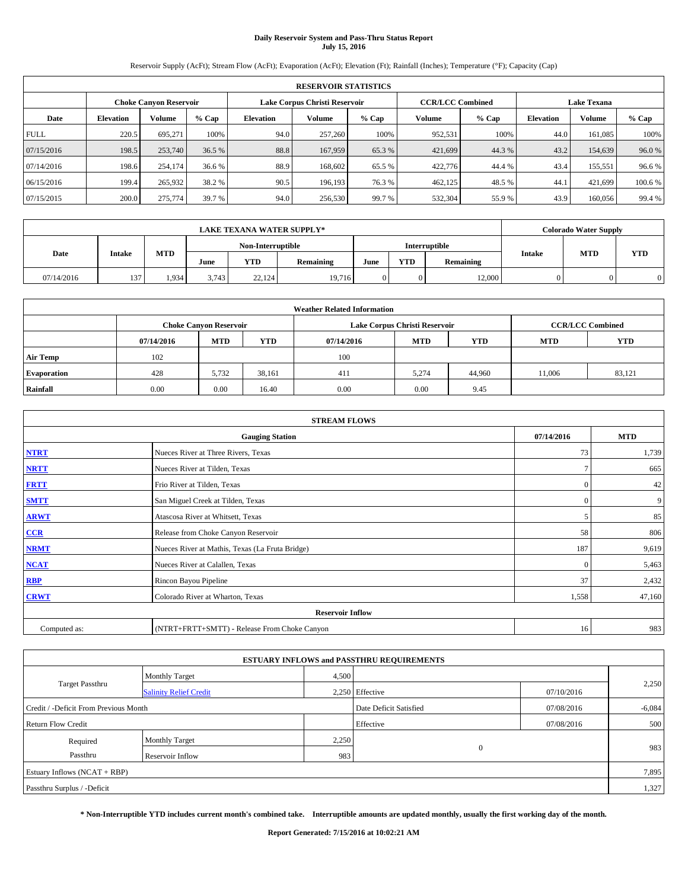# **Daily Reservoir System and Pass-Thru Status Report July 15, 2016**

Reservoir Supply (AcFt); Stream Flow (AcFt); Evaporation (AcFt); Elevation (Ft); Rainfall (Inches); Temperature (°F); Capacity (Cap)

|             | <b>RESERVOIR STATISTICS</b> |         |         |                  |                               |         |                         |         |                    |               |         |
|-------------|-----------------------------|---------|---------|------------------|-------------------------------|---------|-------------------------|---------|--------------------|---------------|---------|
|             | Choke Canvon Reservoir      |         |         |                  | Lake Corpus Christi Reservoir |         | <b>CCR/LCC Combined</b> |         | <b>Lake Texana</b> |               |         |
| Date        | <b>Elevation</b>            | Volume  | $%$ Cap | <b>Elevation</b> | Volume                        | $%$ Cap | Volume                  | $%$ Cap | <b>Elevation</b>   | <b>Volume</b> | % Cap   |
| <b>FULL</b> | 220.5                       | 695.271 | 100%    | 94.0             | 257,260                       | 100%    | 952,531                 | 100%    | 44.0               | 161.085       | 100%    |
| 07/15/2016  | 198.5                       | 253,740 | 36.5 %  | 88.8             | 167,959                       | 65.3%   | 421,699                 | 44.3%   | 43.2               | 154,639       | 96.0%   |
| 07/14/2016  | 198.6                       | 254,174 | 36.6 %  | 88.9             | 168,602                       | 65.5 %  | 422,776                 | 44.4 %  | 43.4               | 155,551       | 96.6%   |
| 06/15/2016  | 199.4                       | 265,932 | 38.2 %  | 90.5             | 196.193                       | 76.3 %  | 462,125                 | 48.5 %  | 44.1               | 421.699       | 100.6 % |
| 07/15/2015  | 200.0                       | 275,774 | 39.7 %  | 94.0             | 256,530                       | 99.7 %  | 532,304                 | 55.9%   | 43.9               | 160,056       | 99.4 %  |

|            | <b>LAKE TEXANA WATER SUPPLY*</b> |            |       |                   |           |      |            |                      |               |            | <b>Colorado Water Supply</b> |
|------------|----------------------------------|------------|-------|-------------------|-----------|------|------------|----------------------|---------------|------------|------------------------------|
|            |                                  |            |       | Non-Interruptible |           |      |            | <b>Interruptible</b> |               |            |                              |
| Date       | <b>Intake</b>                    | <b>MTD</b> | June  | <b>YTD</b>        | Remaining | June | <b>YTD</b> | Remaining            | <b>Intake</b> | <b>MTD</b> | <b>YTD</b>                   |
| 07/14/2016 | 137                              | 1.934      | 3.743 | 22.124            | 19,716    |      |            | 12,000               |               |            |                              |

| <b>Weather Related Information</b> |            |                               |            |            |                               |                         |            |            |  |
|------------------------------------|------------|-------------------------------|------------|------------|-------------------------------|-------------------------|------------|------------|--|
|                                    |            | <b>Choke Canyon Reservoir</b> |            |            | Lake Corpus Christi Reservoir | <b>CCR/LCC Combined</b> |            |            |  |
|                                    | 07/14/2016 | <b>MTD</b>                    | <b>YTD</b> | 07/14/2016 | <b>MTD</b>                    | <b>YTD</b>              | <b>MTD</b> | <b>YTD</b> |  |
| <b>Air Temp</b>                    | 102        |                               |            | 100        |                               |                         |            |            |  |
| <b>Evaporation</b>                 | 428        | 5,732                         | 38,161     | 411        | 5,274                         | 44,960                  | 11.006     | 83,121     |  |
| Rainfall                           | 0.00       | 0.00                          | 16.40      | 0.00       | 0.00                          | 9.45                    |            |            |  |

| <b>STREAM FLOWS</b> |                                                 |                |        |  |  |  |  |  |
|---------------------|-------------------------------------------------|----------------|--------|--|--|--|--|--|
|                     | 07/14/2016                                      | <b>MTD</b>     |        |  |  |  |  |  |
| <b>NTRT</b>         | Nueces River at Three Rivers, Texas             | 73             | 1,739  |  |  |  |  |  |
| <b>NRTT</b>         | Nueces River at Tilden, Texas                   | $\overline{ }$ | 665    |  |  |  |  |  |
| <b>FRTT</b>         | Frio River at Tilden, Texas                     | $\mathbf{0}$   | 42     |  |  |  |  |  |
| <b>SMTT</b>         | San Miguel Creek at Tilden, Texas               | $\mathbf{0}$   | 9      |  |  |  |  |  |
| <b>ARWT</b>         | Atascosa River at Whitsett, Texas               | 5              | 85     |  |  |  |  |  |
| $CCR$               | Release from Choke Canyon Reservoir             | 58             | 806    |  |  |  |  |  |
| <b>NRMT</b>         | Nueces River at Mathis, Texas (La Fruta Bridge) | 187            | 9,619  |  |  |  |  |  |
| <b>NCAT</b>         | Nueces River at Calallen, Texas                 | $\mathbf{0}$   | 5,463  |  |  |  |  |  |
| RBP                 | Rincon Bayou Pipeline                           | 37             | 2,432  |  |  |  |  |  |
| <b>CRWT</b>         | Colorado River at Wharton, Texas                | 1,558          | 47,160 |  |  |  |  |  |
|                     |                                                 |                |        |  |  |  |  |  |
| Computed as:        | (NTRT+FRTT+SMTT) - Release From Choke Canyon    | 16             | 983    |  |  |  |  |  |

|                                       |                               |       | <b>ESTUARY INFLOWS and PASSTHRU REQUIREMENTS</b> |            |          |  |  |  |
|---------------------------------------|-------------------------------|-------|--------------------------------------------------|------------|----------|--|--|--|
|                                       | <b>Monthly Target</b>         | 4,500 |                                                  |            |          |  |  |  |
| <b>Target Passthru</b>                | <b>Salinity Relief Credit</b> |       | 2.250 Effective                                  | 07/10/2016 | 2,250    |  |  |  |
| Credit / -Deficit From Previous Month |                               |       | Date Deficit Satisfied                           | 07/08/2016 | $-6,084$ |  |  |  |
| <b>Return Flow Credit</b>             |                               |       | Effective                                        | 07/08/2016 | 500      |  |  |  |
| Required                              | <b>Monthly Target</b>         | 2,250 |                                                  |            |          |  |  |  |
| Passthru                              | <b>Reservoir Inflow</b>       | 983   | $\Omega$                                         |            | 983      |  |  |  |
| Estuary Inflows $(NCAT + RBP)$        |                               |       |                                                  |            |          |  |  |  |
| Passthru Surplus / -Deficit           |                               |       |                                                  |            |          |  |  |  |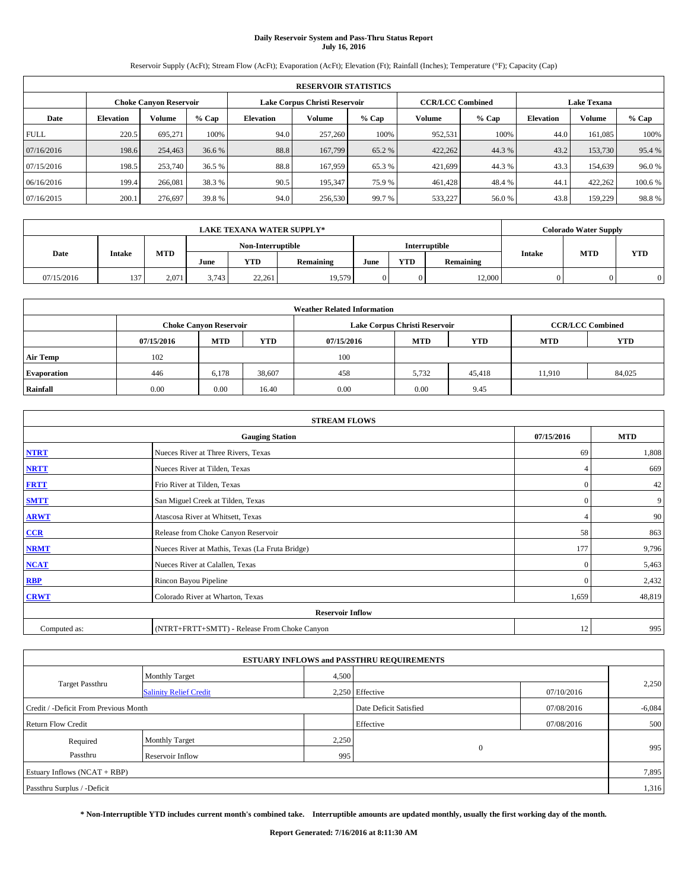# **Daily Reservoir System and Pass-Thru Status Report July 16, 2016**

Reservoir Supply (AcFt); Stream Flow (AcFt); Evaporation (AcFt); Elevation (Ft); Rainfall (Inches); Temperature (°F); Capacity (Cap)

|             | <b>RESERVOIR STATISTICS</b> |                        |         |                  |                               |         |                         |         |                  |                    |         |  |
|-------------|-----------------------------|------------------------|---------|------------------|-------------------------------|---------|-------------------------|---------|------------------|--------------------|---------|--|
|             |                             | Choke Canvon Reservoir |         |                  | Lake Corpus Christi Reservoir |         | <b>CCR/LCC Combined</b> |         |                  | <b>Lake Texana</b> |         |  |
| Date        | <b>Elevation</b>            | Volume                 | $%$ Cap | <b>Elevation</b> | Volume                        | $%$ Cap | Volume                  | $%$ Cap | <b>Elevation</b> | <b>Volume</b>      | % Cap   |  |
| <b>FULL</b> | 220.5                       | 695.271                | 100%    | 94.0             | 257,260                       | 100%    | 952,531                 | 100%    | 44.0             | 161.085            | 100%    |  |
| 07/16/2016  | 198.6                       | 254,463                | 36.6 %  | 88.8             | 167,799                       | 65.2 %  | 422,262                 | 44.3%   | 43.2             | 153,730            | 95.4 %  |  |
| 07/15/2016  | 198.5                       | 253,740                | 36.5 %  | 88.8             | 167,959                       | 65.3 %  | 421,699                 | 44.3 %  | 43.3             | 154,639            | 96.0%   |  |
| 06/16/2016  | 199.4                       | 266,081                | 38.3 %  | 90.5             | 195.347                       | 75.9 %  | 461.428                 | 48.4 %  | 44.1             | 422.262            | 100.6 % |  |
| 07/16/2015  | 200.1                       | 276,697                | 39.8%   | 94.0             | 256,530                       | 99.7 %  | 533,227                 | 56.0%   | 43.8             | 159,229            | 98.8%   |  |

| <b>LAKE TEXANA WATER SUPPLY*</b> |               |            |       |                   |           |      |            |                      |               | <b>Colorado Water Supply</b> |            |
|----------------------------------|---------------|------------|-------|-------------------|-----------|------|------------|----------------------|---------------|------------------------------|------------|
|                                  |               |            |       | Non-Interruptible |           |      |            | <b>Interruptible</b> |               |                              |            |
| Date                             | <b>Intake</b> | <b>MTD</b> | June  | <b>YTD</b>        | Remaining | June | <b>YTD</b> | Remaining            | <b>Intake</b> | <b>MTD</b>                   | <b>YTD</b> |
| 07/15/2016                       | 137           | 2.071      | 3.743 | 22.261            | 19,579    |      |            | 12,000               |               |                              |            |

| <b>Weather Related Information</b> |            |                               |            |            |                               |                         |            |            |  |
|------------------------------------|------------|-------------------------------|------------|------------|-------------------------------|-------------------------|------------|------------|--|
|                                    |            | <b>Choke Canyon Reservoir</b> |            |            | Lake Corpus Christi Reservoir | <b>CCR/LCC Combined</b> |            |            |  |
|                                    | 07/15/2016 | <b>MTD</b>                    | <b>YTD</b> | 07/15/2016 | <b>MTD</b>                    | <b>YTD</b>              | <b>MTD</b> | <b>YTD</b> |  |
| <b>Air Temp</b>                    | 102        |                               |            | 100        |                               |                         |            |            |  |
| <b>Evaporation</b>                 | 446        | 6,178                         | 38,607     | 458        | 5,732                         | 45,418                  | 11.910     | 84,025     |  |
| Rainfall                           | 0.00       | 0.00                          | 16.40      | 0.00       | 0.00                          | 9.45                    |            |            |  |

| <b>STREAM FLOWS</b> |                                                 |              |        |  |  |  |  |  |
|---------------------|-------------------------------------------------|--------------|--------|--|--|--|--|--|
|                     | 07/15/2016                                      | <b>MTD</b>   |        |  |  |  |  |  |
| <b>NTRT</b>         | Nueces River at Three Rivers, Texas             | -69          | 1,808  |  |  |  |  |  |
| <b>NRTT</b>         | Nueces River at Tilden, Texas                   | 4            | 669    |  |  |  |  |  |
| <b>FRTT</b>         | Frio River at Tilden, Texas                     | $\mathbf{0}$ | 42     |  |  |  |  |  |
| <b>SMTT</b>         | San Miguel Creek at Tilden, Texas               | $\mathbf{0}$ | 9      |  |  |  |  |  |
| <b>ARWT</b>         | Atascosa River at Whitsett, Texas               |              | 90     |  |  |  |  |  |
| $CCR$               | Release from Choke Canyon Reservoir             | 58           | 863    |  |  |  |  |  |
| <b>NRMT</b>         | Nueces River at Mathis, Texas (La Fruta Bridge) | 177          | 9,796  |  |  |  |  |  |
| <b>NCAT</b>         | Nueces River at Calallen, Texas                 | $\mathbf{0}$ | 5,463  |  |  |  |  |  |
| RBP                 | Rincon Bayou Pipeline                           | $\Omega$     | 2,432  |  |  |  |  |  |
| <b>CRWT</b>         | Colorado River at Wharton, Texas                | 1,659        | 48,819 |  |  |  |  |  |
|                     | <b>Reservoir Inflow</b>                         |              |        |  |  |  |  |  |
| Computed as:        | (NTRT+FRTT+SMTT) - Release From Choke Canyon    | 12           | 995    |  |  |  |  |  |

|                                       |                               |       | <b>ESTUARY INFLOWS and PASSTHRU REQUIREMENTS</b> |            |          |  |  |  |
|---------------------------------------|-------------------------------|-------|--------------------------------------------------|------------|----------|--|--|--|
|                                       | <b>Monthly Target</b>         | 4,500 |                                                  |            |          |  |  |  |
| <b>Target Passthru</b>                | <b>Salinity Relief Credit</b> |       | 2,250 Effective                                  | 07/10/2016 | 2,250    |  |  |  |
| Credit / -Deficit From Previous Month |                               |       | Date Deficit Satisfied                           | 07/08/2016 | $-6,084$ |  |  |  |
| <b>Return Flow Credit</b>             |                               |       | Effective                                        | 07/08/2016 | 500      |  |  |  |
| Required                              | Monthly Target                | 2,250 |                                                  |            |          |  |  |  |
| Passthru                              | Reservoir Inflow              | 995   | $\Omega$                                         |            | 995      |  |  |  |
| Estuary Inflows (NCAT + RBP)          |                               |       |                                                  |            |          |  |  |  |
| Passthru Surplus / -Deficit           |                               |       |                                                  |            |          |  |  |  |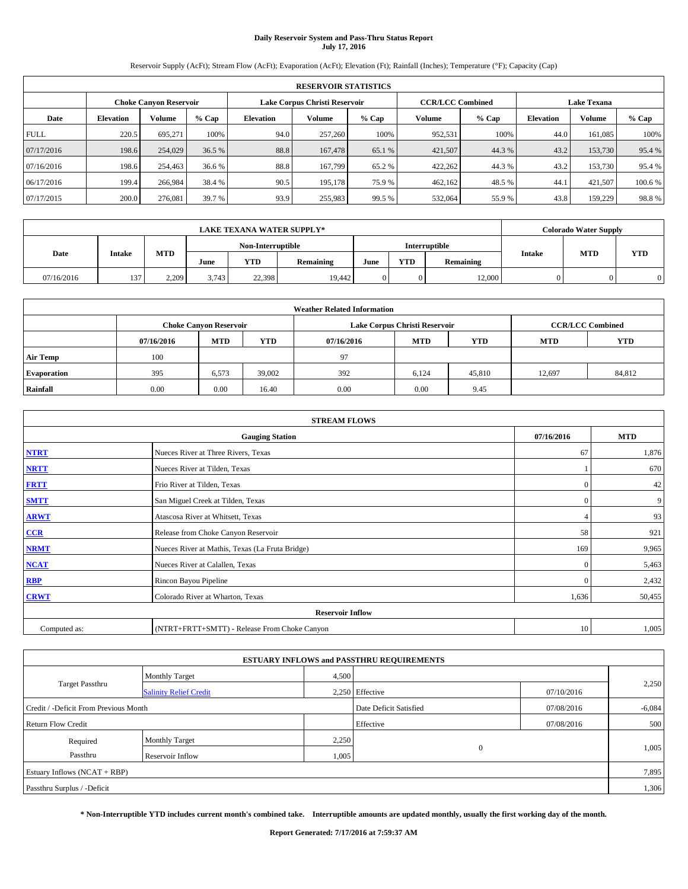# **Daily Reservoir System and Pass-Thru Status Report July 17, 2016**

Reservoir Supply (AcFt); Stream Flow (AcFt); Evaporation (AcFt); Elevation (Ft); Rainfall (Inches); Temperature (°F); Capacity (Cap)

|             | <b>RESERVOIR STATISTICS</b> |                        |         |                  |                               |         |                         |         |                  |                    |         |
|-------------|-----------------------------|------------------------|---------|------------------|-------------------------------|---------|-------------------------|---------|------------------|--------------------|---------|
|             |                             | Choke Canvon Reservoir |         |                  | Lake Corpus Christi Reservoir |         | <b>CCR/LCC Combined</b> |         |                  | <b>Lake Texana</b> |         |
| Date        | <b>Elevation</b>            | Volume                 | $%$ Cap | <b>Elevation</b> | Volume                        | $%$ Cap | <b>Volume</b>           | $%$ Cap | <b>Elevation</b> | <b>Volume</b>      | % Cap   |
| <b>FULL</b> | 220.5                       | 695.271                | 100%    | 94.0             | 257,260                       | 100%    | 952,531                 | 100%    | 44.0             | 161.085            | 100%    |
| 07/17/2016  | 198.6                       | 254,029                | 36.5 %  | 88.8             | 167,478                       | 65.1 %  | 421,507                 | 44.3%   | 43.2             | 153,730            | 95.4 %  |
| 07/16/2016  | 198.6                       | 254,463                | 36.6 %  | 88.8             | 167,799                       | 65.2 %  | 422,262                 | 44.3 %  | 43.2             | 153,730            | 95.4 %  |
| 06/17/2016  | 199.4                       | 266,984                | 38.4 %  | 90.5             | 195.178                       | 75.9 %  | 462.162                 | 48.5 %  | 44.1             | 421.507            | 100.6 % |
| 07/17/2015  | 200.0                       | 276,081                | 39.7 %  | 93.9             | 255,983                       | 99.5 %  | 532,064                 | 55.9%   | 43.8             | 159,229            | 98.8%   |

| <b>LAKE TEXANA WATER SUPPLY*</b> |               |            |       |                   |           |      |            |                      |               | <b>Colorado Water Supply</b> |            |
|----------------------------------|---------------|------------|-------|-------------------|-----------|------|------------|----------------------|---------------|------------------------------|------------|
|                                  |               |            |       | Non-Interruptible |           |      |            | <b>Interruptible</b> |               |                              |            |
| Date                             | <b>Intake</b> | <b>MTD</b> | June  | <b>YTD</b>        | Remaining | June | <b>YTD</b> | Remaining            | <b>Intake</b> | <b>MTD</b>                   | <b>YTD</b> |
| 07/16/2016                       | 137           | 2.209      | 3.743 | 22,398            | 19.442    |      |            | 12,000               |               |                              |            |

| <b>Weather Related Information</b> |            |                               |            |            |                               |                         |            |            |  |
|------------------------------------|------------|-------------------------------|------------|------------|-------------------------------|-------------------------|------------|------------|--|
|                                    |            | <b>Choke Canyon Reservoir</b> |            |            | Lake Corpus Christi Reservoir | <b>CCR/LCC Combined</b> |            |            |  |
|                                    | 07/16/2016 | <b>MTD</b>                    | <b>YTD</b> | 07/16/2016 | <b>MTD</b>                    | <b>YTD</b>              | <b>MTD</b> | <b>YTD</b> |  |
| <b>Air Temp</b>                    | 100        |                               |            | 97         |                               |                         |            |            |  |
| <b>Evaporation</b>                 | 395        | 6,573                         | 39,002     | 392        | 6,124                         | 45,810                  | 12,697     | 84,812     |  |
| Rainfall                           | 0.00       | 0.00                          | 16.40      | 0.00       | 0.00                          | 9.45                    |            |            |  |

| <b>STREAM FLOWS</b> |                                                 |              |        |  |  |  |  |  |
|---------------------|-------------------------------------------------|--------------|--------|--|--|--|--|--|
|                     | 07/16/2016                                      | <b>MTD</b>   |        |  |  |  |  |  |
| <b>NTRT</b>         | Nueces River at Three Rivers, Texas             | 67           | 1,876  |  |  |  |  |  |
| <b>NRTT</b>         | Nueces River at Tilden, Texas                   |              | 670    |  |  |  |  |  |
| <b>FRTT</b>         | Frio River at Tilden, Texas                     | $\mathbf{0}$ | 42     |  |  |  |  |  |
| <b>SMTT</b>         | San Miguel Creek at Tilden, Texas               | $\mathbf{0}$ | 9      |  |  |  |  |  |
| <b>ARWT</b>         | Atascosa River at Whitsett, Texas               |              | 93     |  |  |  |  |  |
| $CCR$               | Release from Choke Canyon Reservoir             | 58           | 921    |  |  |  |  |  |
| <b>NRMT</b>         | Nueces River at Mathis, Texas (La Fruta Bridge) | 169          | 9,965  |  |  |  |  |  |
| <b>NCAT</b>         | Nueces River at Calallen, Texas                 | $\mathbf{0}$ | 5,463  |  |  |  |  |  |
| RBP                 | Rincon Bayou Pipeline                           | $\Omega$     | 2,432  |  |  |  |  |  |
| <b>CRWT</b>         | Colorado River at Wharton, Texas                | 1,636        | 50,455 |  |  |  |  |  |
|                     |                                                 |              |        |  |  |  |  |  |
| Computed as:        | (NTRT+FRTT+SMTT) - Release From Choke Canyon    | 10           | 1,005  |  |  |  |  |  |

| <b>ESTUARY INFLOWS and PASSTHRU REQUIREMENTS</b> |                               |           |                        |            |          |  |  |  |  |  |
|--------------------------------------------------|-------------------------------|-----------|------------------------|------------|----------|--|--|--|--|--|
|                                                  | <b>Monthly Target</b>         | 4,500     |                        |            |          |  |  |  |  |  |
| <b>Target Passthru</b>                           | <b>Salinity Relief Credit</b> |           | 2.250 Effective        | 07/10/2016 | 2,250    |  |  |  |  |  |
| Credit / -Deficit From Previous Month            |                               |           | Date Deficit Satisfied | 07/08/2016 | $-6,084$ |  |  |  |  |  |
| <b>Return Flow Credit</b>                        |                               | Effective | 07/08/2016             | 500        |          |  |  |  |  |  |
| Required                                         | <b>Monthly Target</b>         | 2,250     |                        |            |          |  |  |  |  |  |
| Passthru                                         | <b>Reservoir Inflow</b>       | 1,005     | $\Omega$               |            | 1,005    |  |  |  |  |  |
| Estuary Inflows $(NCAT + RBP)$                   |                               |           |                        |            |          |  |  |  |  |  |
| Passthru Surplus / -Deficit                      |                               |           |                        |            |          |  |  |  |  |  |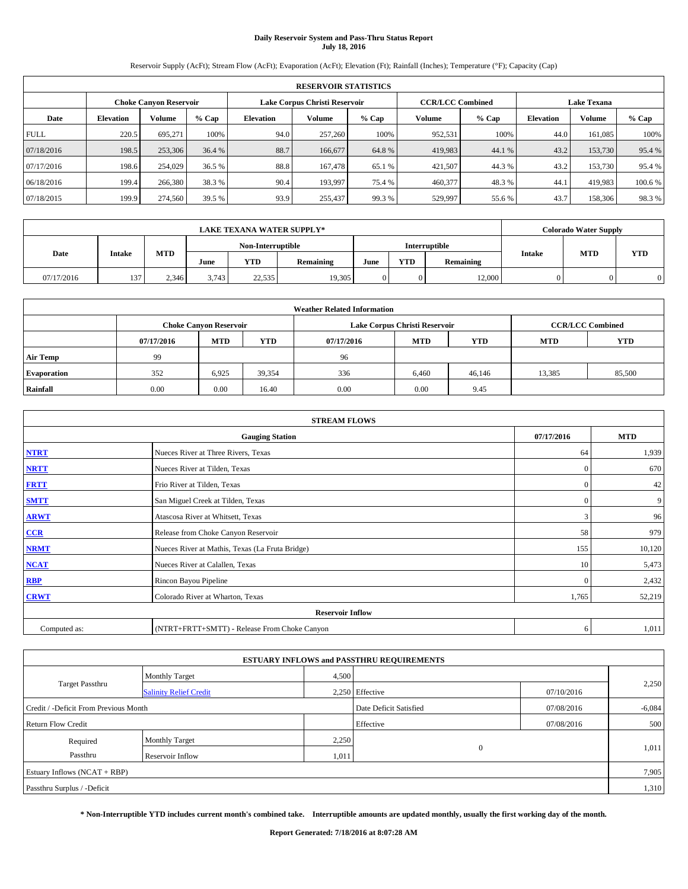# **Daily Reservoir System and Pass-Thru Status Report July 18, 2016**

Reservoir Supply (AcFt); Stream Flow (AcFt); Evaporation (AcFt); Elevation (Ft); Rainfall (Inches); Temperature (°F); Capacity (Cap)

|             | <b>RESERVOIR STATISTICS</b> |                        |         |                  |                               |         |                                               |         |                  |               |         |  |
|-------------|-----------------------------|------------------------|---------|------------------|-------------------------------|---------|-----------------------------------------------|---------|------------------|---------------|---------|--|
|             |                             | Choke Canvon Reservoir |         |                  | Lake Corpus Christi Reservoir |         | <b>CCR/LCC Combined</b><br><b>Lake Texana</b> |         |                  |               |         |  |
| Date        | <b>Elevation</b>            | Volume                 | $%$ Cap | <b>Elevation</b> | Volume                        | $%$ Cap | <b>Volume</b>                                 | $%$ Cap | <b>Elevation</b> | <b>Volume</b> | % Cap   |  |
| <b>FULL</b> | 220.5                       | 695.271                | 100%    | 94.0             | 257,260                       | 100%    | 952,531                                       | 100%    | 44.0             | 161.085       | 100%    |  |
| 07/18/2016  | 198.5                       | 253,306                | 36.4 %  | 88.7             | 166,677                       | 64.8%   | 419,983                                       | 44.1 %  | 43.2             | 153,730       | 95.4 %  |  |
| 07/17/2016  | 198.6                       | 254,029                | 36.5 %  | 88.8             | 167,478                       | 65.1 %  | 421,507                                       | 44.3 %  | 43.2             | 153,730       | 95.4 %  |  |
| 06/18/2016  | 199.4                       | 266,380                | 38.3 %  | 90.4             | 193,997                       | 75.4 %  | 460,377                                       | 48.3 %  | 44.1             | 419.983       | 100.6 % |  |
| 07/18/2015  | 199.9                       | 274,560                | 39.5 %  | 93.9             | 255,437                       | 99.3%   | 529,997                                       | 55.6%   | 43.7             | 158,306       | 98.3%   |  |

|            |               |            |                   |            | <b>LAKE TEXANA WATER SUPPLY*</b> |                      |            |           |               | <b>Colorado Water Supply</b> |            |
|------------|---------------|------------|-------------------|------------|----------------------------------|----------------------|------------|-----------|---------------|------------------------------|------------|
|            |               |            | Non-Interruptible |            |                                  | <b>Interruptible</b> |            |           |               |                              |            |
| Date       | <b>Intake</b> | <b>MTD</b> | June              | <b>YTD</b> | Remaining                        | June                 | <b>YTD</b> | Remaining | <b>Intake</b> | <b>MTD</b>                   | <b>YTD</b> |
| 07/17/2016 | 137           | 2.346      | 3.743             | 22.535     | 19,305                           |                      |            | 12,000    |               |                              |            |

| <b>Weather Related Information</b> |            |                                                                                  |        |      |                               |        |                         |        |  |  |
|------------------------------------|------------|----------------------------------------------------------------------------------|--------|------|-------------------------------|--------|-------------------------|--------|--|--|
|                                    |            | <b>Choke Canyon Reservoir</b>                                                    |        |      | Lake Corpus Christi Reservoir |        | <b>CCR/LCC Combined</b> |        |  |  |
|                                    | 07/17/2016 | <b>YTD</b><br><b>MTD</b><br><b>MTD</b><br><b>YTD</b><br><b>MTD</b><br>07/17/2016 |        |      |                               |        |                         |        |  |  |
| <b>Air Temp</b>                    | 99         |                                                                                  |        | 96   |                               |        |                         |        |  |  |
| <b>Evaporation</b>                 | 352        | 6,925                                                                            | 39,354 | 336  | 6,460                         | 46,146 | 13,385                  | 85,500 |  |  |
| Rainfall                           | 0.00       | 0.00                                                                             | 16.40  | 0.00 | 0.00                          | 9.45   |                         |        |  |  |

|              | <b>STREAM FLOWS</b>                             |              |            |  |  |  |  |  |  |  |
|--------------|-------------------------------------------------|--------------|------------|--|--|--|--|--|--|--|
|              | <b>Gauging Station</b>                          | 07/17/2016   | <b>MTD</b> |  |  |  |  |  |  |  |
| <b>NTRT</b>  | Nueces River at Three Rivers, Texas             | 64           | 1,939      |  |  |  |  |  |  |  |
| <b>NRTT</b>  | Nueces River at Tilden, Texas                   | $\mathbf{0}$ | 670        |  |  |  |  |  |  |  |
| <b>FRTT</b>  | Frio River at Tilden, Texas                     | $\mathbf{0}$ | 42         |  |  |  |  |  |  |  |
| <b>SMTT</b>  | San Miguel Creek at Tilden, Texas               | $\mathbf{0}$ | 9          |  |  |  |  |  |  |  |
| <b>ARWT</b>  | Atascosa River at Whitsett, Texas               | 3            | 96         |  |  |  |  |  |  |  |
| $CCR$        | Release from Choke Canyon Reservoir             | 58           | 979        |  |  |  |  |  |  |  |
| <b>NRMT</b>  | Nueces River at Mathis, Texas (La Fruta Bridge) | 155          | 10,120     |  |  |  |  |  |  |  |
| <b>NCAT</b>  | Nueces River at Calallen, Texas                 | 10           | 5,473      |  |  |  |  |  |  |  |
| RBP          | Rincon Bayou Pipeline                           | $\Omega$     | 2,432      |  |  |  |  |  |  |  |
| <b>CRWT</b>  | Colorado River at Wharton, Texas                | 1,765        | 52,219     |  |  |  |  |  |  |  |
|              | <b>Reservoir Inflow</b>                         |              |            |  |  |  |  |  |  |  |
| Computed as: | (NTRT+FRTT+SMTT) - Release From Choke Canyon    | 6            | 1,011      |  |  |  |  |  |  |  |

| <b>ESTUARY INFLOWS and PASSTHRU REQUIREMENTS</b> |                               |           |                        |            |          |  |  |  |  |  |
|--------------------------------------------------|-------------------------------|-----------|------------------------|------------|----------|--|--|--|--|--|
|                                                  | <b>Monthly Target</b>         | 4,500     |                        |            |          |  |  |  |  |  |
| Target Passthru                                  | <b>Salinity Relief Credit</b> |           | 2.250 Effective        | 07/10/2016 | 2,250    |  |  |  |  |  |
| Credit / -Deficit From Previous Month            |                               |           | Date Deficit Satisfied | 07/08/2016 | $-6,084$ |  |  |  |  |  |
| <b>Return Flow Credit</b>                        |                               | Effective | 07/08/2016             | 500        |          |  |  |  |  |  |
| Required                                         | <b>Monthly Target</b>         | 2,250     |                        |            |          |  |  |  |  |  |
| Passthru                                         | Reservoir Inflow              | 1,011     | $\Omega$               |            | 1,011    |  |  |  |  |  |
| Estuary Inflows (NCAT + RBP)                     |                               |           |                        |            |          |  |  |  |  |  |
| Passthru Surplus / -Deficit                      |                               |           |                        |            |          |  |  |  |  |  |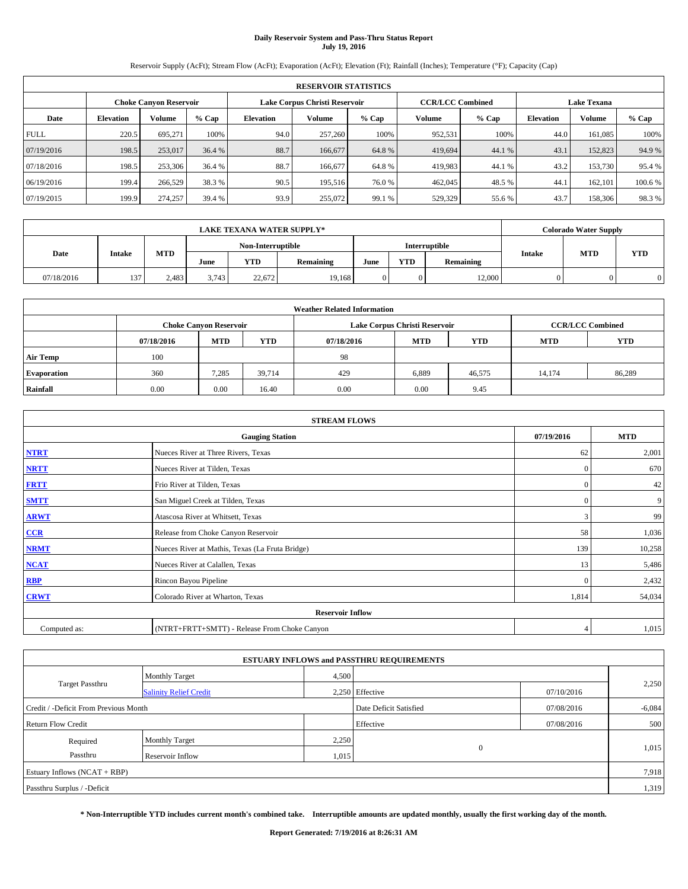# **Daily Reservoir System and Pass-Thru Status Report July 19, 2016**

Reservoir Supply (AcFt); Stream Flow (AcFt); Evaporation (AcFt); Elevation (Ft); Rainfall (Inches); Temperature (°F); Capacity (Cap)

|             | <b>RESERVOIR STATISTICS</b> |                        |         |                  |                               |         |                                               |         |                  |               |         |  |
|-------------|-----------------------------|------------------------|---------|------------------|-------------------------------|---------|-----------------------------------------------|---------|------------------|---------------|---------|--|
|             |                             | Choke Canvon Reservoir |         |                  | Lake Corpus Christi Reservoir |         | <b>CCR/LCC Combined</b><br><b>Lake Texana</b> |         |                  |               |         |  |
| Date        | <b>Elevation</b>            | Volume                 | $%$ Cap | <b>Elevation</b> | Volume                        | $%$ Cap | <b>Volume</b>                                 | $%$ Cap | <b>Elevation</b> | <b>Volume</b> | % Cap   |  |
| <b>FULL</b> | 220.5                       | 695.271                | 100%    | 94.0             | 257,260                       | 100%    | 952,531                                       | 100%    | 44.0             | 161.085       | 100%    |  |
| 07/19/2016  | 198.5                       | 253,017                | 36.4 %  | 88.7             | 166,677                       | 64.8%   | 419,694                                       | 44.1 %  | 43.1             | 152,823       | 94.9%   |  |
| 07/18/2016  | 198.5                       | 253,306                | 36.4 %  | 88.7             | 166,677                       | 64.8%   | 419,983                                       | 44.1 %  | 43.2             | 153,730       | 95.4 %  |  |
| 06/19/2016  | 199.4                       | 266,529                | 38.3 %  | 90.5             | 195.516                       | 76.0 %  | 462,045                                       | 48.5 %  | 44.1             | 162,101       | 100.6 % |  |
| 07/19/2015  | 199.9                       | 274,257                | 39.4 %  | 93.9             | 255,072                       | 99.1 %  | 529,329                                       | 55.6%   | 43.7             | 158,306       | 98.3%   |  |

|            | <b>LAKE TEXANA WATER SUPPLY*</b> |            |                   |            |           |                      |            |           |               | <b>Colorado Water Supply</b> |            |
|------------|----------------------------------|------------|-------------------|------------|-----------|----------------------|------------|-----------|---------------|------------------------------|------------|
|            |                                  |            | Non-Interruptible |            |           | <b>Interruptible</b> |            |           |               |                              |            |
| Date       | <b>Intake</b>                    | <b>MTD</b> | June              | <b>YTD</b> | Remaining | June                 | <b>YTD</b> | Remaining | <b>Intake</b> | <b>MTD</b>                   | <b>YTD</b> |
| 07/18/2016 | 137                              | 2,483      | 3.743             | 22.672     | 19.168    |                      |            | 12,000    |               |                              |            |

| <b>Weather Related Information</b> |            |                                                                                  |        |      |                               |        |                         |        |  |  |
|------------------------------------|------------|----------------------------------------------------------------------------------|--------|------|-------------------------------|--------|-------------------------|--------|--|--|
|                                    |            | <b>Choke Canyon Reservoir</b>                                                    |        |      | Lake Corpus Christi Reservoir |        | <b>CCR/LCC Combined</b> |        |  |  |
|                                    | 07/18/2016 | <b>YTD</b><br><b>MTD</b><br><b>MTD</b><br><b>YTD</b><br><b>MTD</b><br>07/18/2016 |        |      |                               |        |                         |        |  |  |
| <b>Air Temp</b>                    | 100        |                                                                                  |        | 98   |                               |        |                         |        |  |  |
| <b>Evaporation</b>                 | 360        | 7,285                                                                            | 39.714 | 429  | 6,889                         | 46,575 | 14,174                  | 86,289 |  |  |
| Rainfall                           | 0.00       | 0.00                                                                             | 16.40  | 0.00 | 0.00                          | 9.45   |                         |        |  |  |

|              | <b>STREAM FLOWS</b>                             |              |            |  |  |  |  |  |  |  |
|--------------|-------------------------------------------------|--------------|------------|--|--|--|--|--|--|--|
|              | <b>Gauging Station</b>                          | 07/19/2016   | <b>MTD</b> |  |  |  |  |  |  |  |
| <b>NTRT</b>  | Nueces River at Three Rivers, Texas             | 62           | 2,001      |  |  |  |  |  |  |  |
| <b>NRTT</b>  | Nueces River at Tilden, Texas                   | $\mathbf{0}$ | 670        |  |  |  |  |  |  |  |
| <b>FRTT</b>  | Frio River at Tilden, Texas                     | $\mathbf{0}$ | 42         |  |  |  |  |  |  |  |
| <b>SMTT</b>  | San Miguel Creek at Tilden, Texas               | $\mathbf{0}$ | 9          |  |  |  |  |  |  |  |
| <b>ARWT</b>  | Atascosa River at Whitsett, Texas               | 3            | 99         |  |  |  |  |  |  |  |
| $CCR$        | Release from Choke Canyon Reservoir             | 58           | 1,036      |  |  |  |  |  |  |  |
| <b>NRMT</b>  | Nueces River at Mathis, Texas (La Fruta Bridge) | 139          | 10,258     |  |  |  |  |  |  |  |
| <b>NCAT</b>  | Nueces River at Calallen, Texas                 | 13           | 5,486      |  |  |  |  |  |  |  |
| RBP          | Rincon Bayou Pipeline                           | $\Omega$     | 2,432      |  |  |  |  |  |  |  |
| <b>CRWT</b>  | Colorado River at Wharton, Texas                | 1,814        | 54,034     |  |  |  |  |  |  |  |
|              | <b>Reservoir Inflow</b>                         |              |            |  |  |  |  |  |  |  |
| Computed as: | (NTRT+FRTT+SMTT) - Release From Choke Canyon    | 4            | 1,015      |  |  |  |  |  |  |  |

| <b>ESTUARY INFLOWS and PASSTHRU REQUIREMENTS</b> |                               |           |                        |            |          |  |  |  |  |  |
|--------------------------------------------------|-------------------------------|-----------|------------------------|------------|----------|--|--|--|--|--|
|                                                  | <b>Monthly Target</b>         | 4,500     |                        |            |          |  |  |  |  |  |
| <b>Target Passthru</b>                           | <b>Salinity Relief Credit</b> |           | 2,250 Effective        | 07/10/2016 | 2,250    |  |  |  |  |  |
| Credit / -Deficit From Previous Month            |                               |           | Date Deficit Satisfied | 07/08/2016 | $-6,084$ |  |  |  |  |  |
| <b>Return Flow Credit</b>                        |                               | Effective | 07/08/2016             | 500        |          |  |  |  |  |  |
| Required                                         | <b>Monthly Target</b>         | 2,250     |                        |            |          |  |  |  |  |  |
| Passthru                                         | Reservoir Inflow              | 1,015     | $\Omega$               |            | 1,015    |  |  |  |  |  |
| Estuary Inflows $(NCAT + RBP)$                   |                               |           |                        |            |          |  |  |  |  |  |
| Passthru Surplus / -Deficit                      |                               |           |                        |            |          |  |  |  |  |  |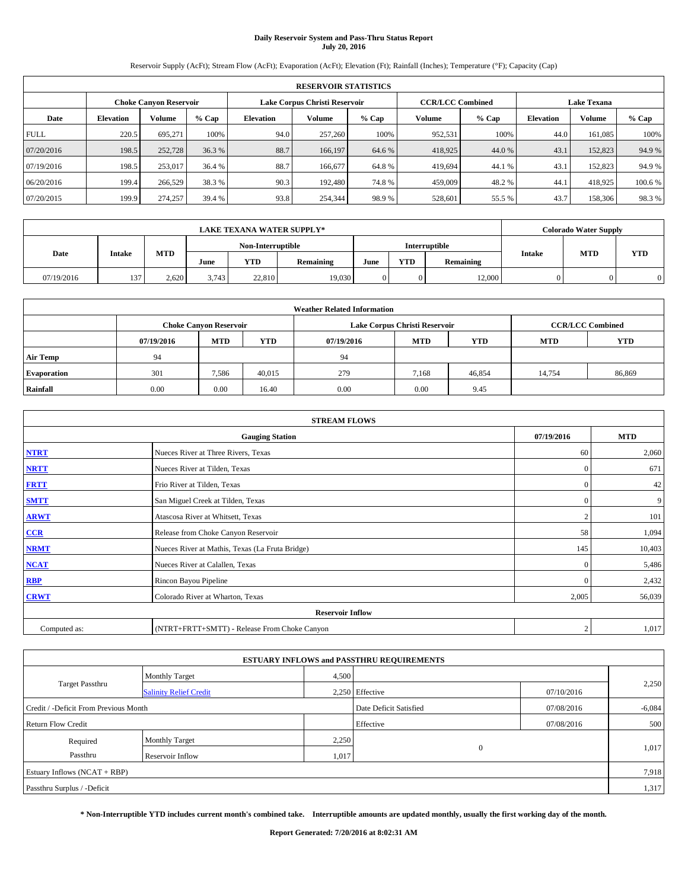# **Daily Reservoir System and Pass-Thru Status Report July 20, 2016**

Reservoir Supply (AcFt); Stream Flow (AcFt); Evaporation (AcFt); Elevation (Ft); Rainfall (Inches); Temperature (°F); Capacity (Cap)

|             | <b>RESERVOIR STATISTICS</b> |                        |         |                  |                               |         |                                               |         |                  |               |         |  |
|-------------|-----------------------------|------------------------|---------|------------------|-------------------------------|---------|-----------------------------------------------|---------|------------------|---------------|---------|--|
|             |                             | Choke Canvon Reservoir |         |                  | Lake Corpus Christi Reservoir |         | <b>CCR/LCC Combined</b><br><b>Lake Texana</b> |         |                  |               |         |  |
| Date        | <b>Elevation</b>            | Volume                 | $%$ Cap | <b>Elevation</b> | Volume                        | $%$ Cap | <b>Volume</b>                                 | $%$ Cap | <b>Elevation</b> | <b>Volume</b> | % Cap   |  |
| <b>FULL</b> | 220.5                       | 695.271                | 100%    | 94.0             | 257,260                       | 100%    | 952,531                                       | 100%    | 44.0             | 161.085       | 100%    |  |
| 07/20/2016  | 198.5                       | 252,728                | 36.3 %  | 88.7             | 166,197                       | 64.6 %  | 418,925                                       | 44.0%   | 43.1             | 152,823       | 94.9%   |  |
| 07/19/2016  | 198.5                       | 253,017                | 36.4 %  | 88.7             | 166,677                       | 64.8%   | 419,694                                       | 44.1 %  | 43.              | 152,823       | 94.9 %  |  |
| 06/20/2016  | 199.4                       | 266,529                | 38.3 %  | 90.3             | 192,480                       | 74.8%   | 459,009                                       | 48.2 %  | 44.1             | 418,925       | 100.6 % |  |
| 07/20/2015  | 199.9                       | 274,257                | 39.4 %  | 93.8             | 254,344                       | 98.9%   | 528,601                                       | 55.5 %  | 43.7             | 158,306       | 98.3%   |  |

|            | <b>LAKE TEXANA WATER SUPPLY*</b> |            |       |                   |           |      |            |               |               | <b>Colorado Water Supply</b> |            |
|------------|----------------------------------|------------|-------|-------------------|-----------|------|------------|---------------|---------------|------------------------------|------------|
|            |                                  |            |       | Non-Interruptible |           |      |            | Interruptible |               | <b>MTD</b>                   |            |
| Date       | <b>Intake</b>                    | <b>MTD</b> | June  | <b>YTD</b>        | Remaining | June | <b>YTD</b> | Remaining     | <b>Intake</b> |                              | <b>YTD</b> |
| 07/19/2016 | 137                              | 2.620      | 3.743 | 22,810            | 19.030    |      |            | 12,000        |               |                              |            |

| <b>Weather Related Information</b> |            |                                                                                  |        |      |                               |                         |        |        |  |  |  |
|------------------------------------|------------|----------------------------------------------------------------------------------|--------|------|-------------------------------|-------------------------|--------|--------|--|--|--|
|                                    |            | <b>Choke Canyon Reservoir</b>                                                    |        |      | Lake Corpus Christi Reservoir | <b>CCR/LCC Combined</b> |        |        |  |  |  |
|                                    | 07/19/2016 | <b>YTD</b><br><b>MTD</b><br><b>MTD</b><br><b>YTD</b><br><b>MTD</b><br>07/19/2016 |        |      |                               |                         |        |        |  |  |  |
| <b>Air Temp</b>                    | 94         |                                                                                  |        | 94   |                               |                         |        |        |  |  |  |
| <b>Evaporation</b>                 | 301        | 7,586                                                                            | 40.015 | 279  | 7,168                         | 46,854                  | 14,754 | 86,869 |  |  |  |
| Rainfall                           | 0.00       | 0.00                                                                             | 16.40  | 0.00 | 0.00                          | 9.45                    |        |        |  |  |  |

| <b>STREAM FLOWS</b> |                                                 |                |            |  |  |  |  |  |
|---------------------|-------------------------------------------------|----------------|------------|--|--|--|--|--|
|                     | <b>Gauging Station</b>                          | 07/19/2016     | <b>MTD</b> |  |  |  |  |  |
| <b>NTRT</b>         | Nueces River at Three Rivers, Texas             | 60             | 2,060      |  |  |  |  |  |
| <b>NRTT</b>         | Nueces River at Tilden, Texas                   | $\mathbf{0}$   | 671        |  |  |  |  |  |
| <b>FRTT</b>         | Frio River at Tilden, Texas                     | $\mathbf{0}$   | 42         |  |  |  |  |  |
| <b>SMTT</b>         | San Miguel Creek at Tilden, Texas               | $\mathbf{0}$   | 9          |  |  |  |  |  |
| <b>ARWT</b>         | Atascosa River at Whitsett, Texas               | $\overline{2}$ | 101        |  |  |  |  |  |
| $CCR$               | Release from Choke Canyon Reservoir             | 58             | 1,094      |  |  |  |  |  |
| <b>NRMT</b>         | Nueces River at Mathis, Texas (La Fruta Bridge) | 145            | 10,403     |  |  |  |  |  |
| <b>NCAT</b>         | Nueces River at Calallen, Texas                 | $\mathbf{0}$   | 5,486      |  |  |  |  |  |
| RBP                 | Rincon Bayou Pipeline                           | $\Omega$       | 2,432      |  |  |  |  |  |
| <b>CRWT</b>         | Colorado River at Wharton, Texas                | 2,005          | 56,039     |  |  |  |  |  |
|                     | <b>Reservoir Inflow</b>                         |                |            |  |  |  |  |  |
| Computed as:        | (NTRT+FRTT+SMTT) - Release From Choke Canyon    | $\overline{2}$ | 1,017      |  |  |  |  |  |

|                                       |                               |                        | <b>ESTUARY INFLOWS and PASSTHRU REQUIREMENTS</b> |            |          |
|---------------------------------------|-------------------------------|------------------------|--------------------------------------------------|------------|----------|
|                                       | <b>Monthly Target</b>         | 4,500                  |                                                  |            |          |
| <b>Target Passthru</b>                | <b>Salinity Relief Credit</b> |                        | 2.250 Effective                                  | 07/10/2016 | 2,250    |
| Credit / -Deficit From Previous Month |                               | Date Deficit Satisfied |                                                  | 07/08/2016 | $-6,084$ |
| <b>Return Flow Credit</b>             |                               |                        | Effective                                        | 07/08/2016 | 500      |
| Required                              | <b>Monthly Target</b>         | 2,250                  |                                                  |            |          |
| Passthru                              | <b>Reservoir Inflow</b>       | 1,017                  | $\Omega$                                         |            | 1,017    |
| Estuary Inflows (NCAT + RBP)          |                               |                        |                                                  |            | 7,918    |
| Passthru Surplus / -Deficit           |                               |                        |                                                  |            | 1,317    |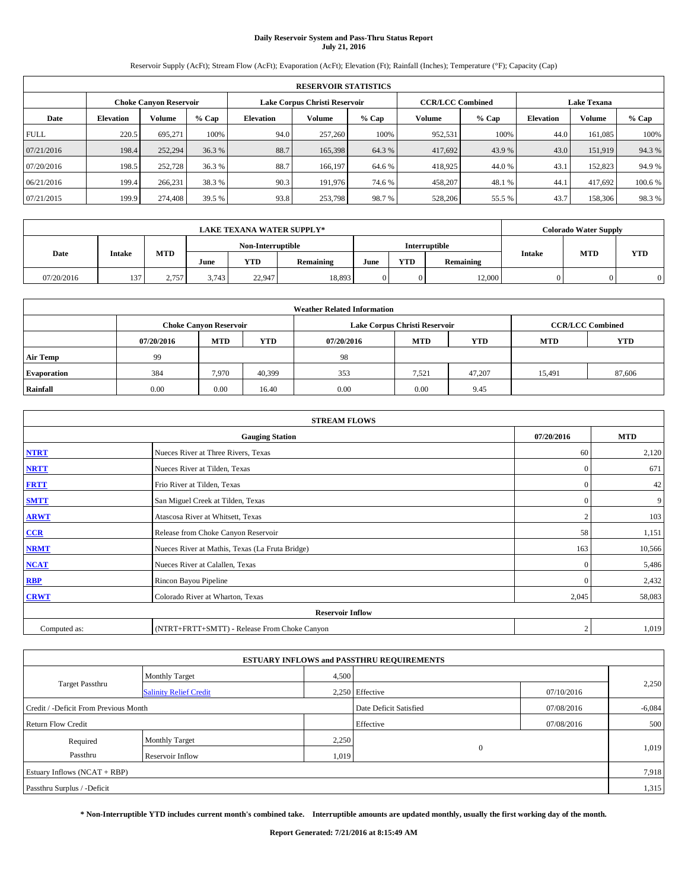# **Daily Reservoir System and Pass-Thru Status Report July 21, 2016**

Reservoir Supply (AcFt); Stream Flow (AcFt); Evaporation (AcFt); Elevation (Ft); Rainfall (Inches); Temperature (°F); Capacity (Cap)

|             | <b>RESERVOIR STATISTICS</b>                             |         |         |                  |         |         |                         |         |                    |               |         |  |  |
|-------------|---------------------------------------------------------|---------|---------|------------------|---------|---------|-------------------------|---------|--------------------|---------------|---------|--|--|
|             | Lake Corpus Christi Reservoir<br>Choke Canvon Reservoir |         |         |                  |         |         | <b>CCR/LCC Combined</b> |         | <b>Lake Texana</b> |               |         |  |  |
| Date        | <b>Elevation</b>                                        | Volume  | $%$ Cap | <b>Elevation</b> | Volume  | $%$ Cap | <b>Volume</b>           | $%$ Cap | <b>Elevation</b>   | <b>Volume</b> | % Cap   |  |  |
| <b>FULL</b> | 220.5                                                   | 695.271 | 100%    | 94.0             | 257,260 | 100%    | 952,531                 | 100%    | 44.0               | 161.085       | 100%    |  |  |
| 07/21/2016  | 198.4                                                   | 252,294 | 36.3 %  | 88.7             | 165,398 | 64.3 %  | 417,692                 | 43.9%   | 43.0               | 151,919       | 94.3%   |  |  |
| 07/20/2016  | 198.5                                                   | 252,728 | 36.3 %  | 88.7             | 166.197 | 64.6 %  | 418,925                 | 44.0 %  | 43.                | 152,823       | 94.9 %  |  |  |
| 06/21/2016  | 199.4                                                   | 266,231 | 38.3 %  | 90.3             | 191,976 | 74.6 %  | 458,207                 | 48.1 %  | 44.1               | 417.692       | 100.6 % |  |  |
| 07/21/2015  | 199.9                                                   | 274,408 | 39.5 %  | 93.8             | 253,798 | 98.7%   | 528,206                 | 55.5 %  | 43.7               | 158,306       | 98.3%   |  |  |

|            | <b>LAKE TEXANA WATER SUPPLY*</b> |            |       |                   |           |      |            |                      |               | <b>Colorado Water Supply</b> |            |
|------------|----------------------------------|------------|-------|-------------------|-----------|------|------------|----------------------|---------------|------------------------------|------------|
|            |                                  |            |       | Non-Interruptible |           |      |            | <b>Interruptible</b> |               | <b>MTD</b>                   |            |
| Date       | <b>Intake</b>                    | <b>MTD</b> | June  | <b>YTD</b>        | Remaining | June | <b>YTD</b> | Remaining            | <b>Intake</b> |                              | <b>YTD</b> |
| 07/20/2016 | 137                              | 2.757      | 3.743 | 22.947            | 18,893    |      |            | 12,000               |               |                              |            |

| <b>Weather Related Information</b> |            |                                                                                  |        |      |                               |                         |        |        |  |  |  |
|------------------------------------|------------|----------------------------------------------------------------------------------|--------|------|-------------------------------|-------------------------|--------|--------|--|--|--|
|                                    |            | <b>Choke Canyon Reservoir</b>                                                    |        |      | Lake Corpus Christi Reservoir | <b>CCR/LCC Combined</b> |        |        |  |  |  |
|                                    | 07/20/2016 | <b>YTD</b><br><b>MTD</b><br><b>MTD</b><br><b>YTD</b><br><b>MTD</b><br>07/20/2016 |        |      |                               |                         |        |        |  |  |  |
| <b>Air Temp</b>                    | 99         |                                                                                  |        | 98   |                               |                         |        |        |  |  |  |
| <b>Evaporation</b>                 | 384        | 7,970                                                                            | 40,399 | 353  | 7,521                         | 47,207                  | 15,491 | 87,606 |  |  |  |
| Rainfall                           | 0.00       | 0.00                                                                             | 16.40  | 0.00 | 0.00                          | 9.45                    |        |        |  |  |  |

| <b>STREAM FLOWS</b> |                                                 |                |            |  |  |  |  |  |
|---------------------|-------------------------------------------------|----------------|------------|--|--|--|--|--|
|                     | <b>Gauging Station</b>                          | 07/20/2016     | <b>MTD</b> |  |  |  |  |  |
| <b>NTRT</b>         | Nueces River at Three Rivers, Texas             | 60             | 2,120      |  |  |  |  |  |
| <b>NRTT</b>         | Nueces River at Tilden, Texas                   | $\mathbf{0}$   | 671        |  |  |  |  |  |
| <b>FRTT</b>         | Frio River at Tilden, Texas                     | $\mathbf{0}$   | 42         |  |  |  |  |  |
| <b>SMTT</b>         | San Miguel Creek at Tilden, Texas               | $\mathbf{0}$   | 9          |  |  |  |  |  |
| <b>ARWT</b>         | Atascosa River at Whitsett, Texas               | $\overline{2}$ | 103        |  |  |  |  |  |
| $CCR$               | Release from Choke Canyon Reservoir             | 58             | 1,151      |  |  |  |  |  |
| <b>NRMT</b>         | Nueces River at Mathis, Texas (La Fruta Bridge) | 163            | 10,566     |  |  |  |  |  |
| <b>NCAT</b>         | Nueces River at Calallen, Texas                 | $\mathbf{0}$   | 5,486      |  |  |  |  |  |
| RBP                 | Rincon Bayou Pipeline                           | $\Omega$       | 2,432      |  |  |  |  |  |
| <b>CRWT</b>         | Colorado River at Wharton, Texas                | 2,045          | 58,083     |  |  |  |  |  |
|                     | <b>Reservoir Inflow</b>                         |                |            |  |  |  |  |  |
| Computed as:        | (NTRT+FRTT+SMTT) - Release From Choke Canyon    | $\overline{2}$ | 1,019      |  |  |  |  |  |

|                                       |                               |       | <b>ESTUARY INFLOWS and PASSTHRU REQUIREMENTS</b> |            |          |
|---------------------------------------|-------------------------------|-------|--------------------------------------------------|------------|----------|
|                                       | <b>Monthly Target</b>         | 4,500 |                                                  |            |          |
| <b>Target Passthru</b>                | <b>Salinity Relief Credit</b> |       | 2.250 Effective                                  | 07/10/2016 | 2,250    |
| Credit / -Deficit From Previous Month |                               |       | Date Deficit Satisfied                           | 07/08/2016 | $-6,084$ |
| <b>Return Flow Credit</b>             |                               |       | Effective                                        | 07/08/2016 | 500      |
| Required                              | <b>Monthly Target</b>         | 2,250 |                                                  |            |          |
| Passthru                              | <b>Reservoir Inflow</b>       | 1,019 | $\Omega$                                         |            | 1,019    |
| Estuary Inflows $(NCAT + RBP)$        |                               |       |                                                  |            | 7,918    |
| Passthru Surplus / -Deficit           |                               |       |                                                  |            | 1,315    |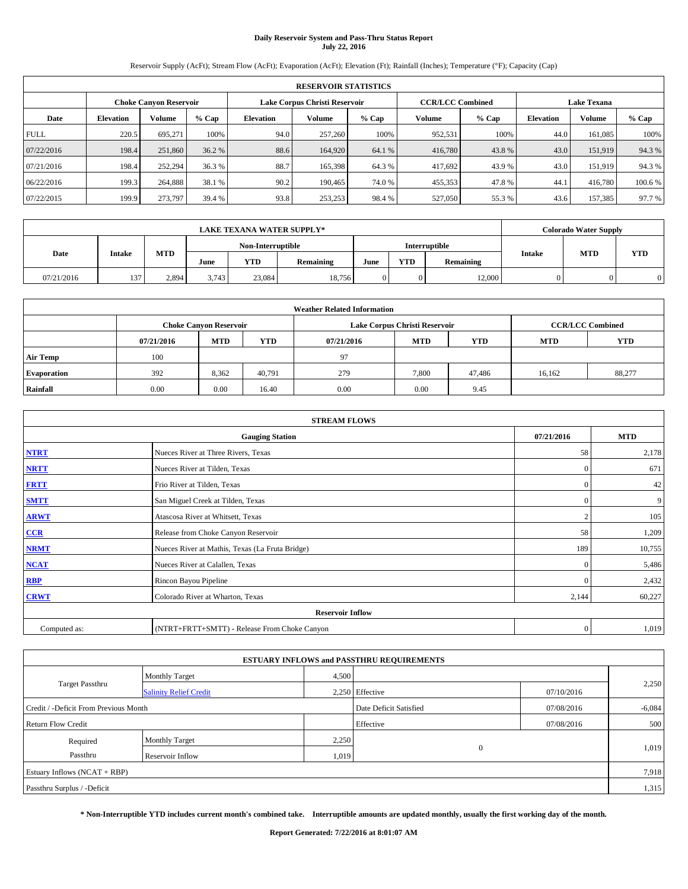# **Daily Reservoir System and Pass-Thru Status Report July 22, 2016**

Reservoir Supply (AcFt); Stream Flow (AcFt); Evaporation (AcFt); Elevation (Ft); Rainfall (Inches); Temperature (°F); Capacity (Cap)

|             | <b>RESERVOIR STATISTICS</b> |                               |         |                  |                               |         |                         |         |                    |               |         |  |  |
|-------------|-----------------------------|-------------------------------|---------|------------------|-------------------------------|---------|-------------------------|---------|--------------------|---------------|---------|--|--|
|             |                             | <b>Choke Canyon Reservoir</b> |         |                  | Lake Corpus Christi Reservoir |         | <b>CCR/LCC Combined</b> |         | <b>Lake Texana</b> |               |         |  |  |
| Date        | <b>Elevation</b>            | Volume                        | $%$ Cap | <b>Elevation</b> | Volume                        | $%$ Cap | Volume                  | $%$ Cap | <b>Elevation</b>   | <b>Volume</b> | % Cap   |  |  |
| <b>FULL</b> | 220.5                       | 695.271                       | 100%    | 94.0             | 257,260                       | 100%    | 952,531                 | 100%    | 44.0               | 161.085       | 100%    |  |  |
| 07/22/2016  | 198.4                       | 251,860                       | 36.2 %  | 88.6             | 164,920                       | 64.1 %  | 416,780                 | 43.8%   | 43.0               | 151.919       | 94.3%   |  |  |
| 07/21/2016  | 198.4                       | 252,294                       | 36.3 %  | 88.7             | 165,398                       | 64.3 %  | 417,692                 | 43.9 %  | 43.0               | 151,919       | 94.3%   |  |  |
| 06/22/2016  | 199.3                       | 264,888                       | 38.1 %  | 90.2             | 190,465                       | 74.0 %  | 455,353                 | 47.8%   | 44.1               | 416,780       | 100.6 % |  |  |
| 07/22/2015  | 199.9                       | 273,797                       | 39.4 %  | 93.8             | 253,253                       | 98.4 %  | 527,050                 | 55.3 %  | 43.6               | 157,385       | 97.7 %  |  |  |

|            | <b>LAKE TEXANA WATER SUPPLY*</b> |            |       |                   |           |      |            |                      |               | <b>Colorado Water Supply</b> |            |
|------------|----------------------------------|------------|-------|-------------------|-----------|------|------------|----------------------|---------------|------------------------------|------------|
|            |                                  |            |       | Non-Interruptible |           |      |            | <b>Interruptible</b> |               | <b>MTD</b>                   |            |
| Date       | <b>Intake</b>                    | <b>MTD</b> | June  | <b>YTD</b>        | Remaining | June | <b>YTD</b> | Remaining            | <b>Intake</b> |                              | <b>YTD</b> |
| 07/21/2016 | 137                              | 2.894      | 3.743 | 23.084            | 18,756    |      |            | 12,000               |               |                              |            |

| <b>Weather Related Information</b> |            |                                                                                  |        |      |                               |                         |        |        |  |  |  |
|------------------------------------|------------|----------------------------------------------------------------------------------|--------|------|-------------------------------|-------------------------|--------|--------|--|--|--|
|                                    |            | <b>Choke Canyon Reservoir</b>                                                    |        |      | Lake Corpus Christi Reservoir | <b>CCR/LCC Combined</b> |        |        |  |  |  |
|                                    | 07/21/2016 | <b>YTD</b><br><b>MTD</b><br><b>MTD</b><br><b>YTD</b><br><b>MTD</b><br>07/21/2016 |        |      |                               |                         |        |        |  |  |  |
| <b>Air Temp</b>                    | 100        |                                                                                  |        | 97   |                               |                         |        |        |  |  |  |
| <b>Evaporation</b>                 | 392        | 8,362                                                                            | 40.791 | 279  | 7.800                         | 47,486                  | 16,162 | 88,277 |  |  |  |
| Rainfall                           | 0.00       | 0.00                                                                             | 16.40  | 0.00 | 0.00                          | 9.45                    |        |        |  |  |  |

| <b>STREAM FLOWS</b> |                                                 |                |        |  |  |  |  |  |  |
|---------------------|-------------------------------------------------|----------------|--------|--|--|--|--|--|--|
|                     | <b>Gauging Station</b>                          |                |        |  |  |  |  |  |  |
| <b>NTRT</b>         | Nueces River at Three Rivers, Texas             |                |        |  |  |  |  |  |  |
| <b>NRTT</b>         | Nueces River at Tilden, Texas                   | $\mathbf{0}$   | 671    |  |  |  |  |  |  |
| <b>FRTT</b>         | Frio River at Tilden, Texas                     | $\mathbf{0}$   | 42     |  |  |  |  |  |  |
| <b>SMTT</b>         | San Miguel Creek at Tilden, Texas               | $\mathbf{0}$   | 9      |  |  |  |  |  |  |
| <b>ARWT</b>         | Atascosa River at Whitsett, Texas               | $\overline{2}$ | 105    |  |  |  |  |  |  |
| $CCR$               | Release from Choke Canyon Reservoir             | 58             | 1,209  |  |  |  |  |  |  |
| <b>NRMT</b>         | Nueces River at Mathis, Texas (La Fruta Bridge) | 189            | 10,755 |  |  |  |  |  |  |
| <b>NCAT</b>         | Nueces River at Calallen, Texas                 | $\mathbf{0}$   | 5,486  |  |  |  |  |  |  |
| RBP                 | Rincon Bayou Pipeline                           | $\Omega$       | 2,432  |  |  |  |  |  |  |
| <b>CRWT</b>         | Colorado River at Wharton, Texas                | 2,144          | 60,227 |  |  |  |  |  |  |
|                     | <b>Reservoir Inflow</b>                         |                |        |  |  |  |  |  |  |
| Computed as:        | (NTRT+FRTT+SMTT) - Release From Choke Canyon    | $\mathbf{0}$   | 1,019  |  |  |  |  |  |  |

|                                       |                               |       | <b>ESTUARY INFLOWS and PASSTHRU REQUIREMENTS</b> |            |          |  |  |  |  |
|---------------------------------------|-------------------------------|-------|--------------------------------------------------|------------|----------|--|--|--|--|
|                                       | <b>Monthly Target</b>         | 4,500 |                                                  |            |          |  |  |  |  |
| <b>Target Passthru</b>                | <b>Salinity Relief Credit</b> |       | 2.250 Effective                                  | 07/10/2016 | 2,250    |  |  |  |  |
| Credit / -Deficit From Previous Month |                               |       | Date Deficit Satisfied                           | 07/08/2016 | $-6,084$ |  |  |  |  |
| <b>Return Flow Credit</b>             |                               |       | Effective                                        | 07/08/2016 | 500      |  |  |  |  |
| Required                              | <b>Monthly Target</b>         | 2,250 |                                                  |            |          |  |  |  |  |
| Passthru                              | <b>Reservoir Inflow</b>       | 1,019 | $\Omega$                                         |            | 1,019    |  |  |  |  |
| Estuary Inflows $(NCAT + RBP)$        |                               |       |                                                  |            |          |  |  |  |  |
| Passthru Surplus / -Deficit           |                               |       |                                                  |            | 1,315    |  |  |  |  |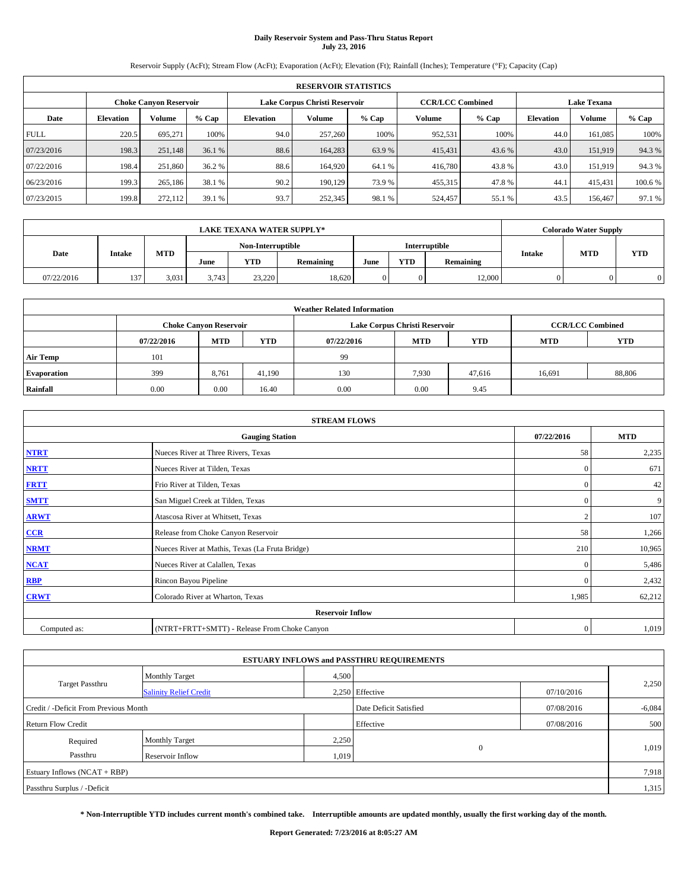# **Daily Reservoir System and Pass-Thru Status Report July 23, 2016**

Reservoir Supply (AcFt); Stream Flow (AcFt); Evaporation (AcFt); Elevation (Ft); Rainfall (Inches); Temperature (°F); Capacity (Cap)

|             | <b>RESERVOIR STATISTICS</b> |                        |         |                  |                               |         |                         |         |                  |                    |         |  |  |
|-------------|-----------------------------|------------------------|---------|------------------|-------------------------------|---------|-------------------------|---------|------------------|--------------------|---------|--|--|
|             |                             | Choke Canvon Reservoir |         |                  | Lake Corpus Christi Reservoir |         | <b>CCR/LCC Combined</b> |         |                  | <b>Lake Texana</b> |         |  |  |
| Date        | <b>Elevation</b>            | Volume                 | $%$ Cap | <b>Elevation</b> | Volume                        | $%$ Cap | <b>Volume</b>           | $%$ Cap | <b>Elevation</b> | <b>Volume</b>      | % Cap   |  |  |
| <b>FULL</b> | 220.5                       | 695.271                | 100%    | 94.0             | 257,260                       | 100%    | 952,531                 | 100%    | 44.0             | 161.085            | 100%    |  |  |
| 07/23/2016  | 198.3                       | 251,148                | 36.1 %  | 88.6             | 164,283                       | 63.9%   | 415,431                 | 43.6 %  | 43.0             | 151,919            | 94.3%   |  |  |
| 07/22/2016  | 198.4                       | 251,860                | 36.2 %  | 88.6             | 164.920                       | 64.1 %  | 416,780                 | 43.8%   | 43.0             | 151,919            | 94.3%   |  |  |
| 06/23/2016  | 199.3                       | 265,186                | 38.1 %  | 90.2             | 190.129                       | 73.9 %  | 455,315                 | 47.8%   | 44.1             | 415.431            | 100.6 % |  |  |
| 07/23/2015  | 199.8                       | 272,112                | 39.1 %  | 93.7             | 252,345                       | 98.1 %  | 524,457                 | 55.1 %  | 43.5             | 156,467            | 97.1 %  |  |  |

| <b>LAKE TEXANA WATER SUPPLY*</b> |               |                   |       |                      |           |      |            | <b>Colorado Water Supply</b> |               |            |            |
|----------------------------------|---------------|-------------------|-------|----------------------|-----------|------|------------|------------------------------|---------------|------------|------------|
|                                  |               | Non-Interruptible |       | <b>Interruptible</b> |           |      |            |                              |               |            |            |
| Date                             | <b>Intake</b> | <b>MTD</b>        | June  | <b>YTD</b>           | Remaining | June | <b>YTD</b> | Remaining                    | <b>Intake</b> | <b>MTD</b> | <b>YTD</b> |
| 07/22/2016                       | 137           | 3.031             | 3.743 | 23.220               | 18,620    |      |            | 12,000                       |               |            |            |

| <b>Weather Related Information</b> |            |                               |            |            |                               |                         |            |            |  |  |  |
|------------------------------------|------------|-------------------------------|------------|------------|-------------------------------|-------------------------|------------|------------|--|--|--|
|                                    |            | <b>Choke Canyon Reservoir</b> |            |            | Lake Corpus Christi Reservoir | <b>CCR/LCC Combined</b> |            |            |  |  |  |
|                                    | 07/22/2016 | <b>MTD</b>                    | <b>YTD</b> | 07/22/2016 | <b>MTD</b>                    | <b>YTD</b>              | <b>MTD</b> | <b>YTD</b> |  |  |  |
| <b>Air Temp</b>                    | 101        |                               |            | 99         |                               |                         |            |            |  |  |  |
| <b>Evaporation</b>                 | 399        | 8,761                         | 41.190     | 130        | 7,930                         | 47.616                  | 16,691     | 88,806     |  |  |  |
| Rainfall                           | 0.00       | 0.00                          | 16.40      | 0.00       | 0.00                          | 9.45                    |            |            |  |  |  |

| <b>STREAM FLOWS</b> |                                                 |                |        |  |  |  |  |  |  |
|---------------------|-------------------------------------------------|----------------|--------|--|--|--|--|--|--|
|                     | <b>Gauging Station</b>                          |                |        |  |  |  |  |  |  |
| <b>NTRT</b>         | Nueces River at Three Rivers, Texas             |                |        |  |  |  |  |  |  |
| <b>NRTT</b>         | Nueces River at Tilden, Texas                   | $\mathbf{0}$   | 671    |  |  |  |  |  |  |
| <b>FRTT</b>         | Frio River at Tilden, Texas                     | $\mathbf{0}$   | 42     |  |  |  |  |  |  |
| <b>SMTT</b>         | San Miguel Creek at Tilden, Texas               | $\mathbf{0}$   | 9      |  |  |  |  |  |  |
| <b>ARWT</b>         | Atascosa River at Whitsett, Texas               | $\overline{2}$ | 107    |  |  |  |  |  |  |
| $CCR$               | Release from Choke Canyon Reservoir             | 58             | 1,266  |  |  |  |  |  |  |
| <b>NRMT</b>         | Nueces River at Mathis, Texas (La Fruta Bridge) | 210            | 10,965 |  |  |  |  |  |  |
| <b>NCAT</b>         | Nueces River at Calallen, Texas                 | $\mathbf{0}$   | 5,486  |  |  |  |  |  |  |
| RBP                 | Rincon Bayou Pipeline                           | $\Omega$       | 2,432  |  |  |  |  |  |  |
| <b>CRWT</b>         | Colorado River at Wharton, Texas                | 1,985          | 62,212 |  |  |  |  |  |  |
|                     |                                                 |                |        |  |  |  |  |  |  |
| Computed as:        | (NTRT+FRTT+SMTT) - Release From Choke Canyon    | $\mathbf{0}$   | 1,019  |  |  |  |  |  |  |

|                                       |                                                  |       | <b>ESTUARY INFLOWS and PASSTHRU REQUIREMENTS</b> |            |          |
|---------------------------------------|--------------------------------------------------|-------|--------------------------------------------------|------------|----------|
|                                       | <b>Monthly Target</b>                            | 4,500 |                                                  |            |          |
| <b>Target Passthru</b>                | 2.250 Effective<br><b>Salinity Relief Credit</b> |       |                                                  | 07/10/2016 | 2,250    |
| Credit / -Deficit From Previous Month |                                                  |       | Date Deficit Satisfied<br>07/08/2016             |            | $-6,084$ |
| <b>Return Flow Credit</b>             |                                                  |       | Effective                                        | 07/08/2016 | 500      |
| Required                              | <b>Monthly Target</b>                            | 2,250 |                                                  |            |          |
| Passthru                              | Reservoir Inflow                                 | 1,019 | $\Omega$                                         |            | 1,019    |
| Estuary Inflows (NCAT + RBP)          |                                                  |       |                                                  |            | 7,918    |
| Passthru Surplus / -Deficit           |                                                  |       |                                                  |            | 1,315    |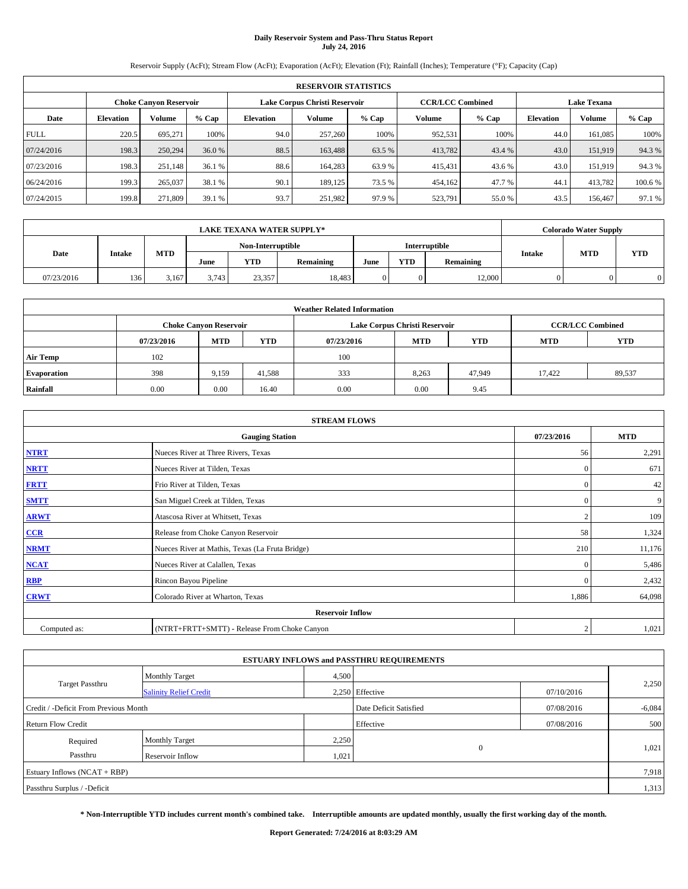# **Daily Reservoir System and Pass-Thru Status Report July 24, 2016**

Reservoir Supply (AcFt); Stream Flow (AcFt); Evaporation (AcFt); Elevation (Ft); Rainfall (Inches); Temperature (°F); Capacity (Cap)

|             | <b>RESERVOIR STATISTICS</b> |                        |         |                  |                               |         |                         |         |                  |                    |         |  |  |
|-------------|-----------------------------|------------------------|---------|------------------|-------------------------------|---------|-------------------------|---------|------------------|--------------------|---------|--|--|
|             |                             | Choke Canvon Reservoir |         |                  | Lake Corpus Christi Reservoir |         | <b>CCR/LCC Combined</b> |         |                  | <b>Lake Texana</b> |         |  |  |
| Date        | <b>Elevation</b>            | Volume                 | $%$ Cap | <b>Elevation</b> | Volume                        | $%$ Cap | <b>Volume</b>           | $%$ Cap | <b>Elevation</b> | <b>Volume</b>      | % Cap   |  |  |
| <b>FULL</b> | 220.5                       | 695.271                | 100%    | 94.0             | 257,260                       | 100%    | 952,531                 | 100%    | 44.0             | 161.085            | 100%    |  |  |
| 07/24/2016  | 198.3                       | 250,294                | 36.0 %  | 88.5             | 163,488                       | 63.5 %  | 413,782                 | 43.4 %  | 43.0             | 151,919            | 94.3%   |  |  |
| 07/23/2016  | 198.3                       | 251,148                | 36.1 %  | 88.6             | 164,283                       | 63.9 %  | 415,431                 | 43.6 %  | 43.0             | 151,919            | 94.3%   |  |  |
| 06/24/2016  | 199.3                       | 265,037                | 38.1 %  | 90.1             | 189.125                       | 73.5 %  | 454,162                 | 47.7 %  | 44.1             | 413.782            | 100.6 % |  |  |
| 07/24/2015  | 199.8                       | 271,809                | 39.1 %  | 93.7             | 251,982                       | 97.9%   | 523,791                 | 55.0%   | 43.5             | 156,467            | 97.1 %  |  |  |

| <b>LAKE TEXANA WATER SUPPLY*</b> |               |       |                   |            |                      |            |           | <b>Colorado Water Supply</b> |            |           |               |            |            |
|----------------------------------|---------------|-------|-------------------|------------|----------------------|------------|-----------|------------------------------|------------|-----------|---------------|------------|------------|
|                                  |               |       | Non-Interruptible |            | <b>Interruptible</b> |            |           |                              |            |           |               |            |            |
| Date                             | <b>Intake</b> |       |                   | <b>MTD</b> | June                 | <b>YTD</b> | Remaining | June                         | <b>YTD</b> | Remaining | <b>Intake</b> | <b>MTD</b> | <b>YTD</b> |
| 07/23/2016                       | 136           | 3.167 | 3.743             | 23.357     | 18,483               |            |           | 12,000                       |            |           |               |            |            |

| <b>Weather Related Information</b> |            |                               |            |            |                               |                         |            |            |  |  |  |
|------------------------------------|------------|-------------------------------|------------|------------|-------------------------------|-------------------------|------------|------------|--|--|--|
|                                    |            | <b>Choke Canyon Reservoir</b> |            |            | Lake Corpus Christi Reservoir | <b>CCR/LCC Combined</b> |            |            |  |  |  |
|                                    | 07/23/2016 | <b>MTD</b>                    | <b>YTD</b> | 07/23/2016 | <b>MTD</b>                    | <b>YTD</b>              | <b>MTD</b> | <b>YTD</b> |  |  |  |
| <b>Air Temp</b>                    | 102        |                               |            | 100        |                               |                         |            |            |  |  |  |
| <b>Evaporation</b>                 | 398        | 9,159                         | 41.588     | 333        | 8,263                         | 47,949                  | 17.422     | 89,537     |  |  |  |
| Rainfall                           | 0.00       | 0.00                          | 16.40      | 0.00       | 0.00                          | 9.45                    |            |            |  |  |  |

| <b>STREAM FLOWS</b> |                                                 |                |        |  |  |  |  |  |  |
|---------------------|-------------------------------------------------|----------------|--------|--|--|--|--|--|--|
|                     | <b>Gauging Station</b>                          |                |        |  |  |  |  |  |  |
| <b>NTRT</b>         | Nueces River at Three Rivers, Texas             |                |        |  |  |  |  |  |  |
| <b>NRTT</b>         | Nueces River at Tilden, Texas                   | $\mathbf{0}$   | 671    |  |  |  |  |  |  |
| <b>FRTT</b>         | Frio River at Tilden, Texas                     | $\mathbf{0}$   | 42     |  |  |  |  |  |  |
| <b>SMTT</b>         | San Miguel Creek at Tilden, Texas               | $\mathbf{0}$   | 9      |  |  |  |  |  |  |
| <b>ARWT</b>         | Atascosa River at Whitsett, Texas               | $\overline{2}$ | 109    |  |  |  |  |  |  |
| $CCR$               | Release from Choke Canyon Reservoir             | 58             | 1,324  |  |  |  |  |  |  |
| <b>NRMT</b>         | Nueces River at Mathis, Texas (La Fruta Bridge) | 210            | 11,176 |  |  |  |  |  |  |
| <b>NCAT</b>         | Nueces River at Calallen, Texas                 | $\mathbf{0}$   | 5,486  |  |  |  |  |  |  |
| RBP                 | Rincon Bayou Pipeline                           | $\Omega$       | 2,432  |  |  |  |  |  |  |
| <b>CRWT</b>         | Colorado River at Wharton, Texas                | 1,886          | 64,098 |  |  |  |  |  |  |
|                     |                                                 |                |        |  |  |  |  |  |  |
| Computed as:        | (NTRT+FRTT+SMTT) - Release From Choke Canyon    | $\overline{2}$ | 1,021  |  |  |  |  |  |  |

|                                       |                               |       | <b>ESTUARY INFLOWS and PASSTHRU REQUIREMENTS</b> |            |          |  |  |  |  |
|---------------------------------------|-------------------------------|-------|--------------------------------------------------|------------|----------|--|--|--|--|
|                                       | <b>Monthly Target</b>         | 4,500 |                                                  |            |          |  |  |  |  |
| <b>Target Passthru</b>                | <b>Salinity Relief Credit</b> |       | 2.250 Effective                                  | 07/10/2016 | 2,250    |  |  |  |  |
| Credit / -Deficit From Previous Month |                               |       | Date Deficit Satisfied<br>07/08/2016             |            | $-6,084$ |  |  |  |  |
| <b>Return Flow Credit</b>             |                               |       | Effective                                        | 07/08/2016 | 500      |  |  |  |  |
| Required                              | <b>Monthly Target</b>         | 2,250 |                                                  |            |          |  |  |  |  |
| Passthru                              | Reservoir Inflow              | 1,021 | $\mathbf{0}$                                     |            | 1,021    |  |  |  |  |
| Estuary Inflows (NCAT + RBP)          |                               |       |                                                  |            |          |  |  |  |  |
| Passthru Surplus / -Deficit           |                               |       |                                                  |            |          |  |  |  |  |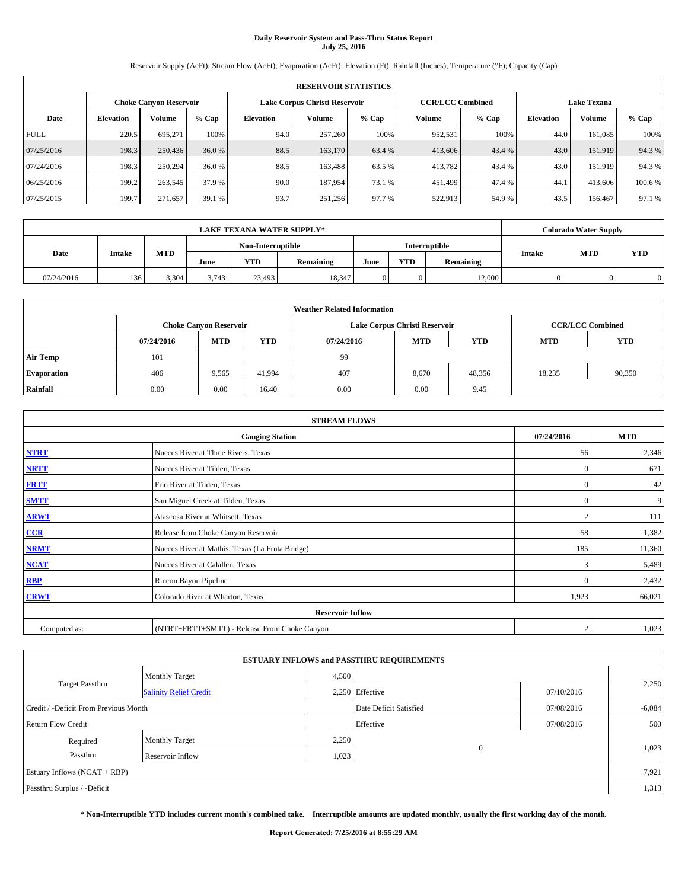# **Daily Reservoir System and Pass-Thru Status Report July 25, 2016**

Reservoir Supply (AcFt); Stream Flow (AcFt); Evaporation (AcFt); Elevation (Ft); Rainfall (Inches); Temperature (°F); Capacity (Cap)

|             | <b>RESERVOIR STATISTICS</b> |                        |         |                  |                               |         |                         |         |                  |                    |         |  |  |
|-------------|-----------------------------|------------------------|---------|------------------|-------------------------------|---------|-------------------------|---------|------------------|--------------------|---------|--|--|
|             |                             | Choke Canvon Reservoir |         |                  | Lake Corpus Christi Reservoir |         | <b>CCR/LCC Combined</b> |         |                  | <b>Lake Texana</b> |         |  |  |
| Date        | <b>Elevation</b>            | Volume                 | $%$ Cap | <b>Elevation</b> | Volume                        | $%$ Cap | <b>Volume</b>           | $%$ Cap | <b>Elevation</b> | <b>Volume</b>      | % Cap   |  |  |
| <b>FULL</b> | 220.5                       | 695.271                | 100%    | 94.0             | 257,260                       | 100%    | 952,531                 | 100%    | 44.0             | 161.085            | 100%    |  |  |
| 07/25/2016  | 198.3                       | 250,436                | 36.0 %  | 88.5             | 163,170                       | 63.4 %  | 413,606                 | 43.4 %  | 43.0             | 151,919            | 94.3%   |  |  |
| 07/24/2016  | 198.3                       | 250,294                | 36.0 %  | 88.5             | 163,488                       | 63.5 %  | 413,782                 | 43.4 %  | 43.0             | 151,919            | 94.3%   |  |  |
| 06/25/2016  | 199.2                       | 263,545                | 37.9 %  | 90.0             | 187.954                       | 73.1 %  | 451.499                 | 47.4 %  | 44.1             | 413,606            | 100.6 % |  |  |
| 07/25/2015  | 199.7                       | 271,657                | 39.1 %  | 93.7             | 251,256                       | 97.7 %  | 522,913                 | 54.9%   | 43.5             | 156,467            | 97.1 %  |  |  |

|            |               |            |                   | <b>LAKE TEXANA WATER SUPPLY*</b> |           |                      |            |           |               | <b>Colorado Water Supply</b> |            |
|------------|---------------|------------|-------------------|----------------------------------|-----------|----------------------|------------|-----------|---------------|------------------------------|------------|
|            |               |            | Non-Interruptible |                                  |           | <b>Interruptible</b> |            |           |               |                              |            |
| Date       | <b>Intake</b> | <b>MTD</b> | June              | <b>YTD</b>                       | Remaining | June                 | <b>YTD</b> | Remaining | <b>Intake</b> | <b>MTD</b>                   | <b>YTD</b> |
| 07/24/2016 | 136           | 3.304      | 3.743             | 23.493                           | 18,347    |                      |            | 12,000    |               |                              |            |

|                    | <b>Weather Related Information</b> |                                                                                           |            |            |            |            |            |            |  |  |  |  |
|--------------------|------------------------------------|-------------------------------------------------------------------------------------------|------------|------------|------------|------------|------------|------------|--|--|--|--|
|                    |                                    | <b>CCR/LCC Combined</b><br><b>Choke Canyon Reservoir</b><br>Lake Corpus Christi Reservoir |            |            |            |            |            |            |  |  |  |  |
|                    | 07/24/2016                         | <b>MTD</b>                                                                                | <b>YTD</b> | 07/24/2016 | <b>MTD</b> | <b>YTD</b> | <b>MTD</b> | <b>YTD</b> |  |  |  |  |
| <b>Air Temp</b>    | 101                                |                                                                                           |            | 99         |            |            |            |            |  |  |  |  |
| <b>Evaporation</b> | 406                                | 9,565                                                                                     | 41.994     | 407        | 8,670      | 48,356     | 18,235     | 90,350     |  |  |  |  |
| Rainfall           | 0.00                               | 0.00                                                                                      | 16.40      | 0.00       | 0.00       | 9.45       |            |            |  |  |  |  |

|              | <b>STREAM FLOWS</b>                             |                |            |
|--------------|-------------------------------------------------|----------------|------------|
|              | <b>Gauging Station</b>                          | 07/24/2016     | <b>MTD</b> |
| <b>NTRT</b>  | Nueces River at Three Rivers, Texas             | 56             | 2,346      |
| <b>NRTT</b>  | Nueces River at Tilden, Texas                   | $\mathbf{0}$   | 671        |
| <b>FRTT</b>  | Frio River at Tilden, Texas                     | $\mathbf{0}$   | 42         |
| <b>SMTT</b>  | San Miguel Creek at Tilden, Texas               | $\mathbf{0}$   | 9          |
| <b>ARWT</b>  | Atascosa River at Whitsett, Texas               | $\overline{2}$ | 111        |
| $CCR$        | Release from Choke Canyon Reservoir             | 58             | 1,382      |
| <b>NRMT</b>  | Nueces River at Mathis, Texas (La Fruta Bridge) | 185            | 11,360     |
| <b>NCAT</b>  | Nueces River at Calallen, Texas                 | 3              | 5,489      |
| RBP          | Rincon Bayou Pipeline                           | $\Omega$       | 2,432      |
| <b>CRWT</b>  | Colorado River at Wharton, Texas                | 1,923          | 66,021     |
|              | <b>Reservoir Inflow</b>                         |                |            |
| Computed as: | (NTRT+FRTT+SMTT) - Release From Choke Canyon    | $\overline{2}$ | 1,023      |

|                                       |                               |       | <b>ESTUARY INFLOWS and PASSTHRU REQUIREMENTS</b> |            |          |
|---------------------------------------|-------------------------------|-------|--------------------------------------------------|------------|----------|
|                                       | <b>Monthly Target</b>         | 4,500 |                                                  |            |          |
| <b>Target Passthru</b>                | <b>Salinity Relief Credit</b> |       | 2,250 Effective                                  | 07/10/2016 | 2,250    |
| Credit / -Deficit From Previous Month |                               |       | Date Deficit Satisfied                           | 07/08/2016 | $-6,084$ |
| <b>Return Flow Credit</b>             |                               |       | Effective                                        | 07/08/2016 | 500      |
| Required                              | <b>Monthly Target</b>         | 2,250 |                                                  |            |          |
| Passthru                              | Reservoir Inflow              | 1,023 | $\Omega$                                         |            | 1,023    |
| Estuary Inflows $(NCAT + RBP)$        |                               |       |                                                  |            | 7,921    |
| Passthru Surplus / -Deficit           |                               |       |                                                  |            | 1,313    |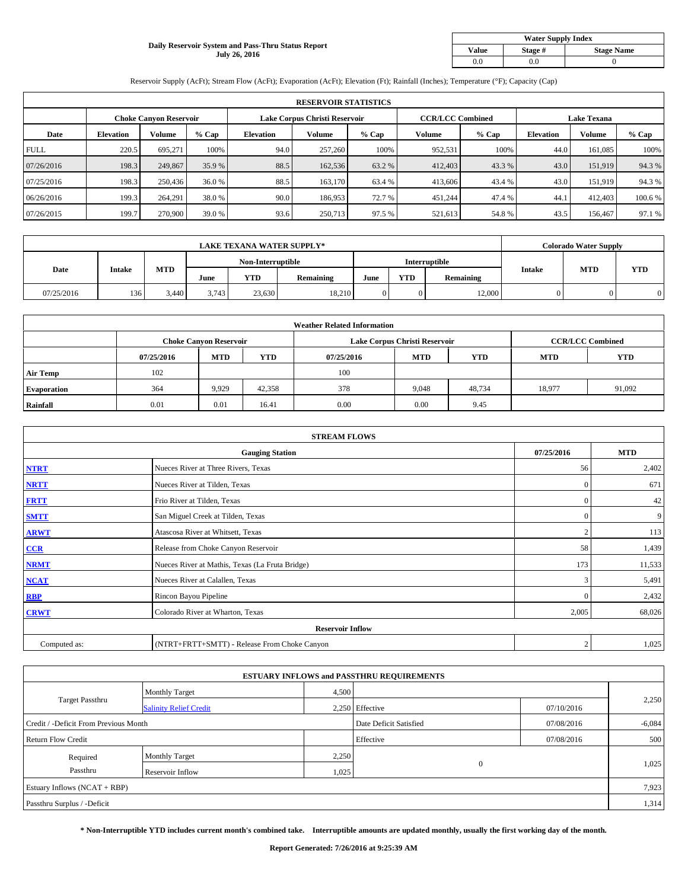#### **Daily Reservoir System and Pass-Thru Status Report July 26, 2016**

|              | <b>Water Supply Index</b> |                   |
|--------------|---------------------------|-------------------|
| Value        | Stage #                   | <b>Stage Name</b> |
| $_{\rm 0.0}$ | $_{0.0}$                  |                   |

Reservoir Supply (AcFt); Stream Flow (AcFt); Evaporation (AcFt); Elevation (Ft); Rainfall (Inches); Temperature (°F); Capacity (Cap)

|             | <b>RESERVOIR STATISTICS</b> |                               |         |                  |                               |         |                         |         |                  |                    |         |  |
|-------------|-----------------------------|-------------------------------|---------|------------------|-------------------------------|---------|-------------------------|---------|------------------|--------------------|---------|--|
|             |                             | <b>Choke Canvon Reservoir</b> |         |                  | Lake Corpus Christi Reservoir |         | <b>CCR/LCC Combined</b> |         |                  | <b>Lake Texana</b> |         |  |
| Date        | <b>Elevation</b>            | Volume                        | $%$ Cap | <b>Elevation</b> | <b>Volume</b>                 | $%$ Cap | Volume                  | $%$ Cap | <b>Elevation</b> | <b>Volume</b>      | $%$ Cap |  |
| <b>FULL</b> | 220.5                       | 695.271                       | 100%    | 94.0             | 257,260                       | 100%    | 952.531                 | 100%    | 44.0             | 161.085            | 100%    |  |
| 07/26/2016  | 198.3                       | 249,867                       | 35.9 %  | 88.5             | 162,536                       | 63.2 %  | 412,403                 | 43.3 %  | 43.0             | 151.919            | 94.3%   |  |
| 07/25/2016  | 198.3                       | 250,436                       | 36.0 %  | 88.5             | 163,170                       | 63.4 %  | 413,606                 | 43.4 %  | 43.0             | 151.919            | 94.3%   |  |
| 06/26/2016  | 199.3                       | 264,291                       | 38.0 %  | 90.0             | 186,953                       | 72.7 %  | 451,244                 | 47.4 %  | 44.              | 412,403            | 100.6%  |  |
| 07/26/2015  | 199.7                       | 270,900                       | 39.0 %  | 93.6             | 250,713                       | 97.5 %  | 521,613                 | 54.8%   | 43.5             | 156,467            | 97.1 %  |  |

|            | <b>LAKE TEXANA WATER SUPPLY*</b> |            |       |                   |                  |               |            |                  |                      | <b>Colorado Water Supply</b> |            |
|------------|----------------------------------|------------|-------|-------------------|------------------|---------------|------------|------------------|----------------------|------------------------------|------------|
|            |                                  |            |       | Non-Interruptible |                  | Interruptible |            |                  |                      |                              |            |
| Date       | Intake                           | <b>MTD</b> | June  | <b>YTD</b>        | <b>Remaining</b> | June          | <b>YTD</b> | <b>Remaining</b> | <b>MTD</b><br>Intake |                              | <b>YTD</b> |
| 07/25/2016 | 136                              | 3.440      | 3,743 | 23,630            | 18.210           |               |            | 12,000           |                      |                              |            |

|                    |                                                                                           |            |            | <b>Weather Related Information</b> |            |            |            |            |  |  |  |
|--------------------|-------------------------------------------------------------------------------------------|------------|------------|------------------------------------|------------|------------|------------|------------|--|--|--|
|                    | <b>CCR/LCC Combined</b><br>Lake Corpus Christi Reservoir<br><b>Choke Canvon Reservoir</b> |            |            |                                    |            |            |            |            |  |  |  |
|                    | 07/25/2016                                                                                | <b>MTD</b> | <b>YTD</b> | 07/25/2016                         | <b>MTD</b> | <b>YTD</b> | <b>MTD</b> | <b>YTD</b> |  |  |  |
| <b>Air Temp</b>    | 102                                                                                       |            |            | 100                                |            |            |            |            |  |  |  |
| <b>Evaporation</b> | 364                                                                                       | 9,929      | 42,358     | 378                                | 9,048      | 48,734     | 18,977     | 91,092     |  |  |  |
| Rainfall           | 0.01                                                                                      | 0.01       | 16.41      | 0.00                               | 0.00       | 9.45       |            |            |  |  |  |

|              | <b>STREAM FLOWS</b>                             |                |        |  |  |  |  |  |  |
|--------------|-------------------------------------------------|----------------|--------|--|--|--|--|--|--|
|              | <b>Gauging Station</b>                          |                |        |  |  |  |  |  |  |
| <b>NTRT</b>  | Nueces River at Three Rivers, Texas             | 56             | 2,402  |  |  |  |  |  |  |
| <b>NRTT</b>  | Nueces River at Tilden, Texas                   | $\mathbf{0}$   | 671    |  |  |  |  |  |  |
| <b>FRTT</b>  | Frio River at Tilden, Texas                     | $\mathbf{0}$   | 42     |  |  |  |  |  |  |
| <b>SMTT</b>  | San Miguel Creek at Tilden, Texas               | $\mathbf{0}$   | 9      |  |  |  |  |  |  |
| <b>ARWT</b>  | Atascosa River at Whitsett, Texas               | $\mathcal{L}$  | 113    |  |  |  |  |  |  |
| CCR          | Release from Choke Canyon Reservoir             | 58             | 1,439  |  |  |  |  |  |  |
| <b>NRMT</b>  | Nueces River at Mathis, Texas (La Fruta Bridge) | 173            | 11,533 |  |  |  |  |  |  |
| <b>NCAT</b>  | Nueces River at Calallen, Texas                 | 3              | 5,491  |  |  |  |  |  |  |
| <b>RBP</b>   | Rincon Bayou Pipeline                           | $\Omega$       | 2,432  |  |  |  |  |  |  |
| <b>CRWT</b>  | Colorado River at Wharton, Texas                | 2,005          | 68,026 |  |  |  |  |  |  |
|              | <b>Reservoir Inflow</b>                         |                |        |  |  |  |  |  |  |
| Computed as: | (NTRT+FRTT+SMTT) - Release From Choke Canyon    | $\overline{c}$ | 1,025  |  |  |  |  |  |  |

|                                       |                               |       | <b>ESTUARY INFLOWS and PASSTHRU REQUIREMENTS</b> |            |          |
|---------------------------------------|-------------------------------|-------|--------------------------------------------------|------------|----------|
|                                       | <b>Monthly Target</b>         | 4,500 |                                                  |            |          |
| <b>Target Passthru</b>                | <b>Salinity Relief Credit</b> |       | 2,250 Effective                                  | 07/10/2016 | 2,250    |
| Credit / -Deficit From Previous Month |                               |       | Date Deficit Satisfied                           | 07/08/2016 | $-6,084$ |
| <b>Return Flow Credit</b>             |                               |       | Effective                                        | 07/08/2016 | 500      |
| Required                              | Monthly Target                | 2,250 |                                                  |            |          |
| Passthru                              | Reservoir Inflow              | 1,025 | $\Omega$                                         |            | 1,025    |
| Estuary Inflows $(NCAT + RBP)$        |                               |       |                                                  |            | 7,923    |
| Passthru Surplus / -Deficit           |                               |       |                                                  |            | 1,314    |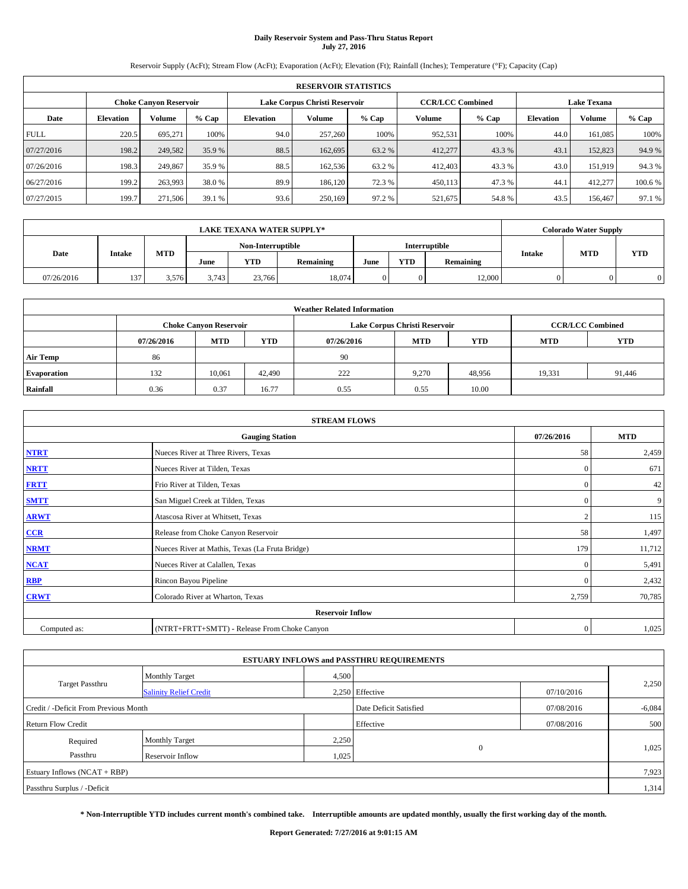# **Daily Reservoir System and Pass-Thru Status Report July 27, 2016**

Reservoir Supply (AcFt); Stream Flow (AcFt); Evaporation (AcFt); Elevation (Ft); Rainfall (Inches); Temperature (°F); Capacity (Cap)

|             | <b>RESERVOIR STATISTICS</b> |                        |         |                  |                               |         |                         |         |                  |                    |         |  |  |
|-------------|-----------------------------|------------------------|---------|------------------|-------------------------------|---------|-------------------------|---------|------------------|--------------------|---------|--|--|
|             |                             | Choke Canvon Reservoir |         |                  | Lake Corpus Christi Reservoir |         | <b>CCR/LCC Combined</b> |         |                  | <b>Lake Texana</b> |         |  |  |
| Date        | <b>Elevation</b>            | Volume                 | $%$ Cap | <b>Elevation</b> | Volume                        | $%$ Cap | <b>Volume</b>           | $%$ Cap | <b>Elevation</b> | <b>Volume</b>      | % Cap   |  |  |
| <b>FULL</b> | 220.5                       | 695.271                | 100%    | 94.0             | 257,260                       | 100%    | 952,531                 | 100%    | 44.0             | 161.085            | 100%    |  |  |
| 07/27/2016  | 198.2                       | 249,582                | 35.9 %  | 88.5             | 162,695                       | 63.2 %  | 412,277                 | 43.3 %  | 43.1             | 152,823            | 94.9%   |  |  |
| 07/26/2016  | 198.3                       | 249,867                | 35.9 %  | 88.5             | 162,536                       | 63.2 %  | 412,403                 | 43.3 %  | 43.0             | 151,919            | 94.3%   |  |  |
| 06/27/2016  | 199.2                       | 263.993                | 38.0%   | 89.9             | 186.120                       | 72.3 %  | 450,113                 | 47.3 %  | 44.1             | 412,277            | 100.6 % |  |  |
| 07/27/2015  | 199.7                       | 271,506                | 39.1 %  | 93.6             | 250,169                       | 97.2 %  | 521,675                 | 54.8%   | 43.5             | 156,467            | 97.1 %  |  |  |

|            | <b>LAKE TEXANA WATER SUPPLY*</b> |            |       |                   |           |      |            |               |               | <b>Colorado Water Supply</b> |            |
|------------|----------------------------------|------------|-------|-------------------|-----------|------|------------|---------------|---------------|------------------------------|------------|
|            |                                  |            |       | Non-Interruptible |           |      |            | Interruptible |               | <b>MTD</b>                   |            |
| Date       | <b>Intake</b>                    | <b>MTD</b> | June  | <b>YTD</b>        | Remaining | June | <b>YTD</b> | Remaining     | <b>Intake</b> |                              | <b>YTD</b> |
| 07/26/2016 | 137                              | 3.576      | 3.743 | 23.766            | 18.074    |      |            | 12,000        |               |                              |            |

|                    | <b>Weather Related Information</b> |                                                                                  |        |      |                               |                         |        |        |  |  |  |  |
|--------------------|------------------------------------|----------------------------------------------------------------------------------|--------|------|-------------------------------|-------------------------|--------|--------|--|--|--|--|
|                    |                                    | <b>Choke Canvon Reservoir</b>                                                    |        |      | Lake Corpus Christi Reservoir | <b>CCR/LCC Combined</b> |        |        |  |  |  |  |
|                    | 07/26/2016                         | <b>YTD</b><br><b>MTD</b><br><b>MTD</b><br><b>YTD</b><br><b>MTD</b><br>07/26/2016 |        |      |                               |                         |        |        |  |  |  |  |
| <b>Air Temp</b>    | 86                                 |                                                                                  |        | 90   |                               |                         |        |        |  |  |  |  |
| <b>Evaporation</b> | 132                                | 10.061                                                                           | 42,490 | 222  | 9.270                         | 48.956                  | 19,331 | 91,446 |  |  |  |  |
| Rainfall           | 0.36                               | 0.37                                                                             | 16.77  | 0.55 | 0.55                          | 10.00                   |        |        |  |  |  |  |

| <b>STREAM FLOWS</b> |                                                 |                |            |  |  |  |  |  |
|---------------------|-------------------------------------------------|----------------|------------|--|--|--|--|--|
|                     | <b>Gauging Station</b>                          | 07/26/2016     | <b>MTD</b> |  |  |  |  |  |
| <b>NTRT</b>         | Nueces River at Three Rivers, Texas             | 58             | 2,459      |  |  |  |  |  |
| <b>NRTT</b>         | Nueces River at Tilden, Texas                   | $\mathbf{0}$   | 671        |  |  |  |  |  |
| <b>FRTT</b>         | Frio River at Tilden, Texas                     | $\mathbf{0}$   | 42         |  |  |  |  |  |
| <b>SMTT</b>         | San Miguel Creek at Tilden, Texas               | $\mathbf{0}$   | 9          |  |  |  |  |  |
| <b>ARWT</b>         | Atascosa River at Whitsett, Texas               | $\overline{2}$ | 115        |  |  |  |  |  |
| $CCR$               | Release from Choke Canyon Reservoir             | 58             | 1,497      |  |  |  |  |  |
| <b>NRMT</b>         | Nueces River at Mathis, Texas (La Fruta Bridge) | 179            | 11,712     |  |  |  |  |  |
| <b>NCAT</b>         | Nueces River at Calallen, Texas                 | $\mathbf{0}$   | 5,491      |  |  |  |  |  |
| RBP                 | Rincon Bayou Pipeline                           | $\Omega$       | 2,432      |  |  |  |  |  |
| <b>CRWT</b>         | Colorado River at Wharton, Texas                | 2,759          | 70,785     |  |  |  |  |  |
|                     | <b>Reservoir Inflow</b>                         |                |            |  |  |  |  |  |
| Computed as:        | (NTRT+FRTT+SMTT) - Release From Choke Canyon    | $\mathbf{0}$   | 1,025      |  |  |  |  |  |

|                                       |                               |       | <b>ESTUARY INFLOWS and PASSTHRU REQUIREMENTS</b> |            |          |
|---------------------------------------|-------------------------------|-------|--------------------------------------------------|------------|----------|
|                                       | <b>Monthly Target</b>         | 4,500 |                                                  |            |          |
| <b>Target Passthru</b>                | <b>Salinity Relief Credit</b> |       | 2.250 Effective                                  | 07/10/2016 | 2,250    |
| Credit / -Deficit From Previous Month |                               |       | Date Deficit Satisfied                           | 07/08/2016 | $-6,084$ |
| <b>Return Flow Credit</b>             |                               |       | Effective                                        | 07/08/2016 | 500      |
| Required                              | <b>Monthly Target</b>         | 2,250 |                                                  |            |          |
| Passthru                              | <b>Reservoir Inflow</b>       | 1,025 | $\Omega$                                         |            | 1,025    |
| Estuary Inflows $(NCAT + RBP)$        |                               |       |                                                  |            | 7,923    |
| Passthru Surplus / -Deficit           |                               |       |                                                  |            | 1,314    |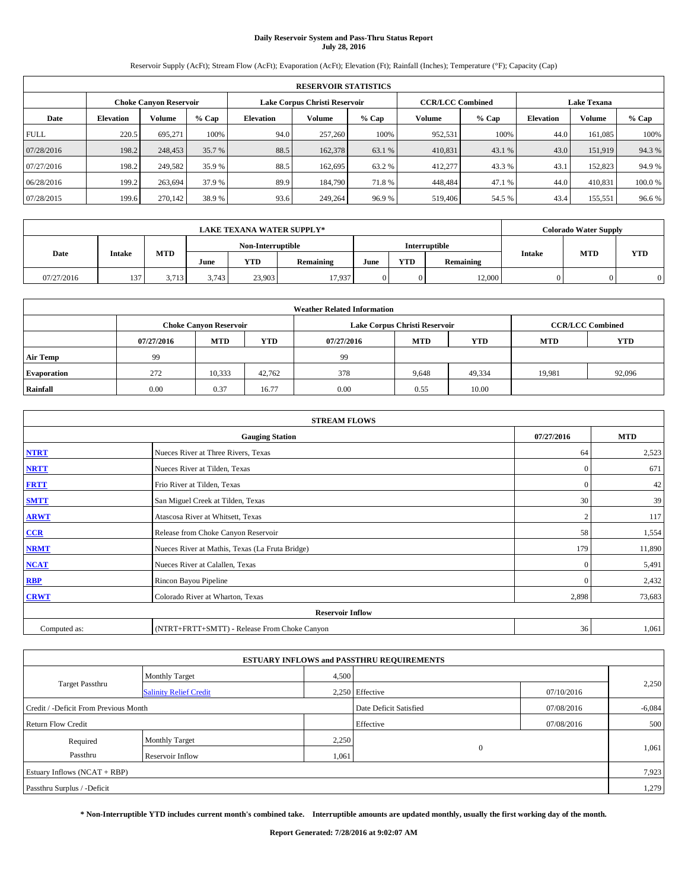# **Daily Reservoir System and Pass-Thru Status Report July 28, 2016**

Reservoir Supply (AcFt); Stream Flow (AcFt); Evaporation (AcFt); Elevation (Ft); Rainfall (Inches); Temperature (°F); Capacity (Cap)

|             | <b>RESERVOIR STATISTICS</b>                             |         |         |                  |         |         |                         |         |                  |                    |        |  |  |
|-------------|---------------------------------------------------------|---------|---------|------------------|---------|---------|-------------------------|---------|------------------|--------------------|--------|--|--|
|             | Lake Corpus Christi Reservoir<br>Choke Canvon Reservoir |         |         |                  |         |         | <b>CCR/LCC Combined</b> |         |                  | <b>Lake Texana</b> |        |  |  |
| Date        | <b>Elevation</b>                                        | Volume  | $%$ Cap | <b>Elevation</b> | Volume  | $%$ Cap | <b>Volume</b>           | $%$ Cap | <b>Elevation</b> | <b>Volume</b>      | % Cap  |  |  |
| <b>FULL</b> | 220.5                                                   | 695.271 | 100%    | 94.0             | 257,260 | 100%    | 952,531                 | 100%    | 44.0             | 161.085            | 100%   |  |  |
| 07/28/2016  | 198.2                                                   | 248,453 | 35.7 %  | 88.5             | 162,378 | 63.1 %  | 410,831                 | 43.1 %  | 43.0             | 151,919            | 94.3%  |  |  |
| 07/27/2016  | 198.2                                                   | 249,582 | 35.9 %  | 88.5             | 162.695 | 63.2 %  | 412,277                 | 43.3 %  | 43.              | 152,823            | 94.9 % |  |  |
| 06/28/2016  | 199.2                                                   | 263.694 | 37.9 %  | 89.9             | 184,790 | 71.8%   | 448.484                 | 47.1 %  | 44.0             | 410,831            | 100.0% |  |  |
| 07/28/2015  | 199.6                                                   | 270,142 | 38.9 %  | 93.6             | 249,264 | 96.9%   | 519,406                 | 54.5 %  | 43.4             | 155,551            | 96.6%  |  |  |

|            | <b>LAKE TEXANA WATER SUPPLY*</b> |            |       |                   |           |      |            |                      |               | <b>Colorado Water Supply</b> |            |
|------------|----------------------------------|------------|-------|-------------------|-----------|------|------------|----------------------|---------------|------------------------------|------------|
|            |                                  |            |       | Non-Interruptible |           |      |            | <b>Interruptible</b> |               | <b>MTD</b>                   |            |
| Date       | <b>Intake</b>                    | <b>MTD</b> | June  | <b>YTD</b>        | Remaining | June | <b>YTD</b> | Remaining            | <b>Intake</b> |                              | <b>YTD</b> |
| 07/27/2016 | 137                              | 3.713      | 3.743 | 23.903            | 17.937    |      |            | 12,000               |               |                              |            |

| <b>Weather Related Information</b> |            |                               |                                                                    |      |                               |                         |        |        |  |  |  |
|------------------------------------|------------|-------------------------------|--------------------------------------------------------------------|------|-------------------------------|-------------------------|--------|--------|--|--|--|
|                                    |            | <b>Choke Canvon Reservoir</b> |                                                                    |      | Lake Corpus Christi Reservoir | <b>CCR/LCC Combined</b> |        |        |  |  |  |
|                                    | 07/27/2016 | <b>MTD</b>                    | <b>YTD</b><br><b>MTD</b><br><b>YTD</b><br><b>MTD</b><br>07/27/2016 |      |                               |                         |        |        |  |  |  |
| <b>Air Temp</b>                    | 99         |                               |                                                                    | 99   |                               |                         |        |        |  |  |  |
| <b>Evaporation</b>                 | 272        | 10,333                        | 42,762                                                             | 378  | 9,648                         | 49,334                  | 19.981 | 92,096 |  |  |  |
| Rainfall                           | 0.00       | 0.37                          | 16.77                                                              | 0.00 | 0.55                          | 10.00                   |        |        |  |  |  |

| <b>STREAM FLOWS</b> |                                                 |                |            |  |  |  |  |  |
|---------------------|-------------------------------------------------|----------------|------------|--|--|--|--|--|
|                     | <b>Gauging Station</b>                          | 07/27/2016     | <b>MTD</b> |  |  |  |  |  |
| <b>NTRT</b>         | Nueces River at Three Rivers, Texas             | 64             | 2,523      |  |  |  |  |  |
| <b>NRTT</b>         | Nueces River at Tilden, Texas                   | $\mathbf{0}$   | 671        |  |  |  |  |  |
| <b>FRTT</b>         | Frio River at Tilden, Texas                     | $\mathbf{0}$   | 42         |  |  |  |  |  |
| <b>SMTT</b>         | San Miguel Creek at Tilden, Texas               | 30             | 39         |  |  |  |  |  |
| <b>ARWT</b>         | Atascosa River at Whitsett, Texas               | $\overline{2}$ | 117        |  |  |  |  |  |
| $CCR$               | Release from Choke Canyon Reservoir             | 58             | 1,554      |  |  |  |  |  |
| <b>NRMT</b>         | Nueces River at Mathis, Texas (La Fruta Bridge) | 179            | 11,890     |  |  |  |  |  |
| <b>NCAT</b>         | Nueces River at Calallen, Texas                 | $\mathbf{0}$   | 5,491      |  |  |  |  |  |
| RBP                 | Rincon Bayou Pipeline                           | $\Omega$       | 2,432      |  |  |  |  |  |
| <b>CRWT</b>         | Colorado River at Wharton, Texas                | 2,898          | 73,683     |  |  |  |  |  |
|                     | <b>Reservoir Inflow</b>                         |                |            |  |  |  |  |  |
| Computed as:        | (NTRT+FRTT+SMTT) - Release From Choke Canyon    | 36             | 1,061      |  |  |  |  |  |

|                                       |                               |       | <b>ESTUARY INFLOWS and PASSTHRU REQUIREMENTS</b> |            |          |
|---------------------------------------|-------------------------------|-------|--------------------------------------------------|------------|----------|
|                                       | <b>Monthly Target</b>         | 4,500 |                                                  |            |          |
| <b>Target Passthru</b>                | <b>Salinity Relief Credit</b> |       | 2.250 Effective                                  | 07/10/2016 | 2,250    |
| Credit / -Deficit From Previous Month |                               |       | Date Deficit Satisfied                           | 07/08/2016 | $-6,084$ |
| <b>Return Flow Credit</b>             |                               |       | Effective                                        | 07/08/2016 | 500      |
| Required                              | <b>Monthly Target</b>         | 2,250 |                                                  |            |          |
| Passthru                              | <b>Reservoir Inflow</b>       | 1,061 | $\Omega$                                         |            | 1,061    |
| Estuary Inflows $(NCAT + RBP)$        |                               |       |                                                  |            | 7,923    |
| Passthru Surplus / -Deficit           |                               |       |                                                  |            | 1,279    |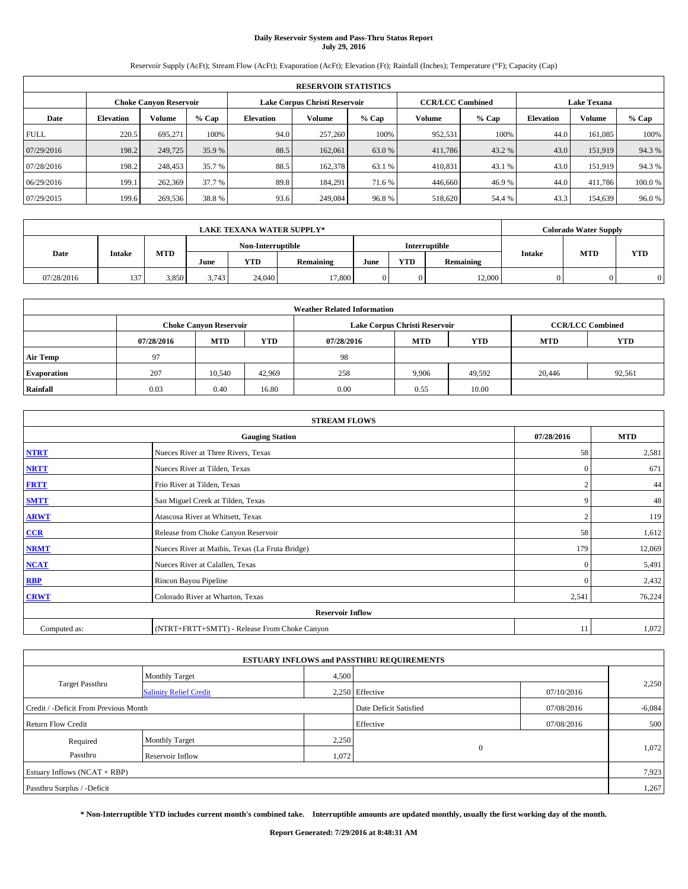# **Daily Reservoir System and Pass-Thru Status Report July 29, 2016**

Reservoir Supply (AcFt); Stream Flow (AcFt); Evaporation (AcFt); Elevation (Ft); Rainfall (Inches); Temperature (°F); Capacity (Cap)

|             | <b>RESERVOIR STATISTICS</b> |                        |         |                  |                               |         |                         |         |                    |               |        |  |  |
|-------------|-----------------------------|------------------------|---------|------------------|-------------------------------|---------|-------------------------|---------|--------------------|---------------|--------|--|--|
|             |                             | Choke Canvon Reservoir |         |                  | Lake Corpus Christi Reservoir |         | <b>CCR/LCC Combined</b> |         | <b>Lake Texana</b> |               |        |  |  |
| Date        | <b>Elevation</b>            | Volume                 | $%$ Cap | <b>Elevation</b> | Volume                        | $%$ Cap | <b>Volume</b>           | $%$ Cap | <b>Elevation</b>   | <b>Volume</b> | % Cap  |  |  |
| <b>FULL</b> | 220.5                       | 695.271                | 100%    | 94.0             | 257,260                       | 100%    | 952,531                 | 100%    | 44.0               | 161.085       | 100%   |  |  |
| 07/29/2016  | 198.2                       | 249,725                | 35.9 %  | 88.5             | 162,061                       | 63.0 %  | 411,786                 | 43.2 %  | 43.0               | 151,919       | 94.3%  |  |  |
| 07/28/2016  | 198.2                       | 248,453                | 35.7 %  | 88.5             | 162,378                       | 63.1 %  | 410,831                 | 43.1 %  | 43.0               | 151,919       | 94.3%  |  |  |
| 06/29/2016  | 199.1                       | 262,369                | 37.7 %  | 89.8             | 184.291                       | 71.6 %  | 446,660                 | 46.9%   | 44.0               | 411.786       | 100.0% |  |  |
| 07/29/2015  | 199.6                       | 269,536                | 38.8%   | 93.6             | 249,084                       | 96.8%   | 518,620                 | 54.4 %  | 43.3               | 154,639       | 96.0%  |  |  |

|            | <b>LAKE TEXANA WATER SUPPLY*</b> |            |       |                   |           |                      |            |           |               | <b>Colorado Water Supply</b> |            |
|------------|----------------------------------|------------|-------|-------------------|-----------|----------------------|------------|-----------|---------------|------------------------------|------------|
|            |                                  |            |       | Non-Interruptible |           | <b>Interruptible</b> |            |           |               |                              |            |
| Date       | <b>Intake</b>                    | <b>MTD</b> | June  | <b>YTD</b>        | Remaining | June                 | <b>YTD</b> | Remaining | <b>Intake</b> | <b>MTD</b>                   | <b>YTD</b> |
| 07/28/2016 | 137                              | 3.850      | 3.743 | 24,040            | 17.800    |                      |            | 12,000    |               |                              |            |

|                    | <b>Weather Related Information</b> |                               |                                                                    |      |                               |                         |        |        |  |  |  |  |
|--------------------|------------------------------------|-------------------------------|--------------------------------------------------------------------|------|-------------------------------|-------------------------|--------|--------|--|--|--|--|
|                    |                                    | <b>Choke Canvon Reservoir</b> |                                                                    |      | Lake Corpus Christi Reservoir | <b>CCR/LCC Combined</b> |        |        |  |  |  |  |
|                    | 07/28/2016                         | <b>MTD</b>                    | <b>YTD</b><br><b>MTD</b><br><b>YTD</b><br><b>MTD</b><br>07/28/2016 |      |                               |                         |        |        |  |  |  |  |
| <b>Air Temp</b>    | 97                                 |                               |                                                                    | 98   |                               |                         |        |        |  |  |  |  |
| <b>Evaporation</b> | 207                                | 10,540                        | 42,969                                                             | 258  | 9.906                         | 49,592                  | 20,446 | 92,561 |  |  |  |  |
| Rainfall           | 0.03                               | 0.40                          | 16.80                                                              | 0.00 | 0.55                          | 10.00                   |        |        |  |  |  |  |

| <b>STREAM FLOWS</b> |                                                 |                |        |  |  |  |  |  |  |
|---------------------|-------------------------------------------------|----------------|--------|--|--|--|--|--|--|
|                     | <b>Gauging Station</b>                          |                |        |  |  |  |  |  |  |
| <b>NTRT</b>         | Nueces River at Three Rivers, Texas             | 58             | 2,581  |  |  |  |  |  |  |
| <b>NRTT</b>         | Nueces River at Tilden, Texas                   | $\mathbf{0}$   | 671    |  |  |  |  |  |  |
| <b>FRTT</b>         | Frio River at Tilden, Texas                     |                | 44     |  |  |  |  |  |  |
| <b>SMTT</b>         | San Miguel Creek at Tilden, Texas               | 9              | 48     |  |  |  |  |  |  |
| <b>ARWT</b>         | Atascosa River at Whitsett, Texas               | $\overline{2}$ | 119    |  |  |  |  |  |  |
| $CCR$               | Release from Choke Canyon Reservoir             | 58             | 1,612  |  |  |  |  |  |  |
| <b>NRMT</b>         | Nueces River at Mathis, Texas (La Fruta Bridge) | 179            | 12,069 |  |  |  |  |  |  |
| <b>NCAT</b>         | Nueces River at Calallen, Texas                 | $\mathbf{0}$   | 5,491  |  |  |  |  |  |  |
| RBP                 | Rincon Bayou Pipeline                           | $\Omega$       | 2,432  |  |  |  |  |  |  |
| <b>CRWT</b>         | Colorado River at Wharton, Texas                | 2,541          | 76,224 |  |  |  |  |  |  |
|                     | <b>Reservoir Inflow</b>                         |                |        |  |  |  |  |  |  |
| Computed as:        | (NTRT+FRTT+SMTT) - Release From Choke Canyon    | 11             | 1,072  |  |  |  |  |  |  |

|                                       |                               |       | <b>ESTUARY INFLOWS and PASSTHRU REQUIREMENTS</b> |            |          |
|---------------------------------------|-------------------------------|-------|--------------------------------------------------|------------|----------|
|                                       | <b>Monthly Target</b>         | 4,500 |                                                  |            | 2,250    |
| <b>Target Passthru</b>                | <b>Salinity Relief Credit</b> |       | 2,250 Effective                                  | 07/10/2016 |          |
| Credit / -Deficit From Previous Month |                               |       | Date Deficit Satisfied                           | 07/08/2016 | $-6,084$ |
| <b>Return Flow Credit</b>             |                               |       | Effective                                        | 07/08/2016 | 500      |
| Required                              | <b>Monthly Target</b>         | 2,250 |                                                  |            |          |
| Passthru                              | Reservoir Inflow              | 1,072 | $\Omega$                                         |            | 1,072    |
| Estuary Inflows $(NCAT + RBP)$        |                               |       |                                                  |            | 7,923    |
| Passthru Surplus / -Deficit           |                               |       |                                                  |            | 1,267    |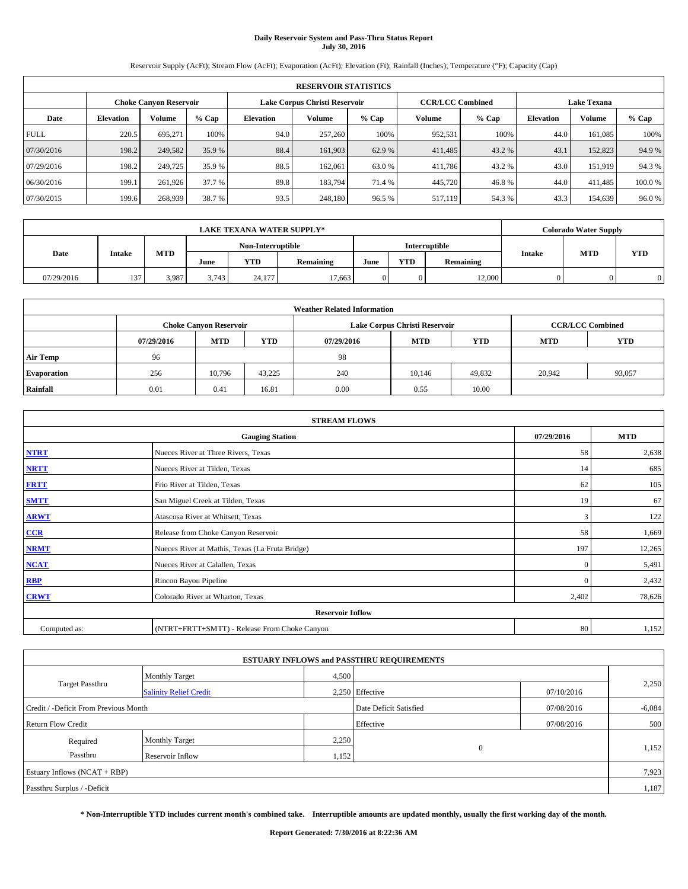# **Daily Reservoir System and Pass-Thru Status Report July 30, 2016**

Reservoir Supply (AcFt); Stream Flow (AcFt); Evaporation (AcFt); Elevation (Ft); Rainfall (Inches); Temperature (°F); Capacity (Cap)

|             | <b>RESERVOIR STATISTICS</b> |                        |         |                  |                               |         |                         |         |                  |                    |        |  |
|-------------|-----------------------------|------------------------|---------|------------------|-------------------------------|---------|-------------------------|---------|------------------|--------------------|--------|--|
|             |                             | Choke Canvon Reservoir |         |                  | Lake Corpus Christi Reservoir |         | <b>CCR/LCC Combined</b> |         |                  | <b>Lake Texana</b> |        |  |
| Date        | <b>Elevation</b>            | Volume                 | $%$ Cap | <b>Elevation</b> | Volume                        | $%$ Cap | <b>Volume</b>           | $%$ Cap | <b>Elevation</b> | <b>Volume</b>      | % Cap  |  |
| <b>FULL</b> | 220.5                       | 695.271                | 100%    | 94.0             | 257,260                       | 100%    | 952,531                 | 100%    | 44.0             | 161.085            | 100%   |  |
| 07/30/2016  | 198.2                       | 249,582                | 35.9 %  | 88.4             | 161,903                       | 62.9 %  | 411,485                 | 43.2 %  | 43.1             | 152,823            | 94.9%  |  |
| 07/29/2016  | 198.2                       | 249,725                | 35.9 %  | 88.5             | 162,061                       | 63.0 %  | 411,786                 | 43.2 %  | 43.0             | 151,919            | 94.3%  |  |
| 06/30/2016  | 199.1                       | 261.926                | 37.7 %  | 89.8             | 183.794                       | 71.4 %  | 445,720                 | 46.8%   | 44.0             | 411,485            | 100.0% |  |
| 07/30/2015  | 199.6                       | 268,939                | 38.7 %  | 93.5             | 248,180                       | 96.5 %  | 517,119                 | 54.3 %  | 43.3             | 154,639            | 96.0%  |  |

| <b>LAKE TEXANA WATER SUPPLY*</b> |     |               |            |                   |            |                      |      | <b>Colorado Water Supply</b> |           |               |            |            |
|----------------------------------|-----|---------------|------------|-------------------|------------|----------------------|------|------------------------------|-----------|---------------|------------|------------|
|                                  |     |               |            | Non-Interruptible |            | <b>Interruptible</b> |      |                              |           |               |            |            |
| Date                             |     | <b>Intake</b> | <b>MTD</b> | June              | <b>YTD</b> | Remaining            | June | <b>YTD</b>                   | Remaining | <b>Intake</b> | <b>MTD</b> | <b>YTD</b> |
| 07/29/2016                       | 137 | 3.987         | 3.743      | 24.177            | 17.663     |                      |      | 12,000                       |           |               |            |            |

| <b>Weather Related Information</b> |            |                               |            |            |                               |                         |            |            |  |  |
|------------------------------------|------------|-------------------------------|------------|------------|-------------------------------|-------------------------|------------|------------|--|--|
|                                    |            | <b>Choke Canyon Reservoir</b> |            |            | Lake Corpus Christi Reservoir | <b>CCR/LCC Combined</b> |            |            |  |  |
|                                    | 07/29/2016 | <b>MTD</b>                    | <b>YTD</b> | 07/29/2016 | <b>MTD</b>                    | <b>YTD</b>              | <b>MTD</b> | <b>YTD</b> |  |  |
| <b>Air Temp</b>                    | 96         |                               |            | 98         |                               |                         |            |            |  |  |
| <b>Evaporation</b>                 | 256        | 10,796                        | 43.225     | 240        | 10.146                        | 49,832                  | 20,942     | 93,057     |  |  |
| Rainfall                           | 0.01       | 0.41                          | 16.81      | 0.00       | 0.55                          | 10.00                   |            |            |  |  |

| <b>STREAM FLOWS</b> |                                                 |              |        |  |  |  |  |  |  |
|---------------------|-------------------------------------------------|--------------|--------|--|--|--|--|--|--|
|                     | <b>Gauging Station</b>                          |              |        |  |  |  |  |  |  |
| <b>NTRT</b>         | Nueces River at Three Rivers, Texas             | 58           | 2,638  |  |  |  |  |  |  |
| <b>NRTT</b>         | Nueces River at Tilden, Texas                   | 14           | 685    |  |  |  |  |  |  |
| <b>FRTT</b>         | Frio River at Tilden, Texas                     | 62           | 105    |  |  |  |  |  |  |
| <b>SMTT</b>         | San Miguel Creek at Tilden, Texas               | 19           | 67     |  |  |  |  |  |  |
| <b>ARWT</b>         | Atascosa River at Whitsett, Texas               | 3            | 122    |  |  |  |  |  |  |
| CCR                 | Release from Choke Canyon Reservoir             | 58           | 1,669  |  |  |  |  |  |  |
| <b>NRMT</b>         | Nueces River at Mathis, Texas (La Fruta Bridge) | 197          | 12,265 |  |  |  |  |  |  |
| <b>NCAT</b>         | Nueces River at Calallen, Texas                 | $\mathbf{0}$ | 5,491  |  |  |  |  |  |  |
| <b>RBP</b>          | Rincon Bayou Pipeline                           | $\Omega$     | 2,432  |  |  |  |  |  |  |
| <b>CRWT</b>         | Colorado River at Wharton, Texas                | 2,402        | 78,626 |  |  |  |  |  |  |
|                     | <b>Reservoir Inflow</b>                         |              |        |  |  |  |  |  |  |
| Computed as:        | (NTRT+FRTT+SMTT) - Release From Choke Canyon    | 80           | 1,152  |  |  |  |  |  |  |

|                                       |                               |       | <b>ESTUARY INFLOWS and PASSTHRU REQUIREMENTS</b> |            |          |  |  |
|---------------------------------------|-------------------------------|-------|--------------------------------------------------|------------|----------|--|--|
|                                       | <b>Monthly Target</b>         | 4,500 |                                                  |            |          |  |  |
| <b>Target Passthru</b>                | <b>Salinity Relief Credit</b> |       | 2.250 Effective                                  | 07/10/2016 | 2,250    |  |  |
| Credit / -Deficit From Previous Month |                               |       | Date Deficit Satisfied                           | 07/08/2016 | $-6,084$ |  |  |
| <b>Return Flow Credit</b>             |                               |       | Effective                                        | 07/08/2016 | 500      |  |  |
| Required                              | <b>Monthly Target</b>         | 2,250 |                                                  |            |          |  |  |
| Passthru<br><b>Reservoir Inflow</b>   |                               | 1,152 | $\Omega$                                         |            | 1,152    |  |  |
| Estuary Inflows $(NCAT + RBP)$        |                               |       |                                                  |            |          |  |  |
| Passthru Surplus / -Deficit           |                               |       |                                                  |            | 1,187    |  |  |